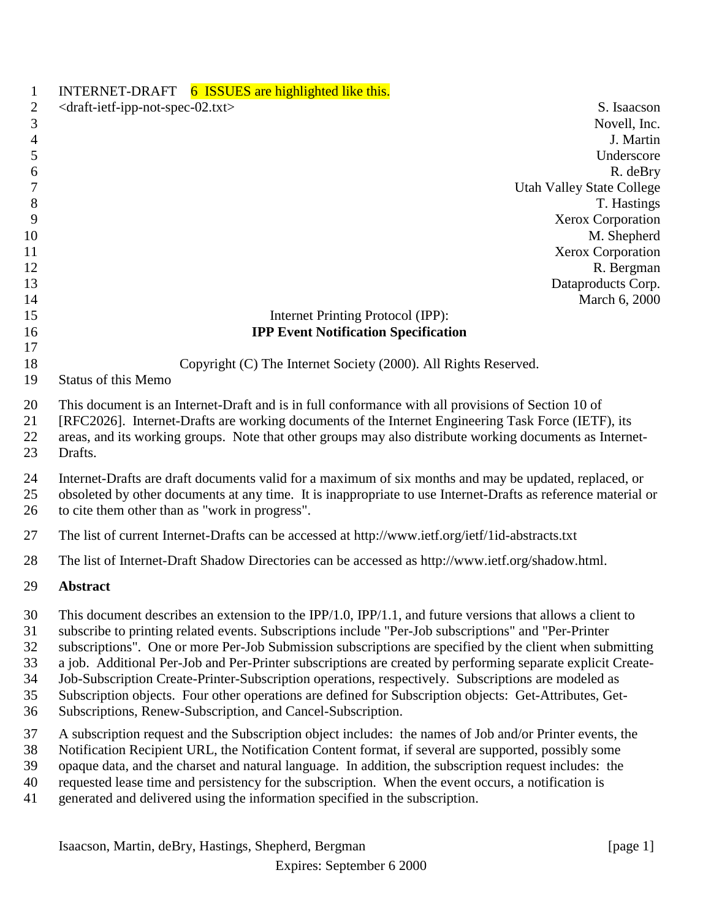| $\mathbf{1}$                           | INTERNET-DRAFT 6 ISSUES are highlighted like this.                                                                                                                                                                                                                                                                                                                                                                                                                                                                                                                                                                                                                                                                           |
|----------------------------------------|------------------------------------------------------------------------------------------------------------------------------------------------------------------------------------------------------------------------------------------------------------------------------------------------------------------------------------------------------------------------------------------------------------------------------------------------------------------------------------------------------------------------------------------------------------------------------------------------------------------------------------------------------------------------------------------------------------------------------|
| $\overline{2}$                         | <draft-ietf-ipp-not-spec-02.txt><br/>S. Isaacson</draft-ietf-ipp-not-spec-02.txt>                                                                                                                                                                                                                                                                                                                                                                                                                                                                                                                                                                                                                                            |
| $\mathfrak{Z}$                         | Novell, Inc.                                                                                                                                                                                                                                                                                                                                                                                                                                                                                                                                                                                                                                                                                                                 |
| $\overline{4}$                         | J. Martin                                                                                                                                                                                                                                                                                                                                                                                                                                                                                                                                                                                                                                                                                                                    |
| 5                                      | Underscore                                                                                                                                                                                                                                                                                                                                                                                                                                                                                                                                                                                                                                                                                                                   |
| 6                                      | R. deBry                                                                                                                                                                                                                                                                                                                                                                                                                                                                                                                                                                                                                                                                                                                     |
| 7                                      | <b>Utah Valley State College</b>                                                                                                                                                                                                                                                                                                                                                                                                                                                                                                                                                                                                                                                                                             |
| 8                                      | T. Hastings                                                                                                                                                                                                                                                                                                                                                                                                                                                                                                                                                                                                                                                                                                                  |
| 9                                      | Xerox Corporation                                                                                                                                                                                                                                                                                                                                                                                                                                                                                                                                                                                                                                                                                                            |
| 10<br>11                               | M. Shepherd<br>Xerox Corporation                                                                                                                                                                                                                                                                                                                                                                                                                                                                                                                                                                                                                                                                                             |
| 12                                     | R. Bergman                                                                                                                                                                                                                                                                                                                                                                                                                                                                                                                                                                                                                                                                                                                   |
| 13                                     | Dataproducts Corp.                                                                                                                                                                                                                                                                                                                                                                                                                                                                                                                                                                                                                                                                                                           |
| 14                                     | March 6, 2000                                                                                                                                                                                                                                                                                                                                                                                                                                                                                                                                                                                                                                                                                                                |
| 15                                     | Internet Printing Protocol (IPP):                                                                                                                                                                                                                                                                                                                                                                                                                                                                                                                                                                                                                                                                                            |
| 16                                     | <b>IPP Event Notification Specification</b>                                                                                                                                                                                                                                                                                                                                                                                                                                                                                                                                                                                                                                                                                  |
| 17                                     |                                                                                                                                                                                                                                                                                                                                                                                                                                                                                                                                                                                                                                                                                                                              |
| 18                                     | Copyright (C) The Internet Society (2000). All Rights Reserved.                                                                                                                                                                                                                                                                                                                                                                                                                                                                                                                                                                                                                                                              |
| 19                                     | <b>Status of this Memo</b>                                                                                                                                                                                                                                                                                                                                                                                                                                                                                                                                                                                                                                                                                                   |
| 20<br>21<br>22<br>23                   | This document is an Internet-Draft and is in full conformance with all provisions of Section 10 of<br>[RFC2026]. Internet-Drafts are working documents of the Internet Engineering Task Force (IETF), its<br>areas, and its working groups. Note that other groups may also distribute working documents as Internet-<br>Drafts.                                                                                                                                                                                                                                                                                                                                                                                             |
| 24<br>25<br>26                         | Internet-Drafts are draft documents valid for a maximum of six months and may be updated, replaced, or<br>obsoleted by other documents at any time. It is inappropriate to use Internet-Drafts as reference material or<br>to cite them other than as "work in progress".                                                                                                                                                                                                                                                                                                                                                                                                                                                    |
| 27                                     | The list of current Internet-Drafts can be accessed at http://www.ietf.org/ietf/1id-abstracts.txt                                                                                                                                                                                                                                                                                                                                                                                                                                                                                                                                                                                                                            |
| 28                                     | The list of Internet-Draft Shadow Directories can be accessed as http://www.ietf.org/shadow.html.                                                                                                                                                                                                                                                                                                                                                                                                                                                                                                                                                                                                                            |
| 29                                     | <b>Abstract</b>                                                                                                                                                                                                                                                                                                                                                                                                                                                                                                                                                                                                                                                                                                              |
| 30<br>31<br>32<br>33<br>34<br>35<br>36 | This document describes an extension to the IPP/1.0, IPP/1.1, and future versions that allows a client to<br>subscribe to printing related events. Subscriptions include "Per-Job subscriptions" and "Per-Printer<br>subscriptions". One or more Per-Job Submission subscriptions are specified by the client when submitting<br>a job. Additional Per-Job and Per-Printer subscriptions are created by performing separate explicit Create-<br>Job-Subscription Create-Printer-Subscription operations, respectively. Subscriptions are modeled as<br>Subscription objects. Four other operations are defined for Subscription objects: Get-Attributes, Get-<br>Subscriptions, Renew-Subscription, and Cancel-Subscription. |
| 37<br>38<br>39<br>40<br>41             | A subscription request and the Subscription object includes: the names of Job and/or Printer events, the<br>Notification Recipient URL, the Notification Content format, if several are supported, possibly some<br>opaque data, and the charset and natural language. In addition, the subscription request includes: the<br>requested lease time and persistency for the subscription. When the event occurs, a notification is<br>generated and delivered using the information specified in the subscription.                                                                                                                                                                                                            |
|                                        |                                                                                                                                                                                                                                                                                                                                                                                                                                                                                                                                                                                                                                                                                                                              |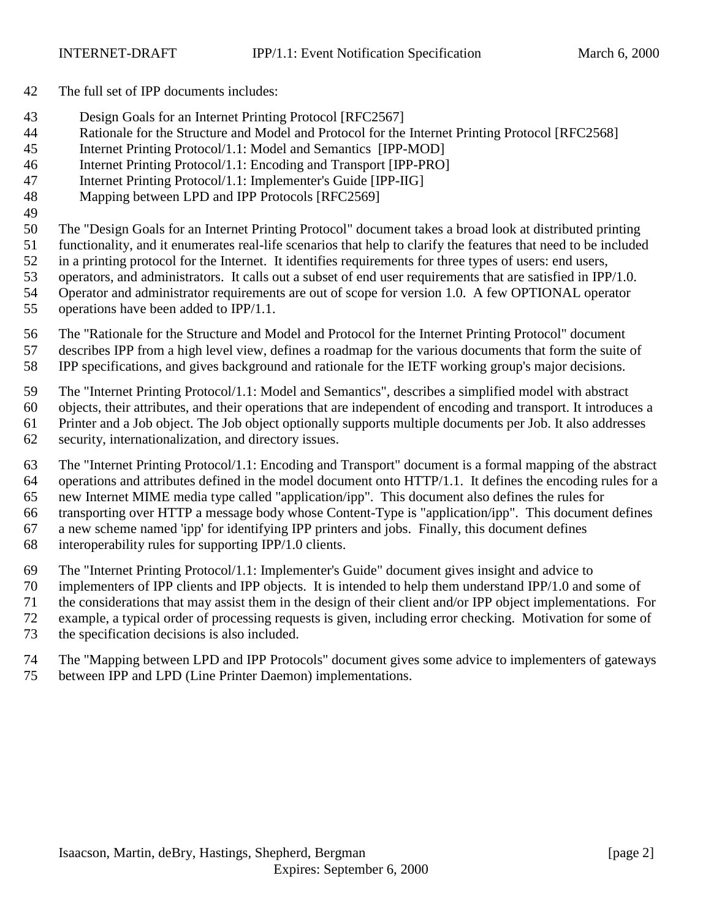- The full set of IPP documents includes:
- Design Goals for an Internet Printing Protocol [RFC2567]
- Rationale for the Structure and Model and Protocol for the Internet Printing Protocol [RFC2568]
- Internet Printing Protocol/1.1: Model and Semantics [IPP-MOD]
- Internet Printing Protocol/1.1: Encoding and Transport [IPP-PRO]
- Internet Printing Protocol/1.1: Implementer's Guide [IPP-IIG]
- Mapping between LPD and IPP Protocols [RFC2569]
- The "Design Goals for an Internet Printing Protocol" document takes a broad look at distributed printing
- functionality, and it enumerates real-life scenarios that help to clarify the features that need to be included
- in a printing protocol for the Internet. It identifies requirements for three types of users: end users,
- operators, and administrators. It calls out a subset of end user requirements that are satisfied in IPP/1.0.
- Operator and administrator requirements are out of scope for version 1.0. A few OPTIONAL operator
- operations have been added to IPP/1.1.
- The "Rationale for the Structure and Model and Protocol for the Internet Printing Protocol" document describes IPP from a high level view, defines a roadmap for the various documents that form the suite of
- IPP specifications, and gives background and rationale for the IETF working group's major decisions.
- The "Internet Printing Protocol/1.1: Model and Semantics", describes a simplified model with abstract
- objects, their attributes, and their operations that are independent of encoding and transport. It introduces a Printer and a Job object. The Job object optionally supports multiple documents per Job. It also addresses
- 
- security, internationalization, and directory issues.
- The "Internet Printing Protocol/1.1: Encoding and Transport" document is a formal mapping of the abstract operations and attributes defined in the model document onto HTTP/1.1. It defines the encoding rules for a new Internet MIME media type called "application/ipp". This document also defines the rules for
- transporting over HTTP a message body whose Content-Type is "application/ipp". This document defines
- a new scheme named 'ipp' for identifying IPP printers and jobs. Finally, this document defines
- interoperability rules for supporting IPP/1.0 clients.
- The "Internet Printing Protocol/1.1: Implementer's Guide" document gives insight and advice to
- implementers of IPP clients and IPP objects. It is intended to help them understand IPP/1.0 and some of
- the considerations that may assist them in the design of their client and/or IPP object implementations. For
- example, a typical order of processing requests is given, including error checking. Motivation for some of
- the specification decisions is also included.
- The "Mapping between LPD and IPP Protocols" document gives some advice to implementers of gateways between IPP and LPD (Line Printer Daemon) implementations.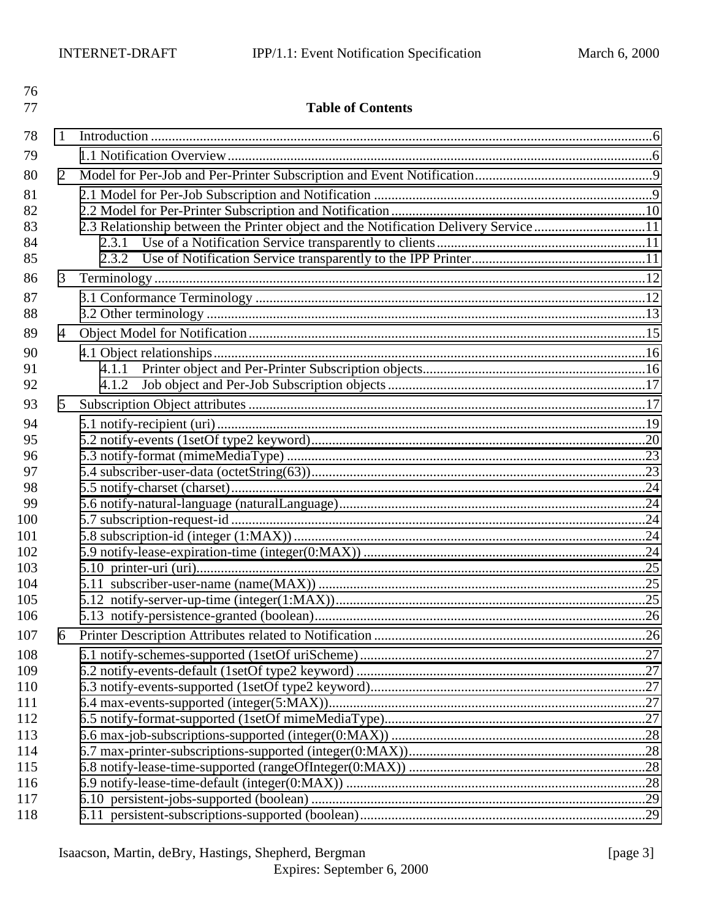| 76<br>77   |   | <b>Table of Contents</b>                                                             |  |
|------------|---|--------------------------------------------------------------------------------------|--|
| 78         | 1 |                                                                                      |  |
| 79         |   |                                                                                      |  |
| 80         | 2 |                                                                                      |  |
| 81         |   |                                                                                      |  |
| 82         |   |                                                                                      |  |
| 83         |   | 2.3 Relationship between the Printer object and the Notification Delivery Service 11 |  |
| 84         |   |                                                                                      |  |
| 85         |   |                                                                                      |  |
| 86         | 3 |                                                                                      |  |
| 87         |   |                                                                                      |  |
| 88         |   |                                                                                      |  |
| 89         | 4 |                                                                                      |  |
| 90         |   |                                                                                      |  |
| 91         |   | 4.1.1                                                                                |  |
| 92         |   | 4.1.2                                                                                |  |
| 93         | 5 |                                                                                      |  |
| 94         |   |                                                                                      |  |
| 95         |   |                                                                                      |  |
| 96         |   |                                                                                      |  |
| 97<br>98   |   |                                                                                      |  |
| 99         |   |                                                                                      |  |
| 100        |   |                                                                                      |  |
| 101        |   |                                                                                      |  |
| 102        |   |                                                                                      |  |
| 103        |   |                                                                                      |  |
| 104        |   |                                                                                      |  |
| 105        |   |                                                                                      |  |
| 106        |   |                                                                                      |  |
| 107        | 6 |                                                                                      |  |
| 108<br>109 |   |                                                                                      |  |
| 110        |   |                                                                                      |  |
| 111        |   |                                                                                      |  |
| 112        |   |                                                                                      |  |
| 113        |   |                                                                                      |  |
| 114        |   |                                                                                      |  |
| 115        |   |                                                                                      |  |
| 116        |   |                                                                                      |  |
| 117        |   |                                                                                      |  |
| 118        |   |                                                                                      |  |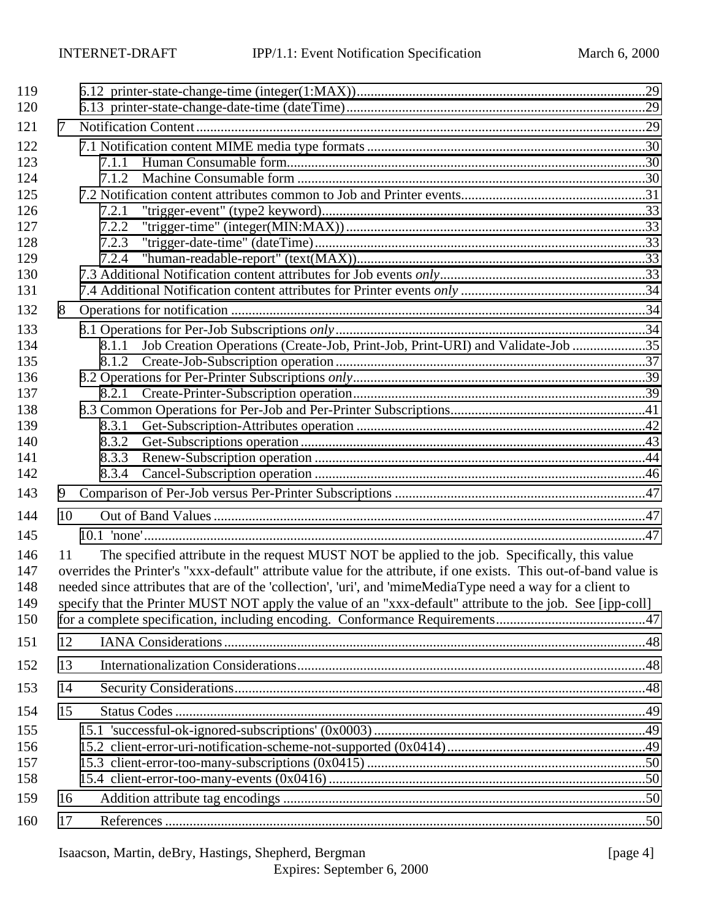| 119                             |    |                                                                                                                                                                                                                                                                                                                                                                                                                                                  |  |
|---------------------------------|----|--------------------------------------------------------------------------------------------------------------------------------------------------------------------------------------------------------------------------------------------------------------------------------------------------------------------------------------------------------------------------------------------------------------------------------------------------|--|
| 120                             |    |                                                                                                                                                                                                                                                                                                                                                                                                                                                  |  |
| 121                             | 7  |                                                                                                                                                                                                                                                                                                                                                                                                                                                  |  |
| 122                             |    |                                                                                                                                                                                                                                                                                                                                                                                                                                                  |  |
| 123                             |    | 7.1.1                                                                                                                                                                                                                                                                                                                                                                                                                                            |  |
| 124                             |    | 7.1.2                                                                                                                                                                                                                                                                                                                                                                                                                                            |  |
| 125                             |    |                                                                                                                                                                                                                                                                                                                                                                                                                                                  |  |
| 126<br>127                      |    | 7.2.1<br>7.2.2                                                                                                                                                                                                                                                                                                                                                                                                                                   |  |
| 128                             |    | 7.2.3                                                                                                                                                                                                                                                                                                                                                                                                                                            |  |
| 129                             |    | 7.2.4                                                                                                                                                                                                                                                                                                                                                                                                                                            |  |
| 130                             |    |                                                                                                                                                                                                                                                                                                                                                                                                                                                  |  |
| 131                             |    |                                                                                                                                                                                                                                                                                                                                                                                                                                                  |  |
| 132                             | 8  |                                                                                                                                                                                                                                                                                                                                                                                                                                                  |  |
| 133                             |    |                                                                                                                                                                                                                                                                                                                                                                                                                                                  |  |
| 134                             |    | Job Creation Operations (Create-Job, Print-Job, Print-URI) and Validate-Job 35<br>8.1.1                                                                                                                                                                                                                                                                                                                                                          |  |
| 135                             |    | 8.1.2                                                                                                                                                                                                                                                                                                                                                                                                                                            |  |
| 136                             |    |                                                                                                                                                                                                                                                                                                                                                                                                                                                  |  |
| 137                             |    | 8.2.1                                                                                                                                                                                                                                                                                                                                                                                                                                            |  |
| 138                             |    |                                                                                                                                                                                                                                                                                                                                                                                                                                                  |  |
| 139                             |    | 8.3.1                                                                                                                                                                                                                                                                                                                                                                                                                                            |  |
| 140                             |    | 8.3.2                                                                                                                                                                                                                                                                                                                                                                                                                                            |  |
| 141                             |    | 8.3.3                                                                                                                                                                                                                                                                                                                                                                                                                                            |  |
| 142                             |    | 8.3.4                                                                                                                                                                                                                                                                                                                                                                                                                                            |  |
| 143                             | 9  |                                                                                                                                                                                                                                                                                                                                                                                                                                                  |  |
| 144                             | 10 |                                                                                                                                                                                                                                                                                                                                                                                                                                                  |  |
| 145                             |    |                                                                                                                                                                                                                                                                                                                                                                                                                                                  |  |
| 146<br>147<br>148<br>149<br>150 | 11 | The specified attribute in the request MUST NOT be applied to the job. Specifically, this value<br>overrides the Printer's "xxx-default" attribute value for the attribute, if one exists. This out-of-band value is<br>needed since attributes that are of the 'collection', 'uri', and 'mimeMediaType need a way for a client to<br>specify that the Printer MUST NOT apply the value of an "xxx-default" attribute to the job. See [ipp-coll] |  |
| 151                             | 12 |                                                                                                                                                                                                                                                                                                                                                                                                                                                  |  |
| 152                             | 13 |                                                                                                                                                                                                                                                                                                                                                                                                                                                  |  |
| 153                             | 14 |                                                                                                                                                                                                                                                                                                                                                                                                                                                  |  |
| 154                             | 15 |                                                                                                                                                                                                                                                                                                                                                                                                                                                  |  |
| 155                             |    |                                                                                                                                                                                                                                                                                                                                                                                                                                                  |  |
| 156                             |    |                                                                                                                                                                                                                                                                                                                                                                                                                                                  |  |
| 157                             |    |                                                                                                                                                                                                                                                                                                                                                                                                                                                  |  |
| 158                             |    |                                                                                                                                                                                                                                                                                                                                                                                                                                                  |  |
| 159                             | 16 |                                                                                                                                                                                                                                                                                                                                                                                                                                                  |  |
| 160                             | 17 |                                                                                                                                                                                                                                                                                                                                                                                                                                                  |  |
|                                 |    |                                                                                                                                                                                                                                                                                                                                                                                                                                                  |  |

# Isaacson, Martin, deBry, Hastings, Shepherd, Bergman [page 4]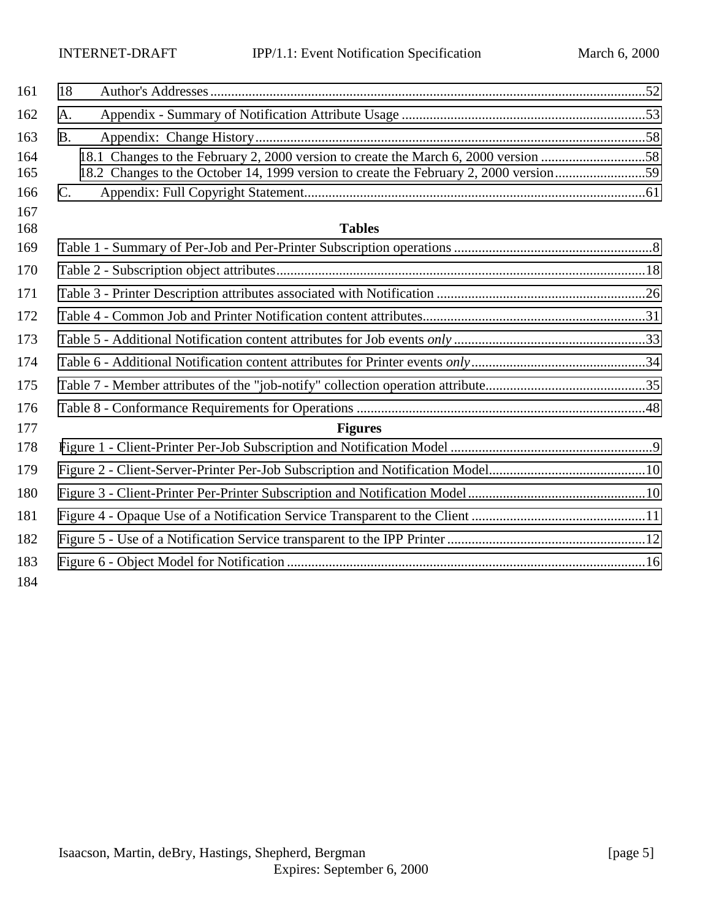| 161 | 18                                                                                    |  |
|-----|---------------------------------------------------------------------------------------|--|
| 162 | A.                                                                                    |  |
| 163 | <b>B.</b>                                                                             |  |
| 164 | 18.1 Changes to the February 2, 2000 version to create the March 6, 2000 version 58   |  |
| 165 | 18.2 Changes to the October 14, 1999 version to create the February 2, 2000 version59 |  |
| 166 | $C_{\cdot}$                                                                           |  |
| 167 |                                                                                       |  |
| 168 | <b>Tables</b>                                                                         |  |
| 169 |                                                                                       |  |
| 170 |                                                                                       |  |
| 171 |                                                                                       |  |
| 172 |                                                                                       |  |
| 173 |                                                                                       |  |
| 174 |                                                                                       |  |
| 175 |                                                                                       |  |
| 176 |                                                                                       |  |
| 177 | <b>Figures</b>                                                                        |  |
| 178 |                                                                                       |  |
| 179 |                                                                                       |  |
| 180 |                                                                                       |  |
| 181 |                                                                                       |  |
| 182 |                                                                                       |  |
| 183 |                                                                                       |  |
| 184 |                                                                                       |  |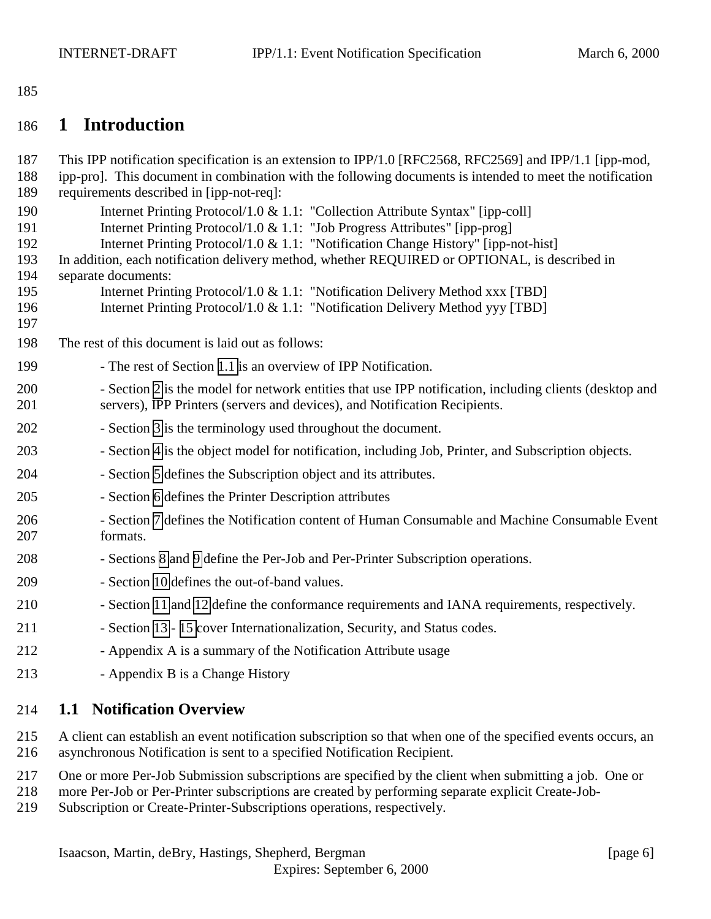<span id="page-5-0"></span>

# **1 Introduction**

| 187<br>188                                           | This IPP notification specification is an extension to IPP/1.0 [RFC2568, RFC2569] and IPP/1.1 [ipp-mod,<br>ipp-pro]. This document in combination with the following documents is intended to meet the notification                                                                                                                                                                                                                                                                                                                          |
|------------------------------------------------------|----------------------------------------------------------------------------------------------------------------------------------------------------------------------------------------------------------------------------------------------------------------------------------------------------------------------------------------------------------------------------------------------------------------------------------------------------------------------------------------------------------------------------------------------|
| 189                                                  | requirements described in [ipp-not-req]:                                                                                                                                                                                                                                                                                                                                                                                                                                                                                                     |
| 190<br>191<br>192<br>193<br>194<br>195<br>196<br>197 | Internet Printing Protocol/1.0 & 1.1: "Collection Attribute Syntax" [ipp-coll]<br>Internet Printing Protocol/1.0 & 1.1: "Job Progress Attributes" [ipp-prog]<br>Internet Printing Protocol/1.0 & 1.1: "Notification Change History" [ipp-not-hist]<br>In addition, each notification delivery method, whether REQUIRED or OPTIONAL, is described in<br>separate documents:<br>Internet Printing Protocol/1.0 & 1.1: "Notification Delivery Method xxx [TBD]<br>Internet Printing Protocol/1.0 & 1.1: "Notification Delivery Method yyy [TBD] |
| 198                                                  | The rest of this document is laid out as follows:                                                                                                                                                                                                                                                                                                                                                                                                                                                                                            |
| 199                                                  | - The rest of Section 1.1 is an overview of IPP Notification.                                                                                                                                                                                                                                                                                                                                                                                                                                                                                |
| 200<br>201                                           | - Section 2 is the model for network entities that use IPP notification, including clients (desktop and<br>servers), IPP Printers (servers and devices), and Notification Recipients.                                                                                                                                                                                                                                                                                                                                                        |
| 202                                                  | - Section 3 is the terminology used throughout the document.                                                                                                                                                                                                                                                                                                                                                                                                                                                                                 |
| 203                                                  | - Section 4 is the object model for notification, including Job, Printer, and Subscription objects.                                                                                                                                                                                                                                                                                                                                                                                                                                          |
| 204                                                  | - Section 5 defines the Subscription object and its attributes.                                                                                                                                                                                                                                                                                                                                                                                                                                                                              |
| 205                                                  | - Section 6 defines the Printer Description attributes                                                                                                                                                                                                                                                                                                                                                                                                                                                                                       |
| 206<br>207                                           | - Section 7 defines the Notification content of Human Consumable and Machine Consumable Event<br>formats.                                                                                                                                                                                                                                                                                                                                                                                                                                    |
| 208                                                  | - Sections 8 and 9 define the Per-Job and Per-Printer Subscription operations.                                                                                                                                                                                                                                                                                                                                                                                                                                                               |
| 209                                                  | - Section 10 defines the out-of-band values.                                                                                                                                                                                                                                                                                                                                                                                                                                                                                                 |
| 210                                                  | - Section 11 and 12 define the conformance requirements and IANA requirements, respectively.                                                                                                                                                                                                                                                                                                                                                                                                                                                 |
| 211                                                  | - Section 13 - 15 cover Internationalization, Security, and Status codes.                                                                                                                                                                                                                                                                                                                                                                                                                                                                    |
| 212                                                  | - Appendix A is a summary of the Notification Attribute usage                                                                                                                                                                                                                                                                                                                                                                                                                                                                                |
| 213                                                  | - Appendix B is a Change History                                                                                                                                                                                                                                                                                                                                                                                                                                                                                                             |
| 214                                                  | <b>1.1 Notification Overview</b>                                                                                                                                                                                                                                                                                                                                                                                                                                                                                                             |
|                                                      |                                                                                                                                                                                                                                                                                                                                                                                                                                                                                                                                              |

 A client can establish an event notification subscription so that when one of the specified events occurs, an asynchronous Notification is sent to a specified Notification Recipient.

- One or more Per-Job Submission subscriptions are specified by the client when submitting a job. One or
- more Per-Job or Per-Printer subscriptions are created by performing separate explicit Create-Job-
- Subscription or Create-Printer-Subscriptions operations, respectively.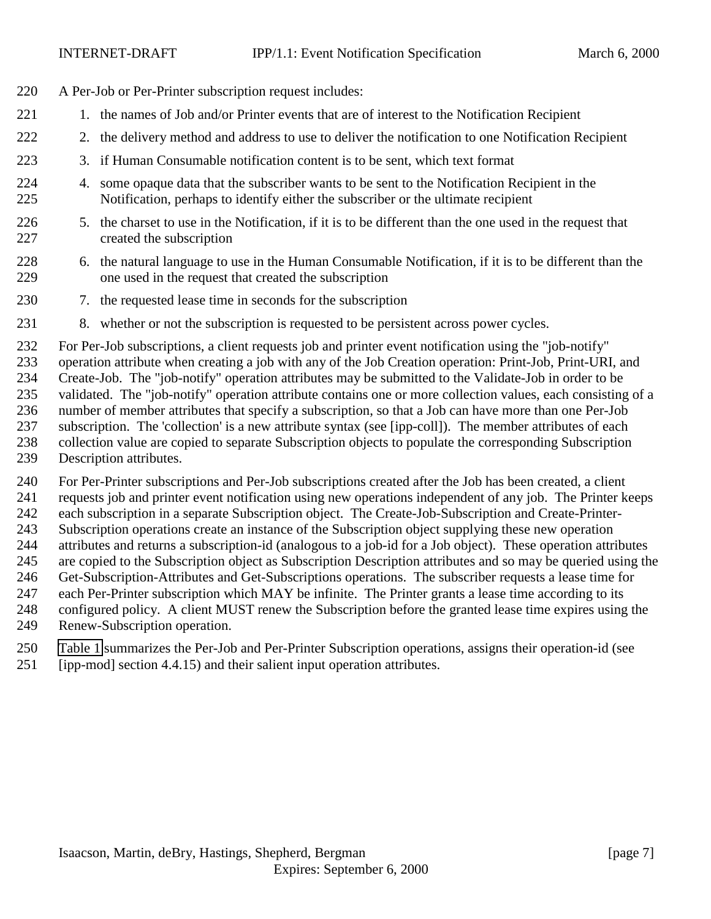- A Per-Job or Per-Printer subscription request includes:
- 221 1. the names of Job and/or Printer events that are of interest to the Notification Recipient
- 2. the delivery method and address to use to deliver the notification to one Notification Recipient
- 3. if Human Consumable notification content is to be sent, which text format
- 4. some opaque data that the subscriber wants to be sent to the Notification Recipient in the Notification, perhaps to identify either the subscriber or the ultimate recipient
- 5. the charset to use in the Notification, if it is to be different than the one used in the request that created the subscription
- 6. the natural language to use in the Human Consumable Notification, if it is to be different than the one used in the request that created the subscription
- 7. the requested lease time in seconds for the subscription
- 8. whether or not the subscription is requested to be persistent across power cycles.

 For Per-Job subscriptions, a client requests job and printer event notification using the "job-notify" operation attribute when creating a job with any of the Job Creation operation: Print-Job, Print-URI, and Create-Job. The "job-notify" operation attributes may be submitted to the Validate-Job in order to be validated. The "job-notify" operation attribute contains one or more collection values, each consisting of a number of member attributes that specify a subscription, so that a Job can have more than one Per-Job subscription. The 'collection' is a new attribute syntax (see [ipp-coll]). The member attributes of each collection value are copied to separate Subscription objects to populate the corresponding Subscription Description attributes.

 For Per-Printer subscriptions and Per-Job subscriptions created after the Job has been created, a client requests job and printer event notification using new operations independent of any job. The Printer keeps each subscription in a separate Subscription object. The Create-Job-Subscription and Create-Printer- Subscription operations create an instance of the Subscription object supplying these new operation attributes and returns a subscription-id (analogous to a job-id for a Job object). These operation attributes are copied to the Subscription object as Subscription Description attributes and so may be queried using the Get-Subscription-Attributes and Get-Subscriptions operations. The subscriber requests a lease time for each Per-Printer subscription which MAY be infinite. The Printer grants a lease time according to its configured policy. A client MUST renew the Subscription before the granted lease time expires using the Renew-Subscription operation.

- [Table 1](#page-7-0) summarizes the Per-Job and Per-Printer Subscription operations, assigns their operation-id (see
- [ipp-mod] section 4.4.15) and their salient input operation attributes.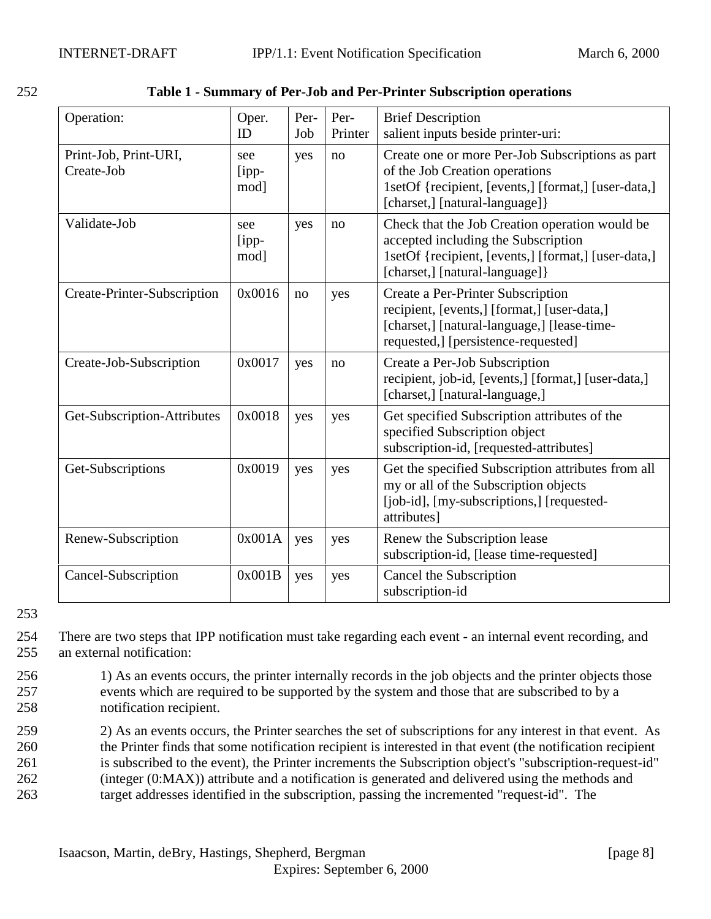| Operation:                          | Oper.<br>ID             | Per-<br>Job | Per-<br>Printer | <b>Brief Description</b><br>salient inputs beside printer-uri:                                                                                                                  |
|-------------------------------------|-------------------------|-------------|-----------------|---------------------------------------------------------------------------------------------------------------------------------------------------------------------------------|
| Print-Job, Print-URI,<br>Create-Job | see<br>$[$ ipp-<br>mod] | yes         | no              | Create one or more Per-Job Subscriptions as part<br>of the Job Creation operations<br>1setOf {recipient, [events,] [format,] [user-data,]<br>[charset,] [natural-language]}     |
| Validate-Job                        | see<br>$[$ ipp-<br>mod] | yes         | no              | Check that the Job Creation operation would be<br>accepted including the Subscription<br>1setOf {recipient, [events,] [format,] [user-data,]<br>[charset,] [natural-language] } |
| Create-Printer-Subscription         | 0x0016                  | no          | yes             | Create a Per-Printer Subscription<br>recipient, [events,] [format,] [user-data,]<br>[charset,] [natural-language,] [lease-time-<br>requested,] [persistence-requested]          |
| Create-Job-Subscription             | 0x0017                  | yes         | no              | Create a Per-Job Subscription<br>recipient, job-id, [events,] [format,] [user-data,]<br>[charset,] [natural-language,]                                                          |
| Get-Subscription-Attributes         | 0x0018                  | yes         | yes             | Get specified Subscription attributes of the<br>specified Subscription object<br>subscription-id, [requested-attributes]                                                        |
| Get-Subscriptions                   | 0x0019                  | yes         | yes             | Get the specified Subscription attributes from all<br>my or all of the Subscription objects<br>[job-id], [my-subscriptions,] [requested-<br>attributes]                         |
| Renew-Subscription                  | 0x001A                  | yes         | yes             | Renew the Subscription lease<br>subscription-id, [lease time-requested]                                                                                                         |
| Cancel-Subscription                 | 0x001B                  | yes         | yes             | Cancel the Subscription<br>subscription-id                                                                                                                                      |

<span id="page-7-0"></span>

| 252<br>Table 1 - Summary of Per-Job and Per-Printer Subscription operations |
|-----------------------------------------------------------------------------|
|-----------------------------------------------------------------------------|

253

254 There are two steps that IPP notification must take regarding each event - an internal event recording, and 255 an external notification:

- 256 1) As an events occurs, the printer internally records in the job objects and the printer objects those 257 events which are required to be supported by the system and those that are subscribed to by a 258 notification recipient.
- 259 2) As an events occurs, the Printer searches the set of subscriptions for any interest in that event. As 260 the Printer finds that some notification recipient is interested in that event (the notification recipient
- 261 is subscribed to the event), the Printer increments the Subscription object's "subscription-request-id"
- 262 (integer (0:MAX)) attribute and a notification is generated and delivered using the methods and
- 263 target addresses identified in the subscription, passing the incremented "request-id". The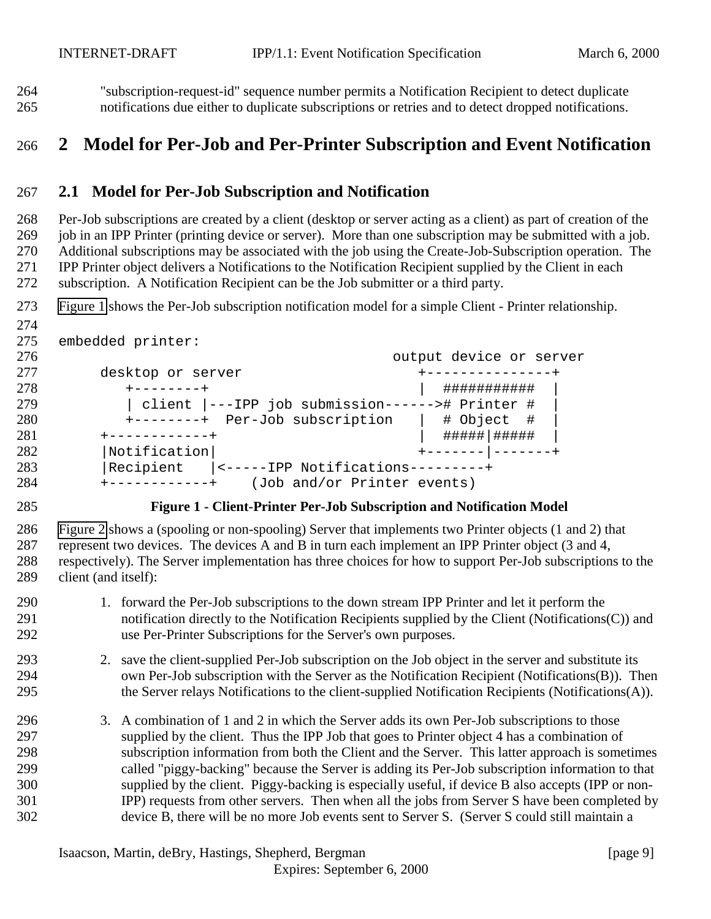<span id="page-8-0"></span> "subscription-request-id" sequence number permits a Notification Recipient to detect duplicate notifications due either to duplicate subscriptions or retries and to detect dropped notifications.

# **2 Model for Per-Job and Per-Printer Subscription and Event Notification**

### **2.1 Model for Per-Job Subscription and Notification**

 Per-Job subscriptions are created by a client (desktop or server acting as a client) as part of creation of the 269 job in an IPP Printer (printing device or server). More than one subscription may be submitted with a job. Additional subscriptions may be associated with the job using the Create-Job-Subscription operation. The IPP Printer object delivers a Notifications to the Notification Recipient supplied by the Client in each subscription. A Notification Recipient can be the Job submitter or a third party.

Figure 1 shows the Per-Job subscription notification model for a simple Client - Printer relationship.

```
274
```

```
275 embedded printer:
```

| 277<br>desktop or server<br>--------------                      |  |
|-----------------------------------------------------------------|--|
| 278<br>###########<br>$+ - - - - - - - +$                       |  |
| 279<br>client  ---IPP job submission------># Printer #          |  |
| 280<br>+--------+ Per-Job subscription<br># Object #            |  |
| 281<br>------------+                                            |  |
| 282<br>$\vert$ Notification $\vert$                             |  |
| 283<br>Recipient<br> <-----IPP Notifications---------+          |  |
| 284<br>(Job and/or Printer events)<br>$+ - - - - - - - - - - +$ |  |

#### **Figure 1 - Client-Printer Per-Job Subscription and Notification Model**

 [Figure 2](#page-9-0) shows a (spooling or non-spooling) Server that implements two Printer objects (1 and 2) that represent two devices. The devices A and B in turn each implement an IPP Printer object (3 and 4, respectively). The Server implementation has three choices for how to support Per-Job subscriptions to the client (and itself):

- 1. forward the Per-Job subscriptions to the down stream IPP Printer and let it perform the notification directly to the Notification Recipients supplied by the Client (Notifications(C)) and use Per-Printer Subscriptions for the Server's own purposes.
- 2. save the client-supplied Per-Job subscription on the Job object in the server and substitute its own Per-Job subscription with the Server as the Notification Recipient (Notifications(B)). Then the Server relays Notifications to the client-supplied Notification Recipients (Notifications(A)).
- 3. A combination of 1 and 2 in which the Server adds its own Per-Job subscriptions to those supplied by the client. Thus the IPP Job that goes to Printer object 4 has a combination of subscription information from both the Client and the Server. This latter approach is sometimes called "piggy-backing" because the Server is adding its Per-Job subscription information to that supplied by the client. Piggy-backing is especially useful, if device B also accepts (IPP or non- IPP) requests from other servers. Then when all the jobs from Server S have been completed by device B, there will be no more Job events sent to Server S. (Server S could still maintain a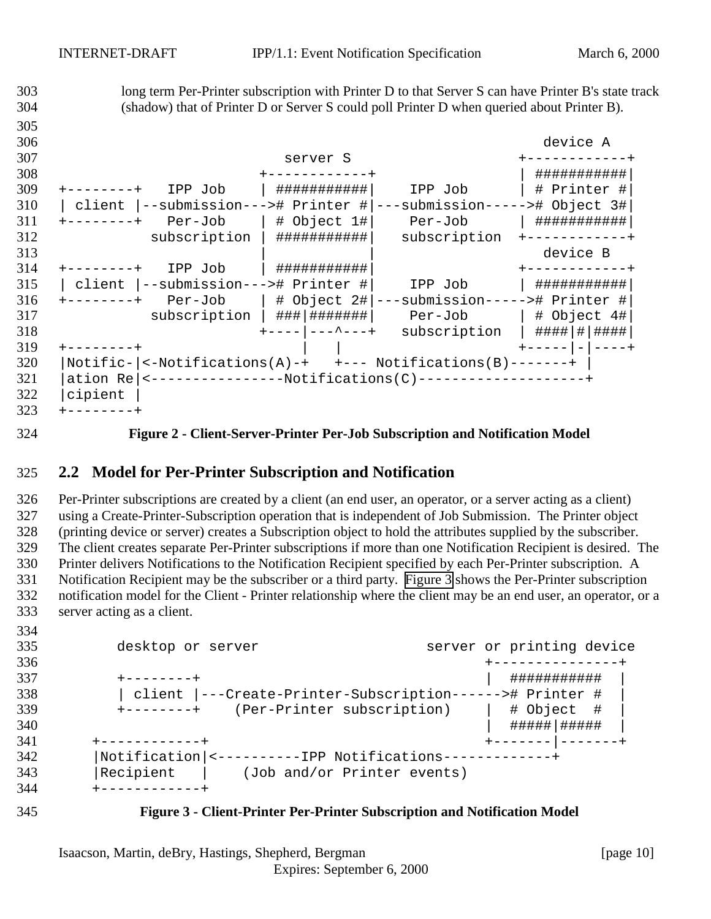<span id="page-9-0"></span> long term Per-Printer subscription with Printer D to that Server S can have Printer B's state track (shadow) that of Printer D or Server S could poll Printer D when queried about Printer B). device A server S +------------+ +------------+ | ###########| +--------+ IPP Job | ###########| IPP Job | # Printer #| | client |--submission---># Printer #|---submission-----># Object 3#|<br> $311$  +-------+ Per-Job | # Object 1#| Per-Job | ############ +--------+  $Per-Job$  | #  $Object 1#$   $Per-Job$  subscription | ###########| subscription +------------+ | | device B +--------+ IPP Job | ###########| +------------+ 315 | client |--submission---># Printer #| IPP Job | ############# +--------+ Per-Job | # Object 2#|---submission-----># Printer #| subscription | ###|#######| Per-Job | # Object 4#| +----|---^---+ subscription | ####|#|####| +--------+ | | +-----|-|----+ |Notific-|<-Notifications(A)-+ +--- Notifications(B)-------+ | |ation Re|<----------------Notifications(C)--------------------+ |cipient | +--------+

**Figure 2 - Client-Server-Printer Per-Job Subscription and Notification Model**

### **2.2 Model for Per-Printer Subscription and Notification**

 Per-Printer subscriptions are created by a client (an end user, an operator, or a server acting as a client) using a Create-Printer-Subscription operation that is independent of Job Submission. The Printer object (printing device or server) creates a Subscription object to hold the attributes supplied by the subscriber. The client creates separate Per-Printer subscriptions if more than one Notification Recipient is desired. The Printer delivers Notifications to the Notification Recipient specified by each Per-Printer subscription. A Notification Recipient may be the subscriber or a third party. Figure 3 shows the Per-Printer subscription notification model for the Client - Printer relationship where the client may be an end user, an operator, or a server acting as a client.

| 335<br>336 | desktop or server                                        |  | server or printing device |     |
|------------|----------------------------------------------------------|--|---------------------------|-----|
| 337        | --------+                                                |  | ###########               |     |
| 338        | client  ---Create-Printer-Subscription------># Printer # |  |                           |     |
| 339        | (Per-Printer subscription)<br>$+ - - - - - - - +$        |  | # Object                  | - # |
| 340        |                                                          |  | #####   #####             |     |
| 341        | +-----------+                                            |  |                           |     |
| 342        | Notification  <----------IPP Notifications-              |  |                           |     |
| 343        | Recipient<br>(Job and/or Printer events)                 |  |                           |     |
| 344        | ----------                                               |  |                           |     |



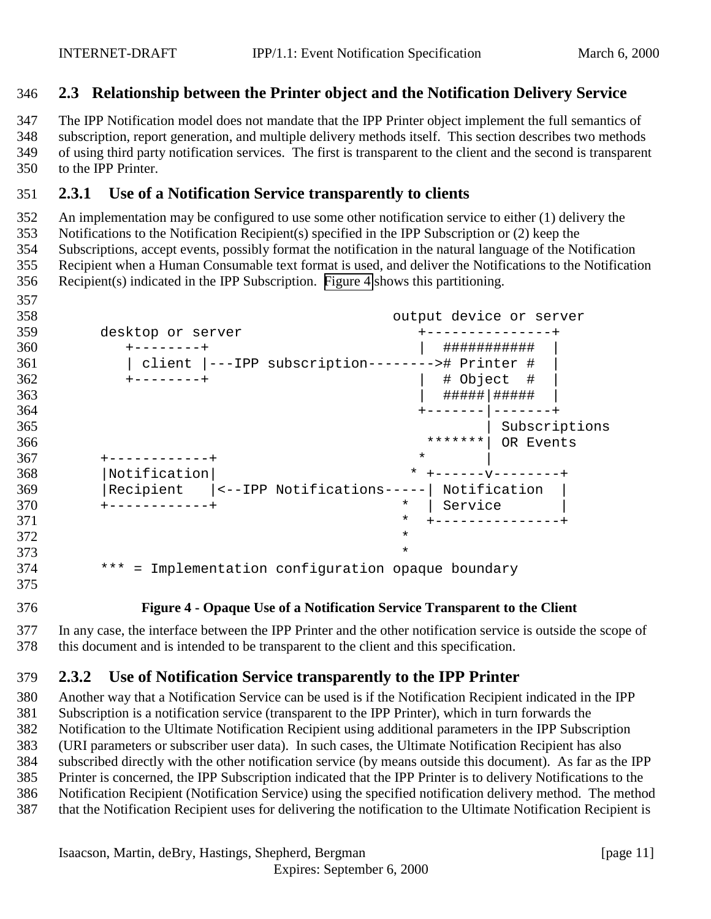### <span id="page-10-0"></span>**2.3 Relationship between the Printer object and the Notification Delivery Service**

 The IPP Notification model does not mandate that the IPP Printer object implement the full semantics of subscription, report generation, and multiple delivery methods itself. This section describes two methods of using third party notification services. The first is transparent to the client and the second is transparent to the IPP Printer.

# **2.3.1 Use of a Notification Service transparently to clients**

 An implementation may be configured to use some other notification service to either (1) delivery the Notifications to the Notification Recipient(s) specified in the IPP Subscription or (2) keep the Subscriptions, accept events, possibly format the notification in the natural language of the Notification Recipient when a Human Consumable text format is used, and deliver the Notifications to the Notification Recipient(s) indicated in the IPP Subscription. Figure 4 shows this partitioning.

| 358 | output device or server                                    |
|-----|------------------------------------------------------------|
| 359 | desktop or server                                          |
| 360 | ###########<br>------+                                     |
| 361 | client  ---IPP subscription--------># Printer #            |
| 362 | # Object<br>- #<br>--------+                               |
| 363 | #####   #####                                              |
| 364 |                                                            |
| 365 | Subscriptions                                              |
| 366 | * * * * * * *<br>OR Events                                 |
| 367 | $\star$                                                    |
| 368 | Notification<br>* $+$ - - - - - - - - - - - - - - +        |
| 369 | Recipient<br>$ $ <--IPP Notifications-----<br>Notification |
| 370 | $\star$<br>Service                                         |
| 371 | $^\star$                                                   |
| 372 | $\star$                                                    |
| 373 | $\star$                                                    |
| 374 | *** = Implementation configuration opaque boundary         |

**Figure 4 - Opaque Use of a Notification Service Transparent to the Client**

 In any case, the interface between the IPP Printer and the other notification service is outside the scope of this document and is intended to be transparent to the client and this specification.

# **2.3.2 Use of Notification Service transparently to the IPP Printer**

 Another way that a Notification Service can be used is if the Notification Recipient indicated in the IPP Subscription is a notification service (transparent to the IPP Printer), which in turn forwards the Notification to the Ultimate Notification Recipient using additional parameters in the IPP Subscription (URI parameters or subscriber user data). In such cases, the Ultimate Notification Recipient has also subscribed directly with the other notification service (by means outside this document). As far as the IPP Printer is concerned, the IPP Subscription indicated that the IPP Printer is to delivery Notifications to the Notification Recipient (Notification Service) using the specified notification delivery method. The method that the Notification Recipient uses for delivering the notification to the Ultimate Notification Recipient is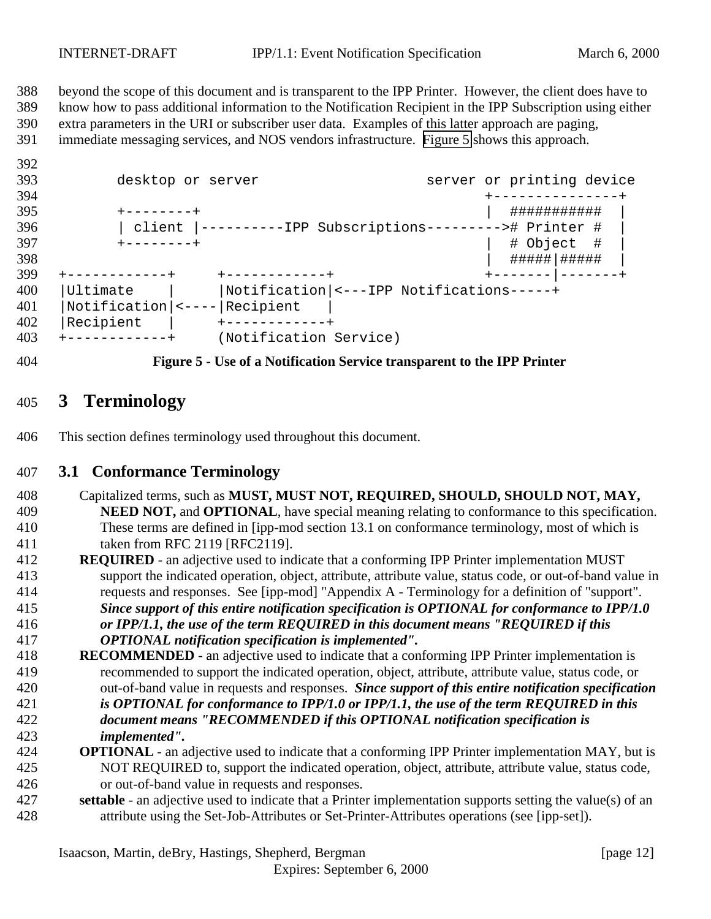<span id="page-11-0"></span> beyond the scope of this document and is transparent to the IPP Printer. However, the client does have to know how to pass additional information to the Notification Recipient in the IPP Subscription using either extra parameters in the URI or subscriber user data. Examples of this latter approach are paging, immediate messaging services, and NOS vendors infrastructure. Figure 5 shows this approach.

| - - |                        |                                                          |                           |
|-----|------------------------|----------------------------------------------------------|---------------------------|
| 393 | desktop or server      |                                                          | server or printing device |
| 394 |                        |                                                          |                           |
| 395 | - – – – – – – +        |                                                          | ###########               |
| 396 |                        | client  ----------IPP Subscriptions---------># Printer # |                           |
| 397 | $+ - - - - - - - +$    |                                                          | # Object #                |
| 398 |                        |                                                          | #####   #####             |
| 399 | ------------+          | +-----------+                                            | +------- -------+         |
| 400 | Ultimate               | Notification  <---IPP Notifications-----+                |                           |
| 401 | $Notification$   <---- | Recipient                                                |                           |
| 402 | Recipient              |                                                          |                           |
| 403 | +-----------+          | (Notification Service)                                   |                           |
|     |                        |                                                          |                           |



**Figure 5 - Use of a Notification Service transparent to the IPP Printer**

# **3 Terminology**

This section defines terminology used throughout this document.

### **3.1 Conformance Terminology**

- Capitalized terms, such as **MUST, MUST NOT, REQUIRED, SHOULD, SHOULD NOT, MAY, NEED NOT,** and **OPTIONAL**, have special meaning relating to conformance to this specification. These terms are defined in [ipp-mod section 13.1 on conformance terminology, most of which is taken from RFC 2119 [RFC2119].
- **REQUIRED**  an adjective used to indicate that a conforming IPP Printer implementation MUST support the indicated operation, object, attribute, attribute value, status code, or out-of-band value in requests and responses. See [ipp-mod] "Appendix A - Terminology for a definition of "support".
- *Since support of this entire notification specification is OPTIONAL for conformance to IPP/1.0 or IPP/1.1, the use of the term REQUIRED in this document means "REQUIRED if this OPTIONAL notification specification is implemented".*
- **RECOMMENDED**  an adjective used to indicate that a conforming IPP Printer implementation is recommended to support the indicated operation, object, attribute, attribute value, status code, or out-of-band value in requests and responses. *Since support of this entire notification specification is OPTIONAL for conformance to IPP/1.0 or IPP/1.1, the use of the term REQUIRED in this document means "RECOMMENDED if this OPTIONAL notification specification is implemented".*
- **OPTIONAL**  an adjective used to indicate that a conforming IPP Printer implementation MAY, but is NOT REQUIRED to, support the indicated operation, object, attribute, attribute value, status code, or out-of-band value in requests and responses.
- **settable**  an adjective used to indicate that a Printer implementation supports setting the value(s) of an attribute using the Set-Job-Attributes or Set-Printer-Attributes operations (see [ipp-set]).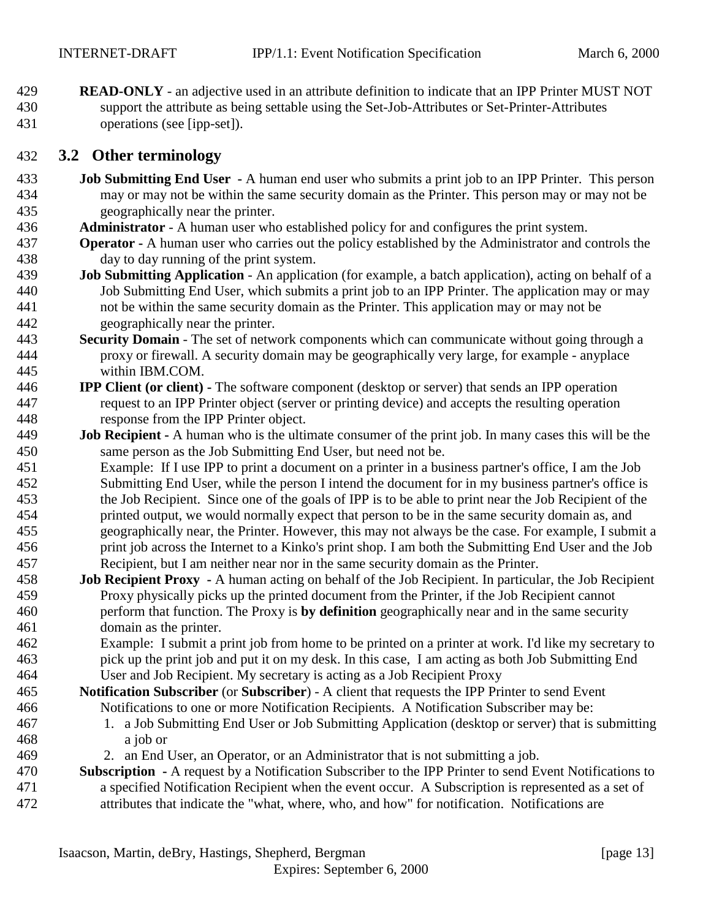<span id="page-12-0"></span> **READ-ONLY** - an adjective used in an attribute definition to indicate that an IPP Printer MUST NOT support the attribute as being settable using the Set-Job-Attributes or Set-Printer-Attributes operations (see [ipp-set]).

### **3.2 Other terminology**

- **Job Submitting End User** A human end user who submits a print job to an IPP Printer. This person may or may not be within the same security domain as the Printer. This person may or may not be geographically near the printer.
- **Administrator**  A human user who established policy for and configures the print system.
- **Operator** A human user who carries out the policy established by the Administrator and controls the day to day running of the print system.
- **Job Submitting Application** An application (for example, a batch application), acting on behalf of a Job Submitting End User, which submits a print job to an IPP Printer. The application may or may not be within the same security domain as the Printer. This application may or may not be geographically near the printer.
- **Security Domain** The set of network components which can communicate without going through a proxy or firewall. A security domain may be geographically very large, for example - anyplace within IBM.COM.
- **IPP Client (or client)** The software component (desktop or server) that sends an IPP operation request to an IPP Printer object (server or printing device) and accepts the resulting operation response from the IPP Printer object.
- **Job Recipient** A human who is the ultimate consumer of the print job. In many cases this will be the same person as the Job Submitting End User, but need not be.
- Example: If I use IPP to print a document on a printer in a business partner's office, I am the Job Submitting End User, while the person I intend the document for in my business partner's office is the Job Recipient. Since one of the goals of IPP is to be able to print near the Job Recipient of the printed output, we would normally expect that person to be in the same security domain as, and geographically near, the Printer. However, this may not always be the case. For example, I submit a print job across the Internet to a Kinko's print shop. I am both the Submitting End User and the Job Recipient, but I am neither near nor in the same security domain as the Printer.
- **Job Recipient Proxy** A human acting on behalf of the Job Recipient. In particular, the Job Recipient Proxy physically picks up the printed document from the Printer, if the Job Recipient cannot perform that function. The Proxy is **by definition** geographically near and in the same security domain as the printer.
- Example: I submit a print job from home to be printed on a printer at work. I'd like my secretary to pick up the print job and put it on my desk. In this case, I am acting as both Job Submitting End User and Job Recipient. My secretary is acting as a Job Recipient Proxy
- **Notification Subscriber** (or **Subscriber**) A client that requests the IPP Printer to send Event Notifications to one or more Notification Recipients. A Notification Subscriber may be:
- 1. a Job Submitting End User or Job Submitting Application (desktop or server) that is submitting a job or
- 2. an End User, an Operator, or an Administrator that is not submitting a job.

### **Subscription -** A request by a Notification Subscriber to the IPP Printer to send Event Notifications to a specified Notification Recipient when the event occur. A Subscription is represented as a set of attributes that indicate the "what, where, who, and how" for notification. Notifications are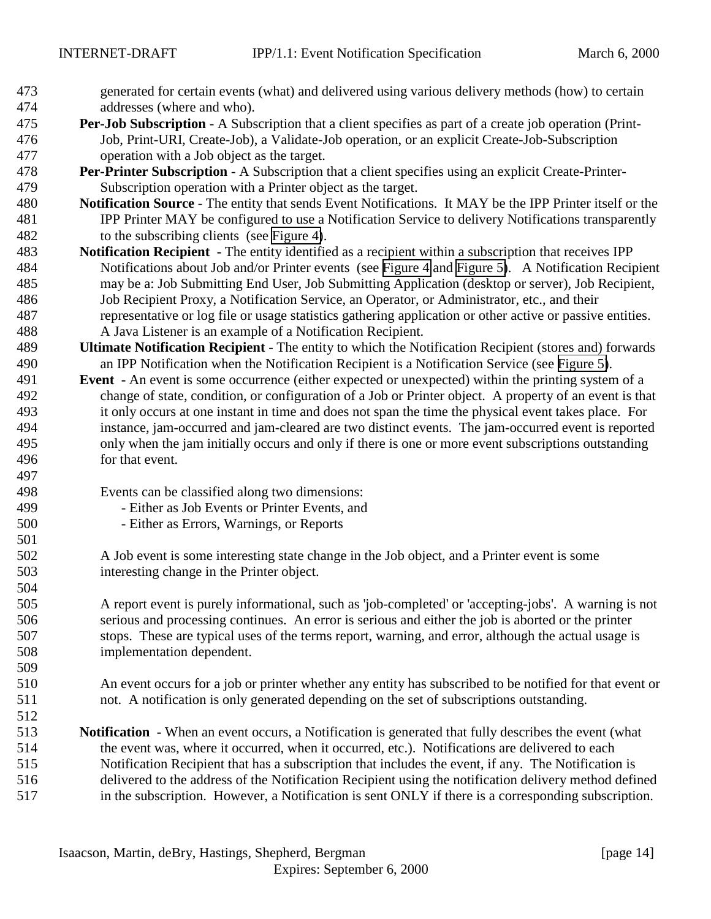- generated for certain events (what) and delivered using various delivery methods (how) to certain addresses (where and who).
- **Per-Job Subscription** A Subscription that a client specifies as part of a create job operation (Print- Job, Print-URI, Create-Job), a Validate-Job operation, or an explicit Create-Job-Subscription operation with a Job object as the target.
- **Per-Printer Subscription** A Subscription that a client specifies using an explicit Create-Printer-Subscription operation with a Printer object as the target.
- **Notification Source** The entity that sends Event Notifications. It MAY be the IPP Printer itself or the IPP Printer MAY be configured to use a Notification Service to delivery Notifications transparently to the subscribing clients (see [Figure 4\)](#page-10-0).
- **Notification Recipient** The entity identified as a recipient within a subscription that receives IPP Notifications about Job and/or Printer events (see [Figure 4](#page-10-0) and [Figure 5\)](#page-11-0). A Notification Recipient may be a: Job Submitting End User, Job Submitting Application (desktop or server), Job Recipient, Job Recipient Proxy, a Notification Service, an Operator, or Administrator, etc., and their representative or log file or usage statistics gathering application or other active or passive entities. A Java Listener is an example of a Notification Recipient.
- **Ultimate Notification Recipient**  The entity to which the Notification Recipient (stores and) forwards an IPP Notification when the Notification Recipient is a Notification Service (see [Figure 5\)](#page-11-0).
- **Event** An event is some occurrence (either expected or unexpected) within the printing system of a change of state, condition, or configuration of a Job or Printer object. A property of an event is that it only occurs at one instant in time and does not span the time the physical event takes place. For instance, jam-occurred and jam-cleared are two distinct events. The jam-occurred event is reported only when the jam initially occurs and only if there is one or more event subscriptions outstanding for that event.
- Events can be classified along two dimensions:
- Either as Job Events or Printer Events, and
- Either as Errors, Warnings, or Reports
- A Job event is some interesting state change in the Job object, and a Printer event is some interesting change in the Printer object.
- A report event is purely informational, such as 'job-completed' or 'accepting-jobs'. A warning is not serious and processing continues. An error is serious and either the job is aborted or the printer stops. These are typical uses of the terms report, warning, and error, although the actual usage is implementation dependent.
- An event occurs for a job or printer whether any entity has subscribed to be notified for that event or not. A notification is only generated depending on the set of subscriptions outstanding.
- 

 **Notification -** When an event occurs, a Notification is generated that fully describes the event (what the event was, where it occurred, when it occurred, etc.). Notifications are delivered to each Notification Recipient that has a subscription that includes the event, if any. The Notification is delivered to the address of the Notification Recipient using the notification delivery method defined in the subscription. However, a Notification is sent ONLY if there is a corresponding subscription.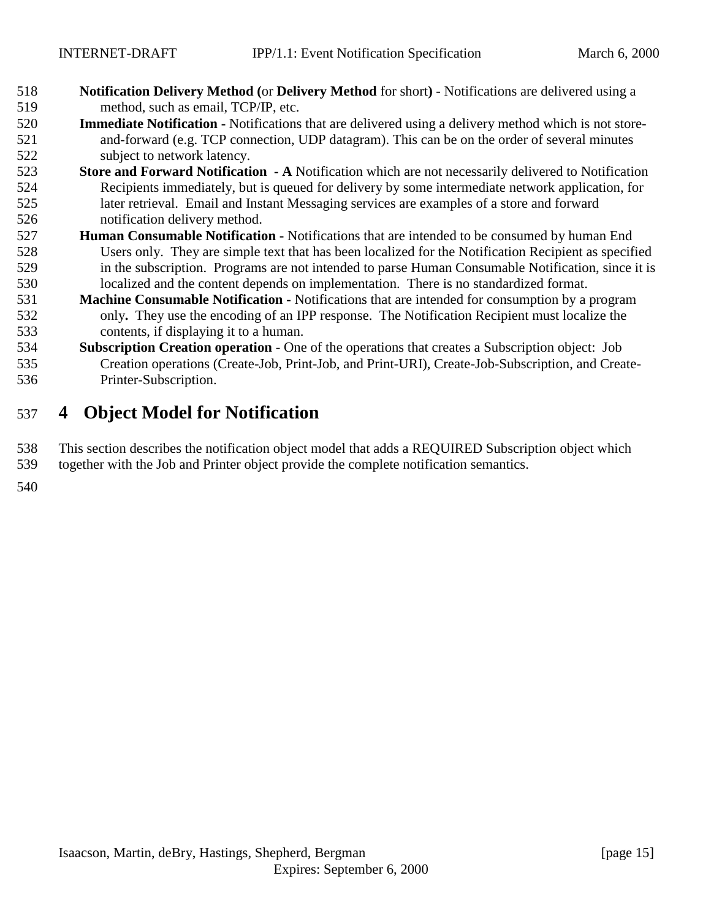- <span id="page-14-0"></span> **Notification Delivery Method (**or **Delivery Method** for short**)** - Notifications are delivered using a method, such as email, TCP/IP, etc.
- **Immediate Notification** Notifications that are delivered using a delivery method which is not store- and-forward (e.g. TCP connection, UDP datagram). This can be on the order of several minutes subject to network latency.
- **Store and Forward Notification A** Notification which are not necessarily delivered to Notification Recipients immediately, but is queued for delivery by some intermediate network application, for later retrieval. Email and Instant Messaging services are examples of a store and forward notification delivery method.
- **Human Consumable Notification** Notifications that are intended to be consumed by human End Users only. They are simple text that has been localized for the Notification Recipient as specified in the subscription. Programs are not intended to parse Human Consumable Notification, since it is localized and the content depends on implementation. There is no standardized format.
- **Machine Consumable Notification** Notifications that are intended for consumption by a program only**.** They use the encoding of an IPP response. The Notification Recipient must localize the contents, if displaying it to a human.
- **Subscription Creation operation**  One of the operations that creates a Subscription object: Job Creation operations (Create-Job, Print-Job, and Print-URI), Create-Job-Subscription, and Create-Printer-Subscription.

# **4 Object Model for Notification**

 This section describes the notification object model that adds a REQUIRED Subscription object which together with the Job and Printer object provide the complete notification semantics.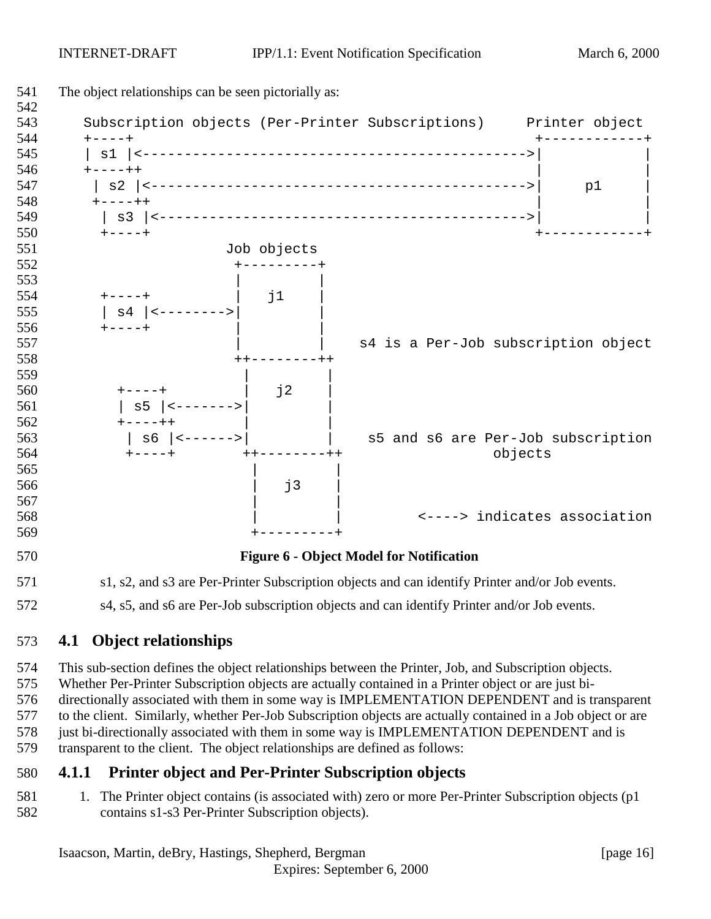<span id="page-15-0"></span>

s4, s5, and s6 are Per-Job subscription objects and can identify Printer and/or Job events.

# **4.1 Object relationships**

 This sub-section defines the object relationships between the Printer, Job, and Subscription objects. Whether Per-Printer Subscription objects are actually contained in a Printer object or are just bi- directionally associated with them in some way is IMPLEMENTATION DEPENDENT and is transparent to the client. Similarly, whether Per-Job Subscription objects are actually contained in a Job object or are 578 just bi-directionally associated with them in some way is IMPLEMENTATION DEPENDENT and is transparent to the client. The object relationships are defined as follows:

# **4.1.1 Printer object and Per-Printer Subscription objects**

581 1. The Printer object contains (is associated with) zero or more Per-Printer Subscription objects (p1 contains s1-s3 Per-Printer Subscription objects).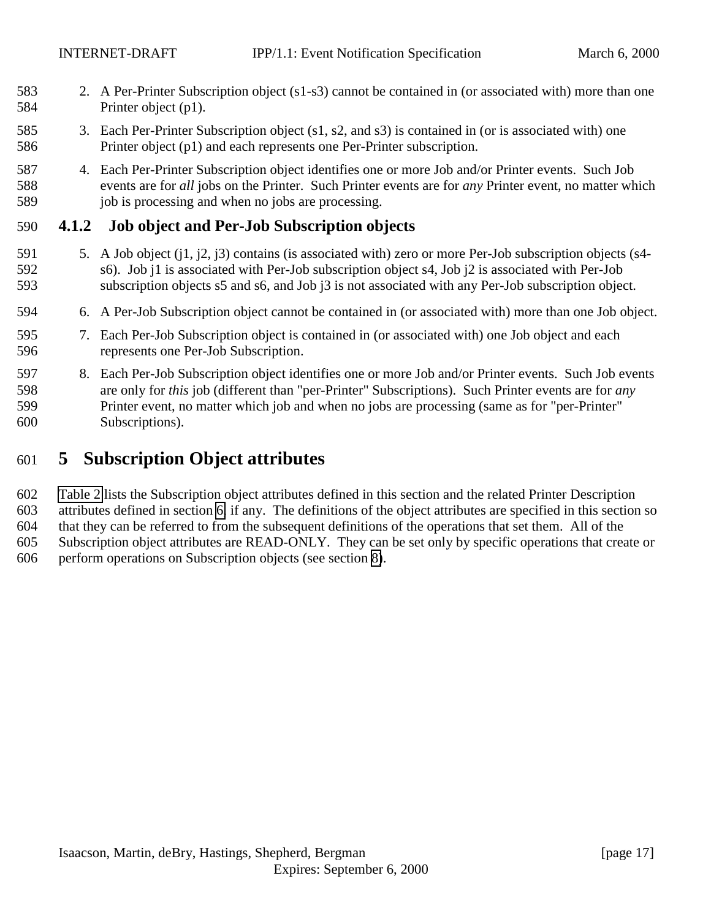- <span id="page-16-0"></span> 2. A Per-Printer Subscription object (s1-s3) cannot be contained in (or associated with) more than one Printer object (p1).
- 3. Each Per-Printer Subscription object (s1, s2, and s3) is contained in (or is associated with) one Printer object (p1) and each represents one Per-Printer subscription.
- 4. Each Per-Printer Subscription object identifies one or more Job and/or Printer events. Such Job events are for *all* jobs on the Printer. Such Printer events are for *any* Printer event, no matter which 589 job is processing and when no jobs are processing.

# **4.1.2 Job object and Per-Job Subscription objects**

- 5. A Job object (j1, j2, j3) contains (is associated with) zero or more Per-Job subscription objects (s4- s6). Job j1 is associated with Per-Job subscription object s4, Job j2 is associated with Per-Job subscription objects s5 and s6, and Job j3 is not associated with any Per-Job subscription object.
- 6. A Per-Job Subscription object cannot be contained in (or associated with) more than one Job object.
- 7. Each Per-Job Subscription object is contained in (or associated with) one Job object and each represents one Per-Job Subscription.
- 8. Each Per-Job Subscription object identifies one or more Job and/or Printer events. Such Job events are only for *this* job (different than "per-Printer" Subscriptions). Such Printer events are for *any* Printer event, no matter which job and when no jobs are processing (same as for "per-Printer" Subscriptions).

# **5 Subscription Object attributes**

 [Table 2](#page-17-0) lists the Subscription object attributes defined in this section and the related Printer Description attributes defined in section [6,](#page-25-0) if any. The definitions of the object attributes are specified in this section so that they can be referred to from the subsequent definitions of the operations that set them. All of the Subscription object attributes are READ-ONLY. They can be set only by specific operations that create or perform operations on Subscription objects (see section [8\)](#page-33-0).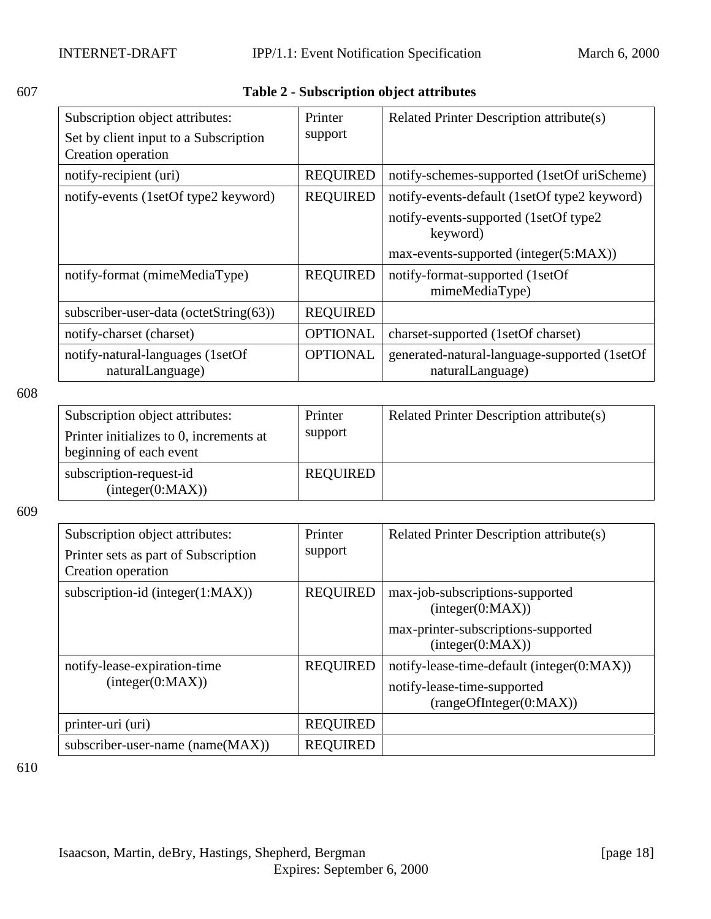<span id="page-17-0"></span>

| I<br>I<br>۰.<br>۰,<br>× |
|-------------------------|
|-------------------------|

# 607 **Table 2 - Subscription object attributes**

| Subscription object attributes:<br>Set by client input to a Subscription<br>Creation operation | Printer<br>support | Related Printer Description attribute(s)                         |
|------------------------------------------------------------------------------------------------|--------------------|------------------------------------------------------------------|
| notify-recipient (uri)                                                                         | <b>REQUIRED</b>    | notify-schemes-supported (1setOf uriScheme)                      |
| notify-events (1setOf type2 keyword)                                                           | <b>REQUIRED</b>    | notify-events-default (1setOf type2 keyword)                     |
|                                                                                                |                    | notify-events-supported (1setOf type2)<br>keyword)               |
|                                                                                                |                    | max-events-supported (integer(5:MAX))                            |
| notify-format (mimeMediaType)                                                                  | <b>REQUIRED</b>    | notify-format-supported (1setOf<br>mimeMediaType)                |
| subscriber-user-data (octetString(63))                                                         | <b>REQUIRED</b>    |                                                                  |
| notify-charset (charset)                                                                       | <b>OPTIONAL</b>    | charset-supported (1setOf charset)                               |
| notify-natural-languages (1setOf<br>naturalLanguage)                                           | <b>OPTIONAL</b>    | generated-natural-language-supported (1setOf<br>naturalLanguage) |

608

| Subscription object attributes:<br>Printer initializes to 0, increments at<br>beginning of each event | Printer<br>support | Related Printer Description attribute(s) |
|-------------------------------------------------------------------------------------------------------|--------------------|------------------------------------------|
| subscription-request-id<br>interger(0:MAX))                                                           | <b>REQUIRED</b>    |                                          |

609

| Subscription object attributes:<br>Printer sets as part of Subscription<br>Creation operation | Printer<br>support | Related Printer Description attribute(s)                                                                       |
|-----------------------------------------------------------------------------------------------|--------------------|----------------------------------------------------------------------------------------------------------------|
| subscription-id (integer $(1:MAX)$ )                                                          | <b>REQUIRED</b>    | max-job-subscriptions-supported<br>(integer(0:MAX))<br>max-printer-subscriptions-supported<br>interger(0:MAX)) |
| notify-lease-expiration-time<br>interger(0:MAX))                                              | <b>REQUIRED</b>    | notify-lease-time-default (integer(0:MAX))<br>notify-lease-time-supported<br>(rangeOfInteger(0:MAX))           |
| printer-uri (uri)                                                                             | <b>REQUIRED</b>    |                                                                                                                |
| subscriber-user-name (name(MAX))                                                              | <b>REQUIRED</b>    |                                                                                                                |

610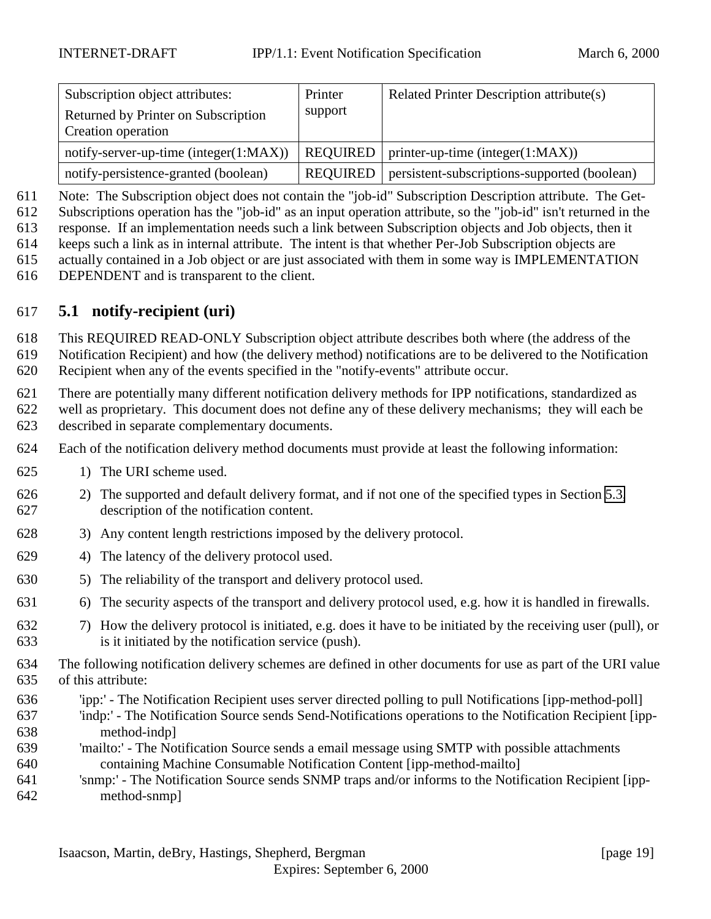<span id="page-18-0"></span>

| Subscription object attributes:<br>Returned by Printer on Subscription<br>Creation operation | Printer<br>support | Related Printer Description attribute(s)     |
|----------------------------------------------------------------------------------------------|--------------------|----------------------------------------------|
| notify-server-up-time (integer $(1:MAX)$ )                                                   | <b>REQUIRED</b>    | $\vert$ printer-up-time (integer(1:MAX))     |
| notify-persistence-granted (boolean)                                                         | <b>REQUIRED</b>    | persistent-subscriptions-supported (boolean) |

Note: The Subscription object does not contain the "job-id" Subscription Description attribute. The Get-

Subscriptions operation has the "job-id" as an input operation attribute, so the "job-id" isn't returned in the

response. If an implementation needs such a link between Subscription objects and Job objects, then it

keeps such a link as in internal attribute. The intent is that whether Per-Job Subscription objects are

 actually contained in a Job object or are just associated with them in some way is IMPLEMENTATION DEPENDENT and is transparent to the client.

# **5.1 notify-recipient (uri)**

This REQUIRED READ-ONLY Subscription object attribute describes both where (the address of the

Notification Recipient) and how (the delivery method) notifications are to be delivered to the Notification

Recipient when any of the events specified in the "notify-events" attribute occur.

 There are potentially many different notification delivery methods for IPP notifications, standardized as well as proprietary. This document does not define any of these delivery mechanisms; they will each be

described in separate complementary documents.

Each of the notification delivery method documents must provide at least the following information:

- 1) The URI scheme used.
- 2) The supported and default delivery format, and if not one of the specified types in Section [5.3,](#page-22-0) description of the notification content.
- 3) Any content length restrictions imposed by the delivery protocol.
- 4) The latency of the delivery protocol used.
- 5) The reliability of the transport and delivery protocol used.
- 6) The security aspects of the transport and delivery protocol used, e.g. how it is handled in firewalls.
- 7) How the delivery protocol is initiated, e.g. does it have to be initiated by the receiving user (pull), or is it initiated by the notification service (push).
- The following notification delivery schemes are defined in other documents for use as part of the URI value of this attribute:
- 'ipp:' The Notification Recipient uses server directed polling to pull Notifications [ipp-method-poll]
- 'indp:' The Notification Source sends Send-Notifications operations to the Notification Recipient [ipp-method-indp]
- 'mailto:' The Notification Source sends a email message using SMTP with possible attachments containing Machine Consumable Notification Content [ipp-method-mailto]
- 'snmp:' The Notification Source sends SNMP traps and/or informs to the Notification Recipient [ipp-method-snmp]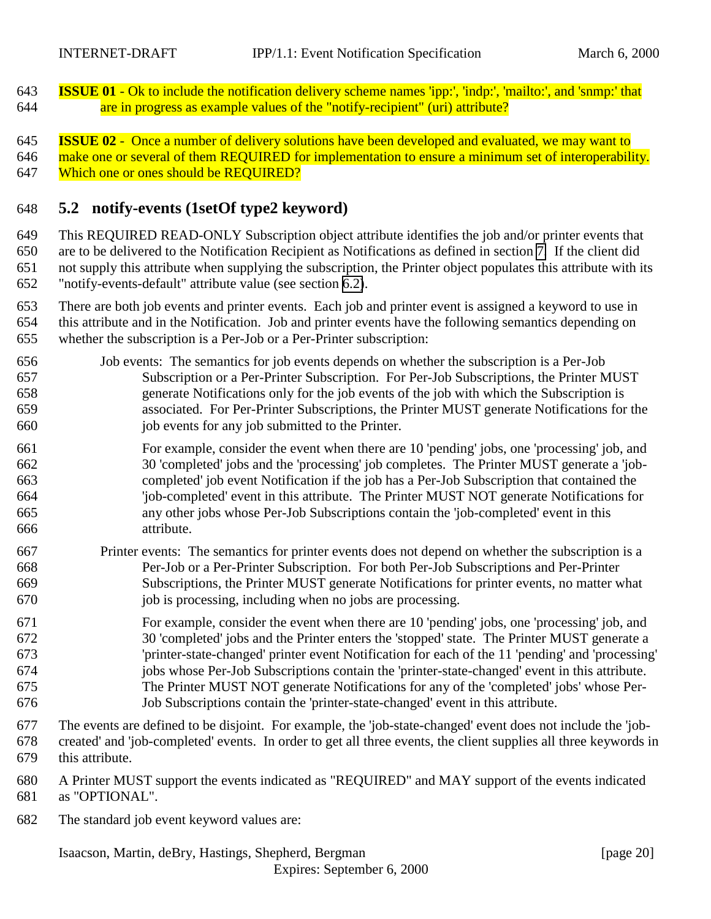<span id="page-19-0"></span> **ISSUE 01** - Ok to include the notification delivery scheme names 'ipp:', 'indp:', 'mailto:', and 'snmp:' that are in progress as example values of the "notify-recipient" (uri) attribute?

 **ISSUE 02** - Once a number of delivery solutions have been developed and evaluated, we may want to make one or several of them REQUIRED for implementation to ensure a minimum set of interoperability. Which one or ones should be REQUIRED?

### **5.2 notify-events (1setOf type2 keyword)**

 This REQUIRED READ-ONLY Subscription object attribute identifies the job and/or printer events that are to be delivered to the Notification Recipient as Notifications as defined in section [7.](#page-28-0) If the client did not supply this attribute when supplying the subscription, the Printer object populates this attribute with its "notify-events-default" attribute value (see section [6.2\)](#page-26-0).

- There are both job events and printer events. Each job and printer event is assigned a keyword to use in this attribute and in the Notification. Job and printer events have the following semantics depending on whether the subscription is a Per-Job or a Per-Printer subscription:
- Job events: The semantics for job events depends on whether the subscription is a Per-Job Subscription or a Per-Printer Subscription. For Per-Job Subscriptions, the Printer MUST generate Notifications only for the job events of the job with which the Subscription is associated. For Per-Printer Subscriptions, the Printer MUST generate Notifications for the job events for any job submitted to the Printer.
- For example, consider the event when there are 10 'pending' jobs, one 'processing' job, and 30 'completed' jobs and the 'processing' job completes. The Printer MUST generate a 'job- completed' job event Notification if the job has a Per-Job Subscription that contained the 'job-completed' event in this attribute. The Printer MUST NOT generate Notifications for any other jobs whose Per-Job Subscriptions contain the 'job-completed' event in this attribute.
- Printer events: The semantics for printer events does not depend on whether the subscription is a Per-Job or a Per-Printer Subscription. For both Per-Job Subscriptions and Per-Printer Subscriptions, the Printer MUST generate Notifications for printer events, no matter what job is processing, including when no jobs are processing.
- For example, consider the event when there are 10 'pending' jobs, one 'processing' job, and 30 'completed' jobs and the Printer enters the 'stopped' state. The Printer MUST generate a 'printer-state-changed' printer event Notification for each of the 11 'pending' and 'processing' jobs whose Per-Job Subscriptions contain the 'printer-state-changed' event in this attribute. The Printer MUST NOT generate Notifications for any of the 'completed' jobs' whose Per-Job Subscriptions contain the 'printer-state-changed' event in this attribute.
- The events are defined to be disjoint. For example, the 'job-state-changed' event does not include the 'job- created' and 'job-completed' events. In order to get all three events, the client supplies all three keywords in this attribute.
- A Printer MUST support the events indicated as "REQUIRED" and MAY support of the events indicated
- as "OPTIONAL".
- The standard job event keyword values are: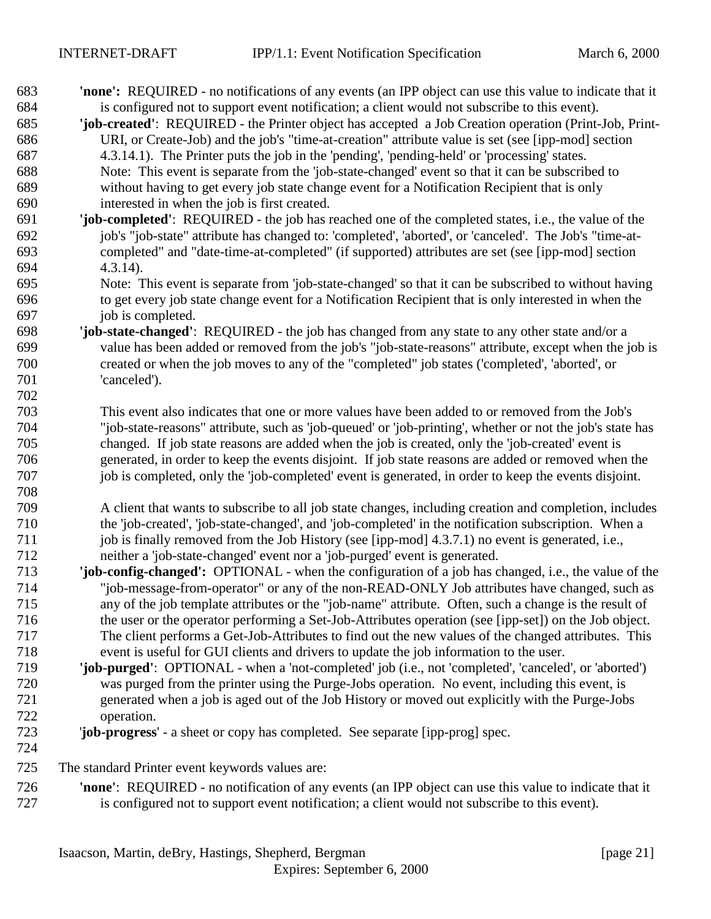| 683 | <b>'none':</b> REQUIRED - no notifications of any events (an IPP object can use this value to indicate that it |
|-----|----------------------------------------------------------------------------------------------------------------|
| 684 | is configured not to support event notification; a client would not subscribe to this event).                  |
| 685 | 'job-created': REQUIRED - the Printer object has accepted a Job Creation operation (Print-Job, Print-          |
| 686 | URI, or Create-Job) and the job's "time-at-creation" attribute value is set (see [ipp-mod] section             |
| 687 | 4.3.14.1). The Printer puts the job in the 'pending', 'pending-held' or 'processing' states.                   |
| 688 | Note: This event is separate from the 'job-state-changed' event so that it can be subscribed to                |
| 689 | without having to get every job state change event for a Notification Recipient that is only                   |
| 690 | interested in when the job is first created.                                                                   |
| 691 | 'job-completed': REQUIRED - the job has reached one of the completed states, i.e., the value of the            |
| 692 | job's "job-state" attribute has changed to: 'completed', 'aborted', or 'canceled'. The Job's "time-at-         |
| 693 | completed" and "date-time-at-completed" (if supported) attributes are set (see [ipp-mod] section               |
| 694 | $4.3.14$ ).                                                                                                    |
| 695 | Note: This event is separate from 'job-state-changed' so that it can be subscribed to without having           |
| 696 | to get every job state change event for a Notification Recipient that is only interested in when the           |
| 697 | job is completed.                                                                                              |
| 698 | 'job-state-changed': REQUIRED - the job has changed from any state to any other state and/or a                 |
| 699 | value has been added or removed from the job's "job-state-reasons" attribute, except when the job is           |
| 700 | created or when the job moves to any of the "completed" job states ('completed', 'aborted', or                 |
| 701 | 'canceled').                                                                                                   |
| 702 |                                                                                                                |
| 703 | This event also indicates that one or more values have been added to or removed from the Job's                 |
| 704 | "job-state-reasons" attribute, such as 'job-queued' or 'job-printing', whether or not the job's state has      |
| 705 | changed. If job state reasons are added when the job is created, only the 'job-created' event is               |
| 706 | generated, in order to keep the events disjoint. If job state reasons are added or removed when the            |
| 707 | job is completed, only the 'job-completed' event is generated, in order to keep the events disjoint.           |
| 708 |                                                                                                                |
| 709 | A client that wants to subscribe to all job state changes, including creation and completion, includes         |
| 710 | the 'job-created', 'job-state-changed', and 'job-completed' in the notification subscription. When a           |
| 711 | job is finally removed from the Job History (see [ipp-mod] 4.3.7.1) no event is generated, i.e.,               |
| 712 | neither a 'job-state-changed' event nor a 'job-purged' event is generated.                                     |
| 713 | 'job-config-changed': OPTIONAL - when the configuration of a job has changed, i.e., the value of the           |
| 714 | "job-message-from-operator" or any of the non-READ-ONLY Job attributes have changed, such as                   |
| 715 | any of the job template attributes or the "job-name" attribute. Often, such a change is the result of          |
| 716 | the user or the operator performing a Set-Job-Attributes operation (see [ipp-set]) on the Job object.          |
| 717 | The client performs a Get-Job-Attributes to find out the new values of the changed attributes. This            |
| 718 | event is useful for GUI clients and drivers to update the job information to the user.                         |
| 719 | 'job-purged': OPTIONAL - when a 'not-completed' job (i.e., not 'completed', 'canceled', or 'aborted')          |
| 720 | was purged from the printer using the Purge-Jobs operation. No event, including this event, is                 |
| 721 | generated when a job is aged out of the Job History or moved out explicitly with the Purge-Jobs                |
| 722 | operation.                                                                                                     |
| 723 | 'job-progress' - a sheet or copy has completed. See separate [ipp-prog] spec.                                  |
| 724 |                                                                                                                |
| 725 | The standard Printer event keywords values are:                                                                |
|     |                                                                                                                |

 **'none'**: REQUIRED - no notification of any events (an IPP object can use this value to indicate that it is configured not to support event notification; a client would not subscribe to this event).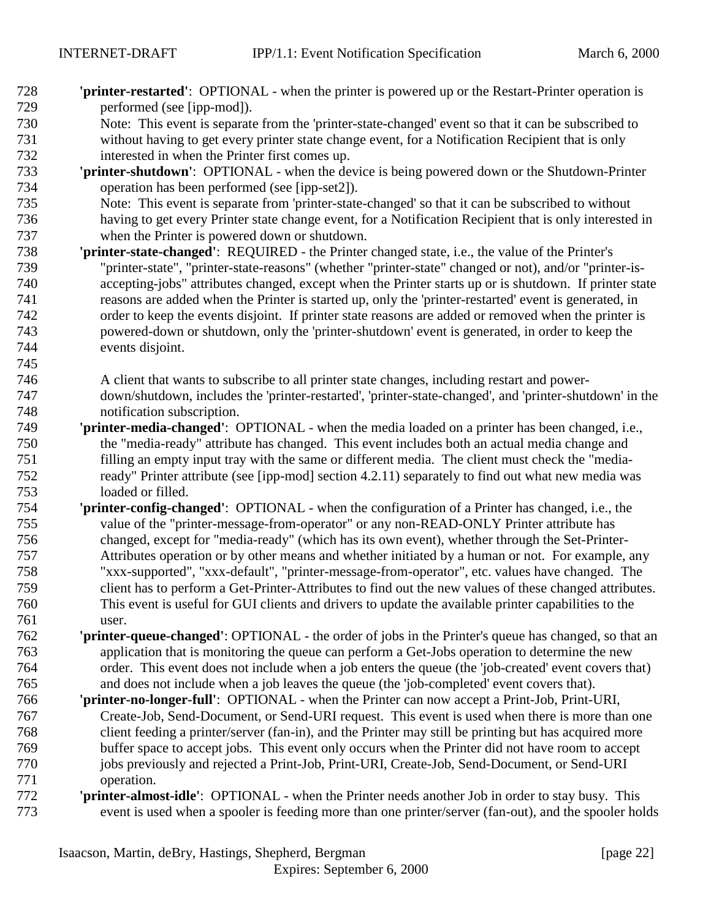- **'printer-restarted'**: OPTIONAL when the printer is powered up or the Restart-Printer operation is performed (see [ipp-mod]).
- Note: This event is separate from the 'printer-state-changed' event so that it can be subscribed to without having to get every printer state change event, for a Notification Recipient that is only interested in when the Printer first comes up.
- **'printer-shutdown'**: OPTIONAL when the device is being powered down or the Shutdown-Printer operation has been performed (see [ipp-set2]).
- Note: This event is separate from 'printer-state-changed' so that it can be subscribed to without having to get every Printer state change event, for a Notification Recipient that is only interested in when the Printer is powered down or shutdown.
- **'printer-state-changed'**: REQUIRED the Printer changed state, i.e., the value of the Printer's "printer-state", "printer-state-reasons" (whether "printer-state" changed or not), and/or "printer-is- accepting-jobs" attributes changed, except when the Printer starts up or is shutdown. If printer state reasons are added when the Printer is started up, only the 'printer-restarted' event is generated, in order to keep the events disjoint. If printer state reasons are added or removed when the printer is powered-down or shutdown, only the 'printer-shutdown' event is generated, in order to keep the events disjoint.
- A client that wants to subscribe to all printer state changes, including restart and power- down/shutdown, includes the 'printer-restarted', 'printer-state-changed', and 'printer-shutdown' in the notification subscription.
- **'printer-media-changed'**:OPTIONAL when the media loaded on a printer has been changed, i.e., the "media-ready" attribute has changed. This event includes both an actual media change and filling an empty input tray with the same or different media. The client must check the "media- ready" Printer attribute (see [ipp-mod] section 4.2.11) separately to find out what new media was loaded or filled.
- **'printer-config-changed'**:OPTIONAL when the configuration of a Printer has changed, i.e., the value of the "printer-message-from-operator" or any non-READ-ONLY Printer attribute has changed, except for "media-ready" (which has its own event), whether through the Set-Printer- Attributes operation or by other means and whether initiated by a human or not. For example, any "xxx-supported", "xxx-default", "printer-message-from-operator", etc. values have changed. The client has to perform a Get-Printer-Attributes to find out the new values of these changed attributes. This event is useful for GUI clients and drivers to update the available printer capabilities to the user.
- **'printer-queue-changed'**: OPTIONAL the order of jobs in the Printer's queue has changed, so that an application that is monitoring the queue can perform a Get-Jobs operation to determine the new order. This event does not include when a job enters the queue (the 'job-created' event covers that) and does not include when a job leaves the queue (the 'job-completed' event covers that).
- **'printer-no-longer-full'**: OPTIONAL when the Printer can now accept a Print-Job, Print-URI, Create-Job, Send-Document, or Send-URI request. This event is used when there is more than one client feeding a printer/server (fan-in), and the Printer may still be printing but has acquired more buffer space to accept jobs. This event only occurs when the Printer did not have room to accept jobs previously and rejected a Print-Job, Print-URI, Create-Job, Send-Document, or Send-URI operation.
- **'printer-almost-idle'**:OPTIONAL when the Printer needs another Job in order to stay busy. This event is used when a spooler is feeding more than one printer/server (fan-out), and the spooler holds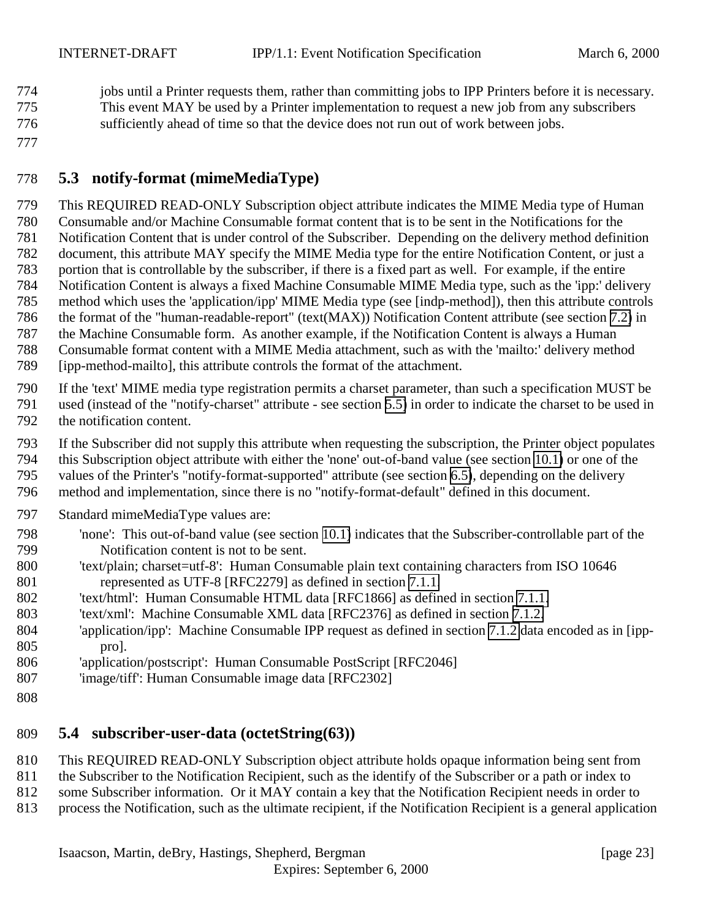<span id="page-22-0"></span> jobs until a Printer requests them, rather than committing jobs to IPP Printers before it is necessary. This event MAY be used by a Printer implementation to request a new job from any subscribers sufficiently ahead of time so that the device does not run out of work between jobs.

# **5.3 notify-format (mimeMediaType)**

 This REQUIRED READ-ONLY Subscription object attribute indicates the MIME Media type of Human Consumable and/or Machine Consumable format content that is to be sent in the Notifications for the Notification Content that is under control of the Subscriber. Depending on the delivery method definition document, this attribute MAY specify the MIME Media type for the entire Notification Content, or just a portion that is controllable by the subscriber, if there is a fixed part as well. For example, if the entire Notification Content is always a fixed Machine Consumable MIME Media type, such as the 'ipp:' delivery method which uses the 'application/ipp' MIME Media type (see [indp-method]), then this attribute controls the format of the "human-readable-report" (text(MAX)) Notification Content attribute (see section [7.2\)](#page-30-0) in the Machine Consumable form. As another example, if the Notification Content is always a Human Consumable format content with a MIME Media attachment, such as with the 'mailto:' delivery method [ipp-method-mailto], this attribute controls the format of the attachment.

 If the 'text' MIME media type registration permits a charset parameter, than such a specification MUST be used (instead of the "notify-charset" attribute - see section [5.5\)](#page-23-0) in order to indicate the charset to be used in

the notification content.

If the Subscriber did not supply this attribute when requesting the subscription, the Printer object populates

this Subscription object attribute with either the 'none' out-of-band value (see section [10.1\)](#page-46-0) or one of the

values of the Printer's "notify-format-supported" attribute (see section [6.5\)](#page-26-0), depending on the delivery

method and implementation, since there is no "notify-format-default" defined in this document.

- Standard mimeMediaType values are:
- 'none': This out-of-band value (see section [10.1\)](#page-46-0) indicates that the Subscriber-controllable part of the Notification content is not to be sent.
- 'text/plain; charset=utf-8': Human Consumable plain text containing characters from ISO 10646 represented as UTF-8 [RFC2279] as defined in section [7.1.1.](#page-29-0)
- 'text/html': Human Consumable HTML data [RFC1866] as defined in section [7.1.1.](#page-29-0)
- 'text/xml': Machine Consumable XML data [RFC2376] as defined in section [7.1.2.](#page-29-0)
- 'application/ipp': Machine Consumable IPP request as defined in section [7.1.2](#page-29-0) data encoded as in [ipp-pro].
- 'application/postscript': Human Consumable PostScript [RFC2046]
- 'image/tiff': Human Consumable image data [RFC2302]
- 

# **5.4 subscriber-user-data (octetString(63))**

- This REQUIRED READ-ONLY Subscription object attribute holds opaque information being sent from
- 811 the Subscriber to the Notification Recipient, such as the identify of the Subscriber or a path or index to
- some Subscriber information. Or it MAY contain a key that the Notification Recipient needs in order to
- process the Notification, such as the ultimate recipient, if the Notification Recipient is a general application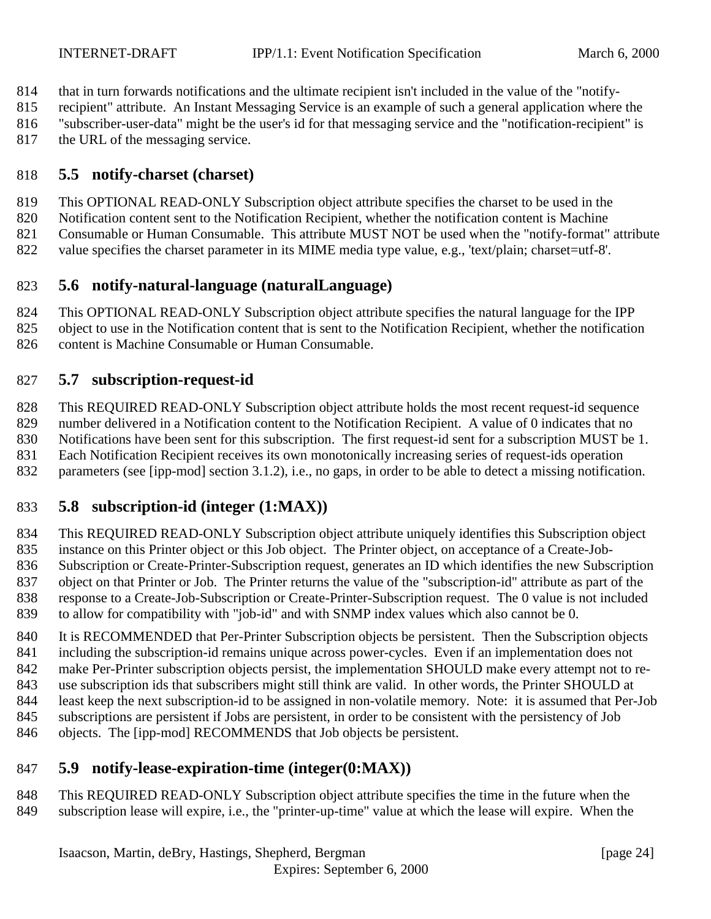- <span id="page-23-0"></span>that in turn forwards notifications and the ultimate recipient isn't included in the value of the "notify-
- recipient" attribute. An Instant Messaging Service is an example of such a general application where the
- "subscriber-user-data" might be the user's id for that messaging service and the "notification-recipient" is
- 817 the URL of the messaging service.

# **5.5 notify-charset (charset)**

- This OPTIONAL READ-ONLY Subscription object attribute specifies the charset to be used in the
- Notification content sent to the Notification Recipient, whether the notification content is Machine
- Consumable or Human Consumable. This attribute MUST NOT be used when the "notify-format" attribute
- value specifies the charset parameter in its MIME media type value, e.g., 'text/plain; charset=utf-8'.

# **5.6 notify-natural-language (naturalLanguage)**

- This OPTIONAL READ-ONLY Subscription object attribute specifies the natural language for the IPP
- object to use in the Notification content that is sent to the Notification Recipient, whether the notification
- 826 content is Machine Consumable or Human Consumable.

# **5.7 subscription-request-id**

- This REQUIRED READ-ONLY Subscription object attribute holds the most recent request-id sequence number delivered in a Notification content to the Notification Recipient. A value of 0 indicates that no
- Notifications have been sent for this subscription. The first request-id sent for a subscription MUST be 1. Each Notification Recipient receives its own monotonically increasing series of request-ids operation
- parameters (see [ipp-mod] section 3.1.2), i.e., no gaps, in order to be able to detect a missing notification.

# **5.8 subscription-id (integer (1:MAX))**

- This REQUIRED READ-ONLY Subscription object attribute uniquely identifies this Subscription object instance on this Printer object or this Job object. The Printer object, on acceptance of a Create-Job- Subscription or Create-Printer-Subscription request, generates an ID which identifies the new Subscription object on that Printer or Job. The Printer returns the value of the "subscription-id" attribute as part of the response to a Create-Job-Subscription or Create-Printer-Subscription request. The 0 value is not included to allow for compatibility with "job-id" and with SNMP index values which also cannot be 0.
- 840 It is RECOMMENDED that Per-Printer Subscription objects be persistent. Then the Subscription objects including the subscription-id remains unique across power-cycles. Even if an implementation does not make Per-Printer subscription objects persist, the implementation SHOULD make every attempt not to re- use subscription ids that subscribers might still think are valid. In other words, the Printer SHOULD at least keep the next subscription-id to be assigned in non-volatile memory. Note: it is assumed that Per-Job subscriptions are persistent if Jobs are persistent, in order to be consistent with the persistency of Job objects. The [ipp-mod] RECOMMENDS that Job objects be persistent.

# **5.9 notify-lease-expiration-time (integer(0:MAX))**

 This REQUIRED READ-ONLY Subscription object attribute specifies the time in the future when the subscription lease will expire, i.e., the "printer-up-time" value at which the lease will expire. When the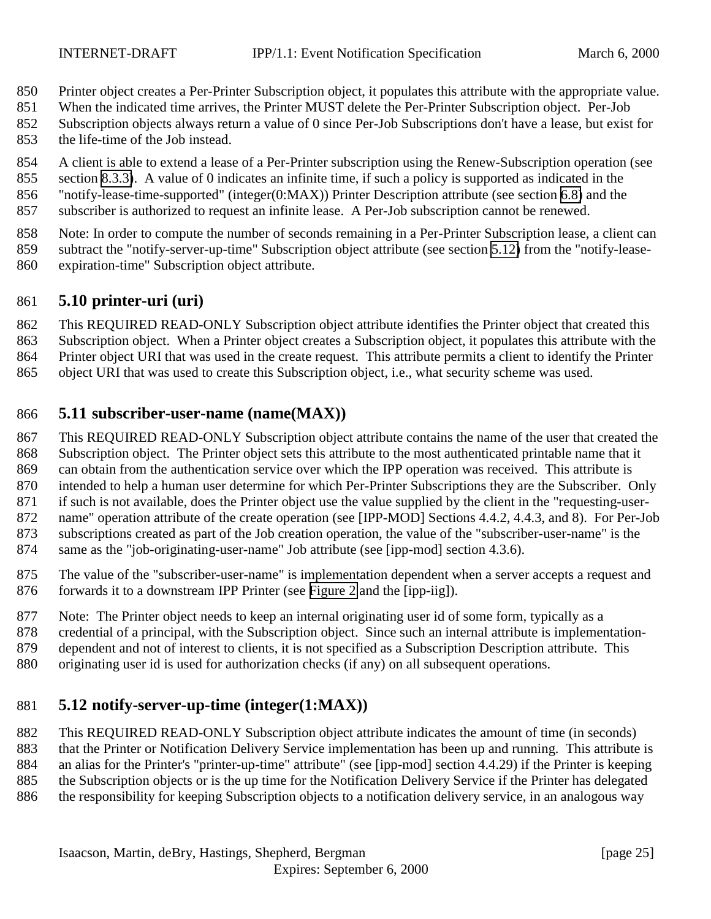- <span id="page-24-0"></span>Printer object creates a Per-Printer Subscription object, it populates this attribute with the appropriate value.
- When the indicated time arrives, the Printer MUST delete the Per-Printer Subscription object. Per-Job
- Subscription objects always return a value of 0 since Per-Job Subscriptions don't have a lease, but exist for the life-time of the Job instead.
- A client is able to extend a lease of a Per-Printer subscription using the Renew-Subscription operation (see
- section [8.3.3\)](#page-43-0). A value of 0 indicates an infinite time, if such a policy is supported as indicated in the
- "notify-lease-time-supported" (integer(0:MAX)) Printer Description attribute (see section [6.8\)](#page-27-0) and the subscriber is authorized to request an infinite lease. A Per-Job subscription cannot be renewed.
- 
- Note: In order to compute the number of seconds remaining in a Per-Printer Subscription lease, a client can
- subtract the "notify-server-up-time" Subscription object attribute (see section 5.12) from the "notify-lease-
- expiration-time" Subscription object attribute.

# **5.10 printer-uri (uri)**

- This REQUIRED READ-ONLY Subscription object attribute identifies the Printer object that created this
- Subscription object. When a Printer object creates a Subscription object, it populates this attribute with the
- Printer object URI that was used in the create request. This attribute permits a client to identify the Printer
- object URI that was used to create this Subscription object, i.e., what security scheme was used.

### **5.11 subscriber-user-name (name(MAX))**

- This REQUIRED READ-ONLY Subscription object attribute contains the name of the user that created the
- Subscription object. The Printer object sets this attribute to the most authenticated printable name that it
- can obtain from the authentication service over which the IPP operation was received. This attribute is intended to help a human user determine for which Per-Printer Subscriptions they are the Subscriber. Only
- if such is not available, does the Printer object use the value supplied by the client in the "requesting-user-
- name" operation attribute of the create operation (see [IPP-MOD] Sections 4.4.2, 4.4.3, and 8). For Per-Job
- subscriptions created as part of the Job creation operation, the value of the "subscriber-user-name" is the
- same as the "job-originating-user-name" Job attribute (see [ipp-mod] section 4.3.6).
- The value of the "subscriber-user-name" is implementation dependent when a server accepts a request and forwards it to a downstream IPP Printer (see [Figure 2](#page-9-0) and the [ipp-iig]).
- Note: The Printer object needs to keep an internal originating user id of some form, typically as a
- credential of a principal, with the Subscription object. Since such an internal attribute is implementation-
- dependent and not of interest to clients, it is not specified as a Subscription Description attribute. This
- originating user id is used for authorization checks (if any) on all subsequent operations.

# **5.12 notify-server-up-time (integer(1:MAX))**

- This REQUIRED READ-ONLY Subscription object attribute indicates the amount of time (in seconds)
- that the Printer or Notification Delivery Service implementation has been up and running. This attribute is
- an alias for the Printer's "printer-up-time" attribute" (see [ipp-mod] section 4.4.29) if the Printer is keeping
- the Subscription objects or is the up time for the Notification Delivery Service if the Printer has delegated
- the responsibility for keeping Subscription objects to a notification delivery service, in an analogous way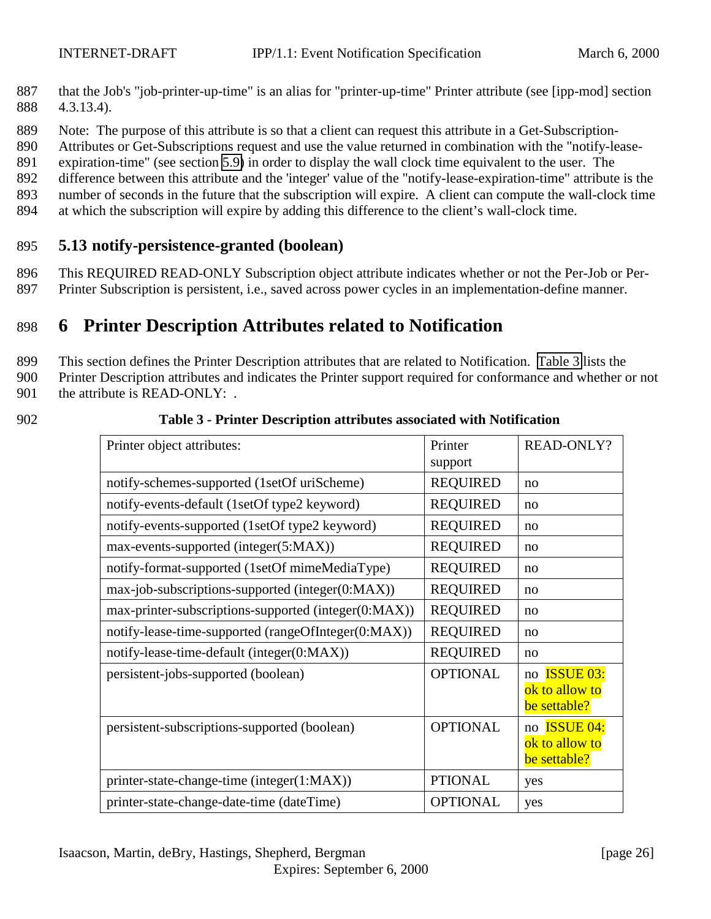- <span id="page-25-0"></span>887 that the Job's "job-printer-up-time" is an alias for "printer-up-time" Printer attribute (see [ipp-mod] section 888 4.3.13.4).
- 889 Note: The purpose of this attribute is so that a client can request this attribute in a Get-Subscription-

890 Attributes or Get-Subscriptions request and use the value returned in combination with the "notify-lease-

891 expiration-time" (see section [5.9\)](#page-23-0) in order to display the wall clock time equivalent to the user. The

892 difference between this attribute and the 'integer' value of the "notify-lease-expiration-time" attribute is the

- 893 number of seconds in the future that the subscription will expire. A client can compute the wall-clock time
- 894 at which the subscription will expire by adding this difference to the client's wall-clock time.

# 895 **5.13 notify-persistence-granted (boolean)**

896 This REQUIRED READ-ONLY Subscription object attribute indicates whether or not the Per-Job or Per-897 Printer Subscription is persistent, i.e., saved across power cycles in an implementation-define manner.

# 898 **6 Printer Description Attributes related to Notification**

899 This section defines the Printer Description attributes that are related to Notification. Table 3 lists the

900 Printer Description attributes and indicates the Printer support required for conformance and whether or not

901 the attribute is READ-ONLY: .

| 902 | Table 3 - Printer Description attributes associated with Notification |
|-----|-----------------------------------------------------------------------|
|-----|-----------------------------------------------------------------------|

| Printer object attributes:                           | Printer<br>support | <b>READ-ONLY?</b>                                     |
|------------------------------------------------------|--------------------|-------------------------------------------------------|
| notify-schemes-supported (1setOf uriScheme)          | <b>REQUIRED</b>    | no                                                    |
| notify-events-default (1setOf type2 keyword)         | <b>REQUIRED</b>    | no                                                    |
| notify-events-supported (1setOf type2 keyword)       | <b>REQUIRED</b>    | no                                                    |
| max-events-supported (integer(5:MAX))                | <b>REQUIRED</b>    | no                                                    |
| notify-format-supported (1setOf mimeMediaType)       | <b>REQUIRED</b>    | no                                                    |
| max-job-subscriptions-supported (integer(0:MAX))     | <b>REQUIRED</b>    | no                                                    |
| max-printer-subscriptions-supported (integer(0:MAX)) | <b>REQUIRED</b>    | no                                                    |
| notify-lease-time-supported (rangeOfInteger(0:MAX))  | <b>REQUIRED</b>    | no                                                    |
| notify-lease-time-default (integer(0:MAX))           | <b>REQUIRED</b>    | no                                                    |
| persistent-jobs-supported (boolean)                  | <b>OPTIONAL</b>    | no <b>ISSUE 03:</b><br>ok to allow to<br>be settable? |
| persistent-subscriptions-supported (boolean)         | <b>OPTIONAL</b>    | no <b>ISSUE 04:</b><br>ok to allow to<br>be settable? |
| printer-state-change-time (integer(1:MAX))           | <b>PTIONAL</b>     | yes                                                   |
| printer-state-change-date-time (dateTime)            | <b>OPTIONAL</b>    | yes                                                   |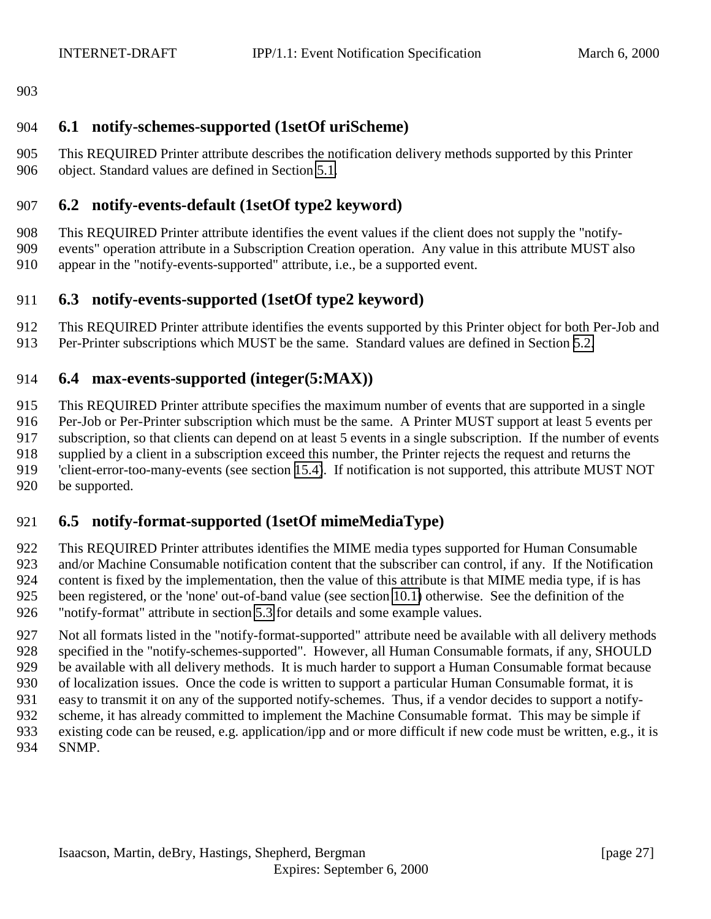<span id="page-26-0"></span>

### **6.1 notify-schemes-supported (1setOf uriScheme)**

 This REQUIRED Printer attribute describes the notification delivery methods supported by this Printer object. Standard values are defined in Section [5.1.](#page-18-0)

# **6.2 notify-events-default (1setOf type2 keyword)**

- This REQUIRED Printer attribute identifies the event values if the client does not supply the "notify-
- events" operation attribute in a Subscription Creation operation. Any value in this attribute MUST also appear in the "notify-events-supported" attribute, i.e., be a supported event.

# **6.3 notify-events-supported (1setOf type2 keyword)**

- This REQUIRED Printer attribute identifies the events supported by this Printer object for both Per-Job and
- Per-Printer subscriptions which MUST be the same. Standard values are defined in Section [5.2.](#page-19-0)

### **6.4 max-events-supported (integer(5:MAX))**

 This REQUIRED Printer attribute specifies the maximum number of events that are supported in a single Per-Job or Per-Printer subscription which must be the same. A Printer MUST support at least 5 events per subscription, so that clients can depend on at least 5 events in a single subscription. If the number of events supplied by a client in a subscription exceed this number, the Printer rejects the request and returns the 'client-error-too-many-events (see section [15.4\)](#page-49-0). If notification is not supported, this attribute MUST NOT be supported.

# **6.5 notify-format-supported (1setOf mimeMediaType)**

- This REQUIRED Printer attributes identifies the MIME media types supported for Human Consumable and/or Machine Consumable notification content that the subscriber can control, if any. If the Notification content is fixed by the implementation, then the value of this attribute is that MIME media type, if is has been registered, or the 'none' out-of-band value (see section [10.1\)](#page-46-0) otherwise. See the definition of the "notify-format" attribute in section [5.3](#page-22-0) for details and some example values.
- Not all formats listed in the "notify-format-supported" attribute need be available with all delivery methods specified in the "notify-schemes-supported". However, all Human Consumable formats, if any, SHOULD be available with all delivery methods. It is much harder to support a Human Consumable format because of localization issues. Once the code is written to support a particular Human Consumable format, it is easy to transmit it on any of the supported notify-schemes. Thus, if a vendor decides to support a notify- scheme, it has already committed to implement the Machine Consumable format. This may be simple if existing code can be reused, e.g. application/ipp and or more difficult if new code must be written, e.g., it is SNMP.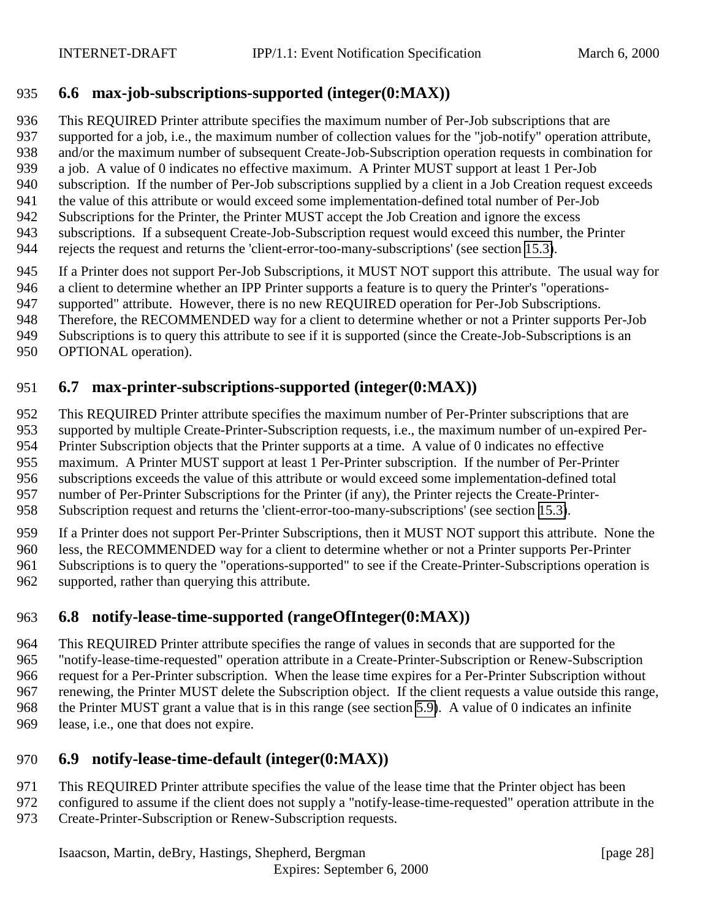### <span id="page-27-0"></span>**6.6 max-job-subscriptions-supported (integer(0:MAX))**

 This REQUIRED Printer attribute specifies the maximum number of Per-Job subscriptions that are supported for a job, i.e., the maximum number of collection values for the "job-notify" operation attribute, and/or the maximum number of subsequent Create-Job-Subscription operation requests in combination for a job. A value of 0 indicates no effective maximum. A Printer MUST support at least 1 Per-Job subscription. If the number of Per-Job subscriptions supplied by a client in a Job Creation request exceeds the value of this attribute or would exceed some implementation-defined total number of Per-Job Subscriptions for the Printer, the Printer MUST accept the Job Creation and ignore the excess subscriptions. If a subsequent Create-Job-Subscription request would exceed this number, the Printer rejects the request and returns the 'client-error-too-many-subscriptions' (see section [15.3\)](#page-49-0).

If a Printer does not support Per-Job Subscriptions, it MUST NOT support this attribute. The usual way for

a client to determine whether an IPP Printer supports a feature is to query the Printer's "operations-

supported" attribute. However, there is no new REQUIRED operation for Per-Job Subscriptions.

Therefore, the RECOMMENDED way for a client to determine whether or not a Printer supports Per-Job

Subscriptions is to query this attribute to see if it is supported (since the Create-Job-Subscriptions is an

OPTIONAL operation).

# **6.7 max-printer-subscriptions-supported (integer(0:MAX))**

 This REQUIRED Printer attribute specifies the maximum number of Per-Printer subscriptions that are supported by multiple Create-Printer-Subscription requests, i.e., the maximum number of un-expired Per- Printer Subscription objects that the Printer supports at a time. A value of 0 indicates no effective maximum. A Printer MUST support at least 1 Per-Printer subscription. If the number of Per-Printer subscriptions exceeds the value of this attribute or would exceed some implementation-defined total

number of Per-Printer Subscriptions for the Printer (if any), the Printer rejects the Create-Printer-

Subscription request and returns the 'client-error-too-many-subscriptions' (see section [15.3\)](#page-49-0).

 If a Printer does not support Per-Printer Subscriptions, then it MUST NOT support this attribute. None the less, the RECOMMENDED way for a client to determine whether or not a Printer supports Per-Printer Subscriptions is to query the "operations-supported" to see if the Create-Printer-Subscriptions operation is

supported, rather than querying this attribute.

# **6.8 notify-lease-time-supported (rangeOfInteger(0:MAX))**

 This REQUIRED Printer attribute specifies the range of values in seconds that are supported for the "notify-lease-time-requested" operation attribute in a Create-Printer-Subscription or Renew-Subscription request for a Per-Printer subscription. When the lease time expires for a Per-Printer Subscription without renewing, the Printer MUST delete the Subscription object. If the client requests a value outside this range, the Printer MUST grant a value that is in this range (see section [5.9\)](#page-23-0). A value of 0 indicates an infinite lease, i.e., one that does not expire.

# **6.9 notify-lease-time-default (integer(0:MAX))**

- This REQUIRED Printer attribute specifies the value of the lease time that the Printer object has been
- configured to assume if the client does not supply a "notify-lease-time-requested" operation attribute in the
- Create-Printer-Subscription or Renew-Subscription requests.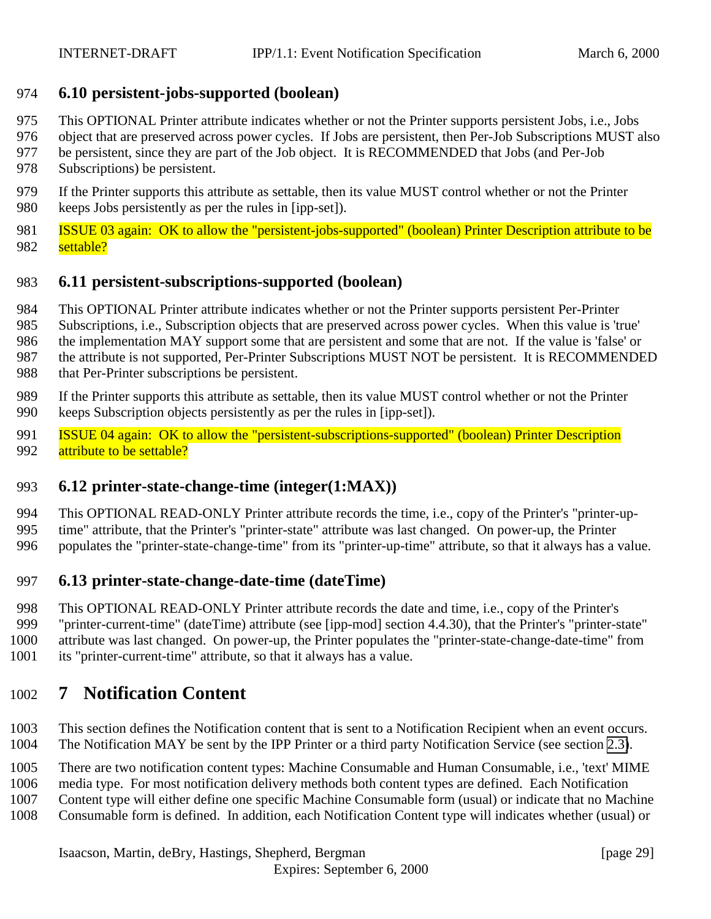### <span id="page-28-0"></span>**6.10 persistent-jobs-supported (boolean)**

- This OPTIONAL Printer attribute indicates whether or not the Printer supports persistent Jobs, i.e., Jobs
- object that are preserved across power cycles. If Jobs are persistent, then Per-Job Subscriptions MUST also
- be persistent, since they are part of the Job object. It is RECOMMENDED that Jobs (and Per-Job
- Subscriptions) be persistent.
- If the Printer supports this attribute as settable, then its value MUST control whether or not the Printer keeps Jobs persistently as per the rules in [ipp-set]).
- **ISSUE 03 again: OK to allow the "persistent-jobs-supported" (boolean) Printer Description attribute to be** 982 settable?

# **6.11 persistent-subscriptions-supported (boolean)**

- This OPTIONAL Printer attribute indicates whether or not the Printer supports persistent Per-Printer
- Subscriptions, i.e., Subscription objects that are preserved across power cycles. When this value is 'true'
- the implementation MAY support some that are persistent and some that are not. If the value is 'false' or
- the attribute is not supported, Per-Printer Subscriptions MUST NOT be persistent. It is RECOMMENDED
- that Per-Printer subscriptions be persistent.
- If the Printer supports this attribute as settable, then its value MUST control whether or not the Printer keeps Subscription objects persistently as per the rules in [ipp-set]).
- **ISSUE 04 again: OK to allow the "persistent-subscriptions-supported" (boolean) Printer Description** 992 attribute to be settable?

# **6.12 printer-state-change-time (integer(1:MAX))**

 This OPTIONAL READ-ONLY Printer attribute records the time, i.e., copy of the Printer's "printer-up- time" attribute, that the Printer's "printer-state" attribute was last changed. On power-up, the Printer populates the "printer-state-change-time" from its "printer-up-time" attribute, so that it always has a value.

### **6.13 printer-state-change-date-time (dateTime)**

- This OPTIONAL READ-ONLY Printer attribute records the date and time, i.e., copy of the Printer's "printer-current-time" (dateTime) attribute (see [ipp-mod] section 4.4.30), that the Printer's "printer-state" attribute was last changed. On power-up, the Printer populates the "printer-state-change-date-time" from
- its "printer-current-time" attribute, so that it always has a value.

# **7 Notification Content**

- This section defines the Notification content that is sent to a Notification Recipient when an event occurs. The Notification MAY be sent by the IPP Printer or a third party Notification Service (see section [2.3\)](#page-10-0).
- There are two notification content types: Machine Consumable and Human Consumable, i.e., 'text' MIME
- media type. For most notification delivery methods both content types are defined. Each Notification
- Content type will either define one specific Machine Consumable form (usual) or indicate that no Machine
- Consumable form is defined. In addition, each Notification Content type will indicates whether (usual) or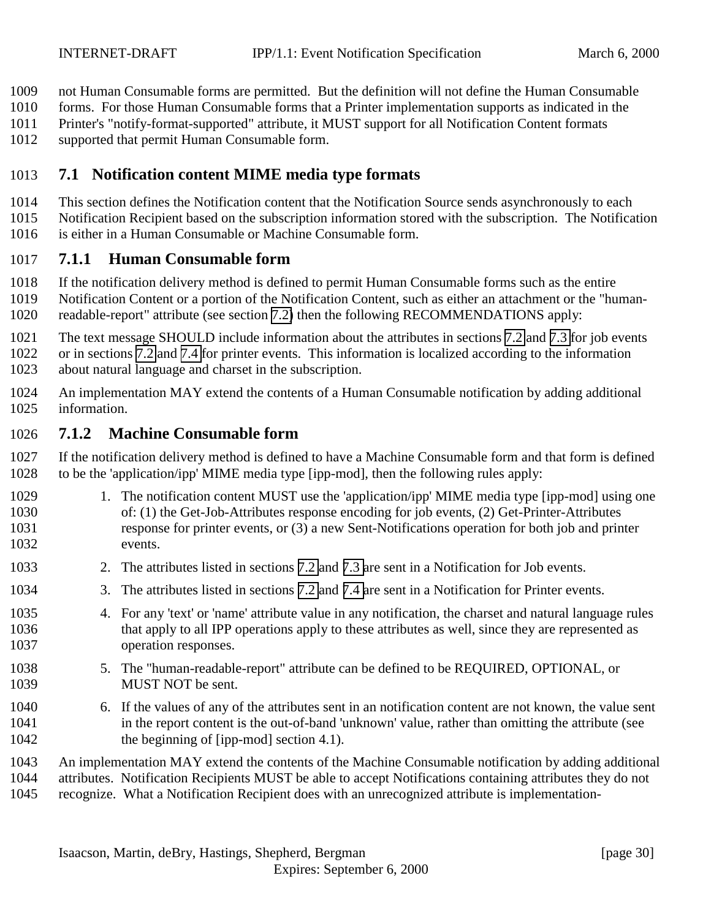<span id="page-29-0"></span>not Human Consumable forms are permitted. But the definition will not define the Human Consumable

forms. For those Human Consumable forms that a Printer implementation supports as indicated in the

Printer's "notify-format-supported" attribute, it MUST support for all Notification Content formats

supported that permit Human Consumable form.

# **7.1 Notification content MIME media type formats**

This section defines the Notification content that the Notification Source sends asynchronously to each

Notification Recipient based on the subscription information stored with the subscription. The Notification

is either in a Human Consumable or Machine Consumable form.

# **7.1.1 Human Consumable form**

If the notification delivery method is defined to permit Human Consumable forms such as the entire

- Notification Content or a portion of the Notification Content, such as either an attachment or the "human-
- readable-report" attribute (see section [7.2\)](#page-30-0) then the following RECOMMENDATIONS apply:
- The text message SHOULD include information about the attributes in sections [7.2](#page-33-0) and [7.3](#page-32-0) for job events
- or in sections [7.2](#page-30-0) and [7.4](#page-33-0) for printer events. This information is localized according to the information
- about natural language and charset in the subscription.
- An implementation MAY extend the contents of a Human Consumable notification by adding additional information.

# **7.1.2 Machine Consumable form**

 If the notification delivery method is defined to have a Machine Consumable form and that form is defined to be the 'application/ipp' MIME media type [ipp-mod], then the following rules apply:

- 1029 1. The notification content MUST use the 'application/ipp' MIME media type [ipp-mod] using one of: (1) the Get-Job-Attributes response encoding for job events, (2) Get-Printer-Attributes response for printer events, or (3) a new Sent-Notifications operation for both job and printer events.
- 2. The attributes listed in sections [7.2](#page-30-0) and [7.3 a](#page-32-0)re sent in a Notification for Job events.
- 3. The attributes listed in sections [7.2](#page-30-0) and [7.4 a](#page-33-0)re sent in a Notification for Printer events.
- 4. For any 'text' or 'name' attribute value in any notification, the charset and natural language rules that apply to all IPP operations apply to these attributes as well, since they are represented as operation responses.
- 5. The "human-readable-report" attribute can be defined to be REQUIRED, OPTIONAL, or MUST NOT be sent.
- 6. If the values of any of the attributes sent in an notification content are not known, the value sent in the report content is the out-of-band 'unknown' value, rather than omitting the attribute (see 1042 the beginning of [ipp-mod] section 4.1).
- An implementation MAY extend the contents of the Machine Consumable notification by adding additional attributes. Notification Recipients MUST be able to accept Notifications containing attributes they do not recognize. What a Notification Recipient does with an unrecognized attribute is implementation-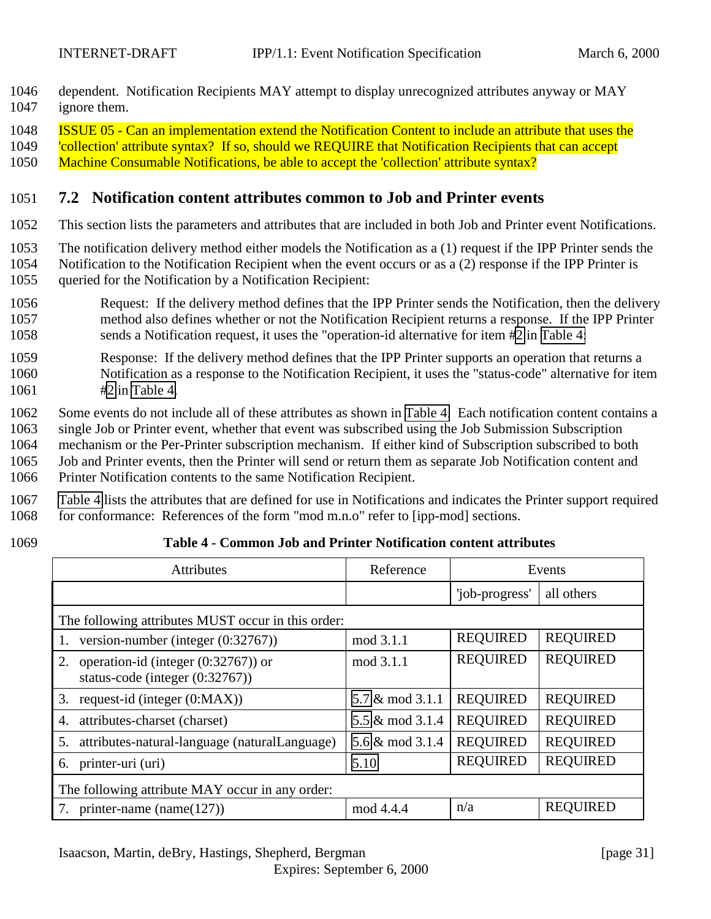<span id="page-30-0"></span>1046 dependent. Notification Recipients MAY attempt to display unrecognized attributes anyway or MAY 1047 ignore them.

1048 ISSUE 05 - Can an implementation extend the Notification Content to include an attribute that uses the

1049 'collection' attribute syntax? If so, should we REQUIRE that Notification Recipients that can accept

1050 Machine Consumable Notifications, be able to accept the 'collection' attribute syntax?

### 1051 **7.2 Notification content attributes common to Job and Printer events**

1052 This section lists the parameters and attributes that are included in both Job and Printer event Notifications.

- 1053 The notification delivery method either models the Notification as a (1) request if the IPP Printer sends the
- 1054 Notification to the Notification Recipient when the event occurs or as a (2) response if the IPP Printer is 1055 queried for the Notification by a Notification Recipient:
- 1056 Request: If the delivery method defines that the IPP Printer sends the Notification, then the delivery 1057 method also defines whether or not the Notification Recipient returns a response. If the IPP Printer 1058 sends a Notification request, it uses the "operation-id alternative for item #2 in Table 4:
- 1059 Response: If the delivery method defines that the IPP Printer supports an operation that returns a 1060 Notification as a response to the Notification Recipient, it uses the "status-code" alternative for item 1061 #2 in Table 4.

1062 Some events do not include all of these attributes as shown in Table 4. Each notification content contains a 1063 single Job or Printer event, whether that event was subscribed using the Job Submission Subscription

- 1064 mechanism or the Per-Printer subscription mechanism. If either kind of Subscription subscribed to both 1065 Job and Printer events, then the Printer will send or return them as separate Job Notification content and 1066 Printer Notification contents to the same Notification Recipient.
- 1067 Table 4 lists the attributes that are defined for use in Notifications and indicates the Printer support required 1068 for conformance: References of the form "mod m.n.o" refer to [ipp-mod] sections.
- 

### 1069 **Table 4 - Common Job and Printer Notification content attributes**

| <b>Attributes</b>                                                                  | Reference       |                 | Events          |  |
|------------------------------------------------------------------------------------|-----------------|-----------------|-----------------|--|
|                                                                                    |                 | 'job-progress'  | all others      |  |
| The following attributes MUST occur in this order:                                 |                 |                 |                 |  |
| version-number (integer (0:32767))<br>1.                                           | mod 3.1.1       | <b>REQUIRED</b> | <b>REQUIRED</b> |  |
| operation-id (integer $(0:32767)$ ) or<br>2.<br>status-code (integer $(0.32767)$ ) | mod 3.1.1       | <b>REQUIRED</b> | <b>REQUIRED</b> |  |
| request-id (integer $(0:MAX)$ )<br>3.                                              | 5.7 & mod 3.1.1 | <b>REQUIRED</b> | <b>REQUIRED</b> |  |
| attributes-charset (charset)<br>4.                                                 | 5.5 & mod 3.1.4 | <b>REQUIRED</b> | <b>REQUIRED</b> |  |
| attributes-natural-language (naturalLanguage)<br>5.                                | 5.6 & mod 3.1.4 | <b>REQUIRED</b> | <b>REQUIRED</b> |  |
| printer-uri (uri)<br>6.                                                            | 5.10            | <b>REQUIRED</b> | <b>REQUIRED</b> |  |
| The following attribute MAY occur in any order:                                    |                 |                 |                 |  |
| printer-name (name $(127)$ )                                                       | mod 4.4.4       | n/a             | <b>REQUIRED</b> |  |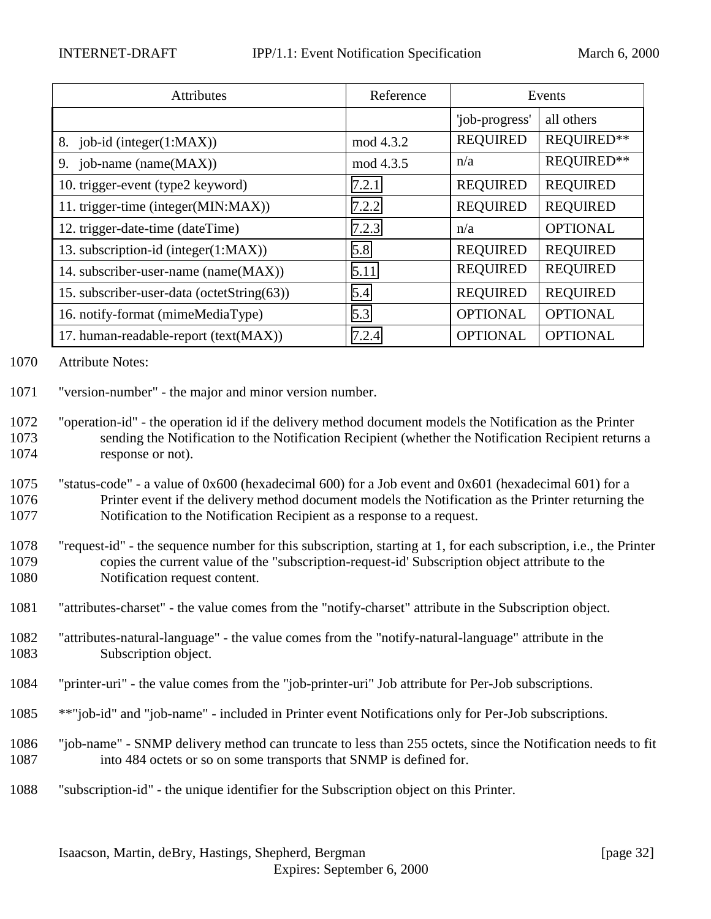| Attributes                                 | Reference | Events          |                 |
|--------------------------------------------|-----------|-----------------|-----------------|
|                                            |           | 'job-progress'  | all others      |
| 8. job-id (integer(1:MAX))                 | mod 4.3.2 | <b>REQUIRED</b> | REQUIRED**      |
| 9. job-name (name(MAX))                    | mod 4.3.5 | n/a             | REQUIRED**      |
| 10. trigger-event (type2 keyword)          | 7.2.1     | <b>REQUIRED</b> | <b>REQUIRED</b> |
| 11. trigger-time (integer(MIN:MAX))        | 7.2.2     | <b>REQUIRED</b> | <b>REQUIRED</b> |
| 12. trigger-date-time (dateTime)           | 7.2.3     | n/a             | <b>OPTIONAL</b> |
| 13. subscription-id (integer(1:MAX))       | 5.8       | <b>REQUIRED</b> | <b>REQUIRED</b> |
| 14. subscriber-user-name (name(MAX))       | 5.11      | <b>REQUIRED</b> | <b>REQUIRED</b> |
| 15. subscriber-user-data (octetString(63)) | 5.4       | <b>REQUIRED</b> | <b>REQUIRED</b> |
| 16. notify-format (mimeMediaType)          | 5.3       | <b>OPTIONAL</b> | <b>OPTIONAL</b> |
| 17. human-readable-report (text(MAX))      | 7.2.4     | <b>OPTIONAL</b> | <b>OPTIONAL</b> |

1070 Attribute Notes:

1071 "version-number" - the major and minor version number.

- 1075 "status-code" a value of 0x600 (hexadecimal 600) for a Job event and 0x601 (hexadecimal 601) for a 1076 Printer event if the delivery method document models the Notification as the Printer returning the 1077 Notification to the Notification Recipient as a response to a request.
- 1078 "request-id" the sequence number for this subscription, starting at 1, for each subscription, i.e., the Printer 1079 copies the current value of the "subscription-request-id' Subscription object attribute to the 1080 Notification request content.
- 1081 "attributes-charset" the value comes from the "notify-charset" attribute in the Subscription object.
- 1082 "attributes-natural-language" the value comes from the "notify-natural-language" attribute in the 1083 Subscription object.
- 1084 "printer-uri" the value comes from the "job-printer-uri" Job attribute for Per-Job subscriptions.
- 1085 \*\*"job-id" and "job-name" included in Printer event Notifications only for Per-Job subscriptions.
- 1086 "job-name" SNMP delivery method can truncate to less than 255 octets, since the Notification needs to fit 1087 into 484 octets or so on some transports that SNMP is defined for.
- 1088 "subscription-id" the unique identifier for the Subscription object on this Printer.

<sup>1072</sup> "operation-id" - the operation id if the delivery method document models the Notification as the Printer 1073 sending the Notification to the Notification Recipient (whether the Notification Recipient returns a 1074 response or not).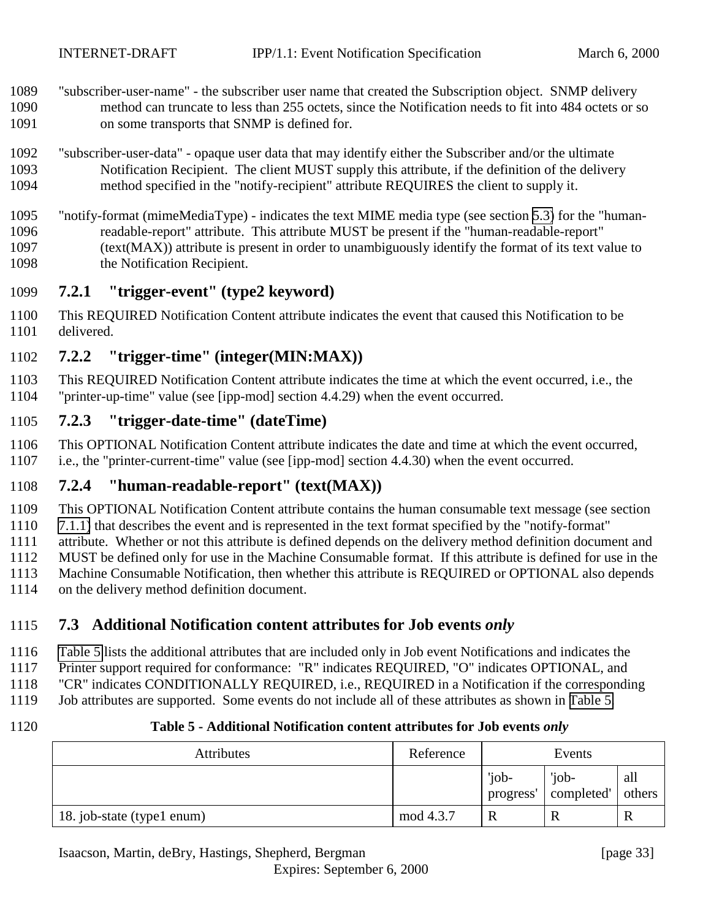- <span id="page-32-0"></span> "subscriber-user-name" - the subscriber user name that created the Subscription object. SNMP delivery method can truncate to less than 255 octets, since the Notification needs to fit into 484 octets or so on some transports that SNMP is defined for.
- "subscriber-user-data" opaque user data that may identify either the Subscriber and/or the ultimate Notification Recipient. The client MUST supply this attribute, if the definition of the delivery method specified in the "notify-recipient" attribute REQUIRES the client to supply it.
- "notify-format (mimeMediaType) indicates the text MIME media type (see section [5.3\)](#page-22-0) for the "human- readable-report" attribute. This attribute MUST be present if the "human-readable-report" (text(MAX)) attribute is present in order to unambiguously identify the format of its text value to the Notification Recipient.

### **7.2.1 "trigger-event" (type2 keyword)**

 This REQUIRED Notification Content attribute indicates the event that caused this Notification to be delivered.

# **7.2.2 "trigger-time" (integer(MIN:MAX))**

 This REQUIRED Notification Content attribute indicates the time at which the event occurred, i.e., the "printer-up-time" value (see [ipp-mod] section 4.4.29) when the event occurred.

### **7.2.3 "trigger-date-time" (dateTime)**

 This OPTIONAL Notification Content attribute indicates the date and time at which the event occurred, i.e., the "printer-current-time" value (see [ipp-mod] section 4.4.30) when the event occurred.

### **7.2.4 "human-readable-report" (text(MAX))**

This OPTIONAL Notification Content attribute contains the human consumable text message (see section

[7.1.1\)](#page-29-0) that describes the event and is represented in the text format specified by the "notify-format"

attribute. Whether or not this attribute is defined depends on the delivery method definition document and

MUST be defined only for use in the Machine Consumable format. If this attribute is defined for use in the

Machine Consumable Notification, then whether this attribute is REQUIRED or OPTIONAL also depends

on the delivery method definition document.

# **7.3 Additional Notification content attributes for Job events** *only*

Table 5 lists the additional attributes that are included only in Job event Notifications and indicates the

Printer support required for conformance: "R" indicates REQUIRED, "O" indicates OPTIONAL, and

"CR" indicates CONDITIONALLY REQUIRED, i.e., REQUIRED in a Notification if the corresponding

Job attributes are supported. Some events do not include all of these attributes as shown in Table 5.

### **Table 5 - Additional Notification content attributes for Job events** *only*

| <b>Attributes</b>          | Reference |                    | Events              |               |
|----------------------------|-----------|--------------------|---------------------|---------------|
|                            |           | 'job-<br>progress' | 'job-<br>completed' | all<br>others |
| 18. job-state (type1 enum) | mod 4.3.7 | $\mathbf R$        |                     | R             |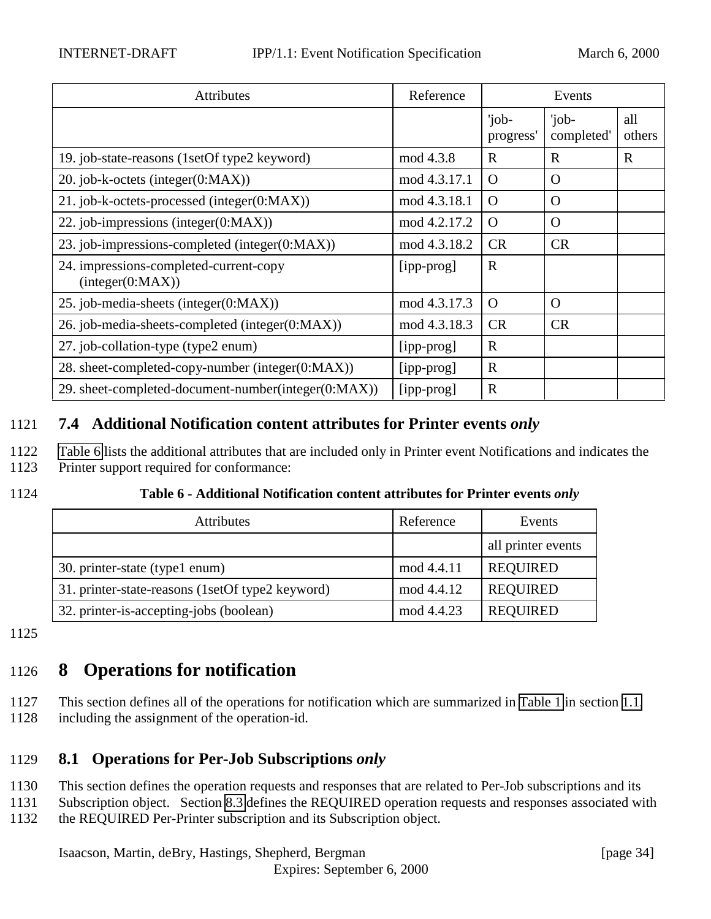<span id="page-33-0"></span>

| <b>Attributes</b>                                          | Reference    |                    | Events              |               |
|------------------------------------------------------------|--------------|--------------------|---------------------|---------------|
|                                                            |              | 'job-<br>progress' | 'job-<br>completed' | all<br>others |
| 19. job-state-reasons (1setOf type2 keyword)               | mod 4.3.8    | $\mathbf R$        | $\mathbf R$         | R             |
| 20. job-k-octets (integer(0:MAX))                          | mod 4.3.17.1 | $\Omega$           | $\Omega$            |               |
| 21. job-k-octets-processed (integer(0:MAX))                | mod 4.3.18.1 | $\Omega$           | $\Omega$            |               |
| 22. job-impressions (integer(0:MAX))                       | mod 4.2.17.2 | $\Omega$           | $\Omega$            |               |
| 23. job-impressions-completed (integer(0:MAX))             | mod 4.3.18.2 | <b>CR</b>          | <b>CR</b>           |               |
| 24. impressions-completed-current-copy<br>interger(0:MAX)) | [ipp-prog]   | $\mathbb{R}$       |                     |               |
| 25. job-media-sheets (integer(0:MAX))                      | mod 4.3.17.3 | $\Omega$           | $\Omega$            |               |
| 26. job-media-sheets-completed (integer(0:MAX))            | mod 4.3.18.3 | <b>CR</b>          | <b>CR</b>           |               |
| 27. job-collation-type (type2 enum)                        | [ipp-prog]   | $\mathbf R$        |                     |               |
| 28. sheet-completed-copy-number (integer(0:MAX))           | [ipp-prog]   | $\mathbf R$        |                     |               |
| 29. sheet-completed-document-number(integer(0:MAX))        | [ipp-prog]   | $\mathbf R$        |                     |               |

# 1121 **7.4 Additional Notification content attributes for Printer events** *only*

- 1122 Table 6 lists the additional attributes that are included only in Printer event Notifications and indicates the
- 1123 Printer support required for conformance:
- 

1124 **Table 6 - Additional Notification content attributes for Printer events** *only*

| <b>Attributes</b>                                | Reference  | Events             |
|--------------------------------------------------|------------|--------------------|
|                                                  |            | all printer events |
| 30. printer-state (type1 enum)                   | mod 4.4.11 | <b>REQUIRED</b>    |
| 31. printer-state-reasons (1setOf type2 keyword) | mod 4.4.12 | <b>REQUIRED</b>    |
| 32. printer-is-accepting-jobs (boolean)          | mod 4.4.23 | <b>REQUIRED</b>    |

1125

# 1126 **8 Operations for notification**

1127 This section defines all of the operations for notification which are summarized in [Table 1](#page-7-0) in section [1.1,](#page-5-0) 1128 including the assignment of the operation-id.

# 1129 **8.1 Operations for Per-Job Subscriptions** *only*

- 1130 This section defines the operation requests and responses that are related to Per-Job subscriptions and its
- 1131 Subscription object. Section [8.3](#page-40-0) defines the REQUIRED operation requests and responses associated with
- 1132 the REQUIRED Per-Printer subscription and its Subscription object.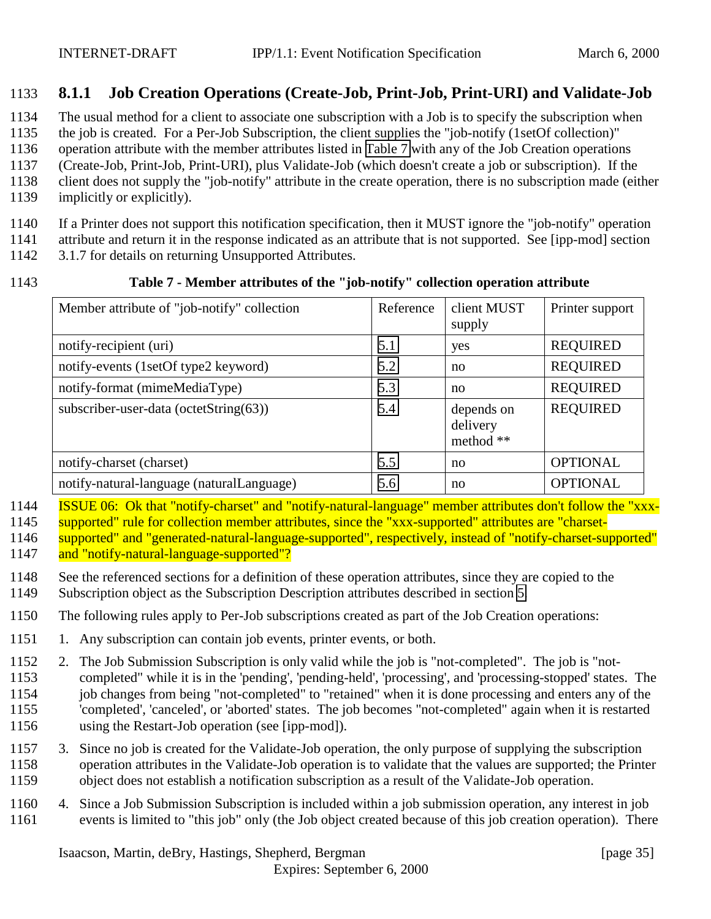# <span id="page-34-0"></span>**8.1.1 Job Creation Operations (Create-Job, Print-Job, Print-URI) and Validate-Job**

The usual method for a client to associate one subscription with a Job is to specify the subscription when

the job is created. For a Per-Job Subscription, the client supplies the "job-notify (1setOf collection)"

operation attribute with the member attributes listed in Table 7 with any of the Job Creation operations

 (Create-Job, Print-Job, Print-URI), plus Validate-Job (which doesn't create a job or subscription). If the client does not supply the "job-notify" attribute in the create operation, there is no subscription made (either

implicitly or explicitly).

If a Printer does not support this notification specification, then it MUST ignore the "job-notify" operation

attribute and return it in the response indicated as an attribute that is not supported. See [ipp-mod] section

3.1.7 for details on returning Unsupported Attributes.

### **Table 7 - Member attributes of the "job-notify" collection operation attribute**

| Member attribute of "job-notify" collection | Reference | client MUST<br>supply               | Printer support |
|---------------------------------------------|-----------|-------------------------------------|-----------------|
| notify-recipient (uri)                      | 5.1       | yes                                 | <b>REQUIRED</b> |
| notify-events (1setOf type2 keyword)        | 5.2       | no                                  | <b>REQUIRED</b> |
| notify-format (mimeMediaType)               | 5.3       | no                                  | <b>REQUIRED</b> |
| subscriber-user-data (octetString(63))      | 5.4       | depends on<br>delivery<br>method ** | <b>REQUIRED</b> |
| notify-charset (charset)                    | 5.5       | no                                  | <b>OPTIONAL</b> |
| notify-natural-language (naturalLanguage)   | 5.6       | no                                  | <b>OPTIONAL</b> |

 ISSUE 06: Ok that "notify-charset" and "notify-natural-language" member attributes don't follow the "xxx-supported" rule for collection member attributes, since the "xxx-supported" attributes are "charset-

 supported" and "generated-natural-language-supported", respectively, instead of "notify-charset-supported" and "notify-natural-language-supported"?

 See the referenced sections for a definition of these operation attributes, since they are copied to the Subscription object as the Subscription Description attributes described in section [5.](#page-16-0)

The following rules apply to Per-Job subscriptions created as part of the Job Creation operations:

- 1151 1. Any subscription can contain job events, printer events, or both.
- 2. The Job Submission Subscription is only valid while the job is "not-completed". The job is "not- completed" while it is in the 'pending', 'pending-held', 'processing', and 'processing-stopped' states. The 1154 job changes from being "not-completed" to "retained" when it is done processing and enters any of the 'completed', 'canceled', or 'aborted' states. The job becomes "not-completed" again when it is restarted using the Restart-Job operation (see [ipp-mod]).
- 3. Since no job is created for the Validate-Job operation, the only purpose of supplying the subscription operation attributes in the Validate-Job operation is to validate that the values are supported; the Printer object does not establish a notification subscription as a result of the Validate-Job operation.
- 4. Since a Job Submission Subscription is included within a job submission operation, any interest in job events is limited to "this job" only (the Job object created because of this job creation operation). There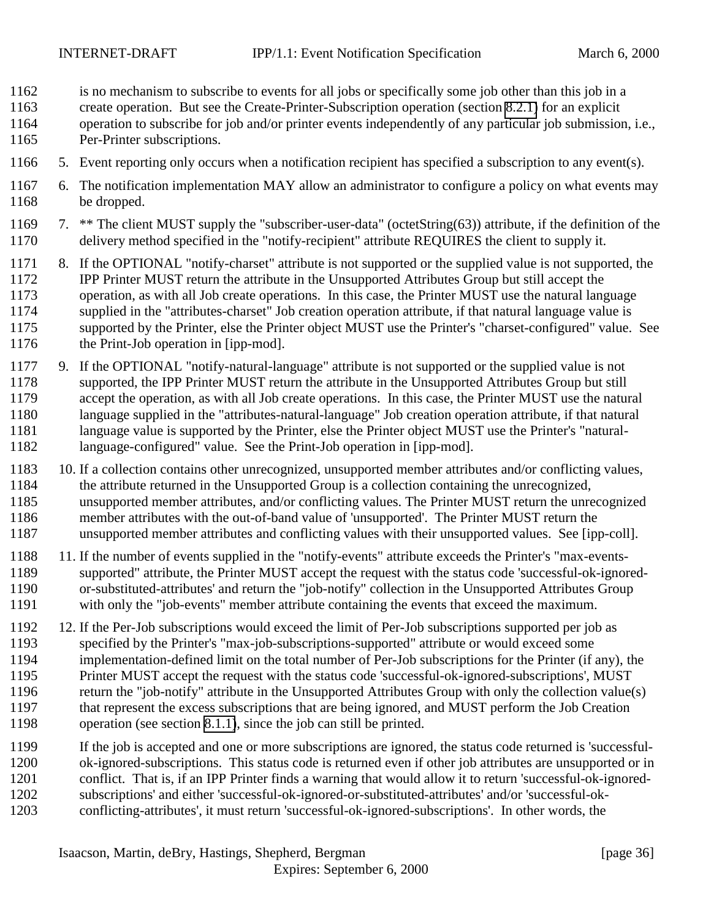- is no mechanism to subscribe to events for all jobs or specifically some job other than this job in a
- create operation. But see the Create-Printer-Subscription operation (section [8.2.1\)](#page-38-0) for an explicit
- operation to subscribe for job and/or printer events independently of any particular job submission, i.e., Per-Printer subscriptions.
- 5. Event reporting only occurs when a notification recipient has specified a subscription to any event(s).
- 6. The notification implementation MAY allow an administrator to configure a policy on what events may be dropped.
- 7. \*\* The client MUST supply the "subscriber-user-data" (octetString(63)) attribute, if the definition of the delivery method specified in the "notify-recipient" attribute REQUIRES the client to supply it.
- 8. If the OPTIONAL "notify-charset" attribute is not supported or the supplied value is not supported, the IPP Printer MUST return the attribute in the Unsupported Attributes Group but still accept the operation, as with all Job create operations. In this case, the Printer MUST use the natural language supplied in the "attributes-charset" Job creation operation attribute, if that natural language value is supported by the Printer, else the Printer object MUST use the Printer's "charset-configured" value. See the Print-Job operation in [ipp-mod].
- 9. If the OPTIONAL "notify-natural-language" attribute is not supported or the supplied value is not supported, the IPP Printer MUST return the attribute in the Unsupported Attributes Group but still accept the operation, as with all Job create operations. In this case, the Printer MUST use the natural language supplied in the "attributes-natural-language" Job creation operation attribute, if that natural language value is supported by the Printer, else the Printer object MUST use the Printer's "natural-language-configured" value. See the Print-Job operation in [ipp-mod].
- 10. If a collection contains other unrecognized, unsupported member attributes and/or conflicting values, the attribute returned in the Unsupported Group is a collection containing the unrecognized, unsupported member attributes, and/or conflicting values. The Printer MUST return the unrecognized member attributes with the out-of-band value of 'unsupported'. The Printer MUST return the unsupported member attributes and conflicting values with their unsupported values. See [ipp-coll].
- 11. If the number of events supplied in the "notify-events" attribute exceeds the Printer's "max-events- supported" attribute, the Printer MUST accept the request with the status code 'successful-ok-ignored- or-substituted-attributes' and return the "job-notify" collection in the Unsupported Attributes Group with only the "job-events" member attribute containing the events that exceed the maximum.
- 12. If the Per-Job subscriptions would exceed the limit of Per-Job subscriptions supported per job as specified by the Printer's "max-job-subscriptions-supported" attribute or would exceed some implementation-defined limit on the total number of Per-Job subscriptions for the Printer (if any), the Printer MUST accept the request with the status code 'successful-ok-ignored-subscriptions', MUST return the "job-notify" attribute in the Unsupported Attributes Group with only the collection value(s) that represent the excess subscriptions that are being ignored, and MUST perform the Job Creation operation (see section [8.1.1\)](#page-34-0), since the job can still be printed.
- If the job is accepted and one or more subscriptions are ignored, the status code returned is 'successful-
- ok-ignored-subscriptions. This status code is returned even if other job attributes are unsupported or in
- conflict. That is, if an IPP Printer finds a warning that would allow it to return 'successful-ok-ignored-
- subscriptions' and either 'successful-ok-ignored-or-substituted-attributes' and/or 'successful-ok-
- conflicting-attributes', it must return 'successful-ok-ignored-subscriptions'. In other words, the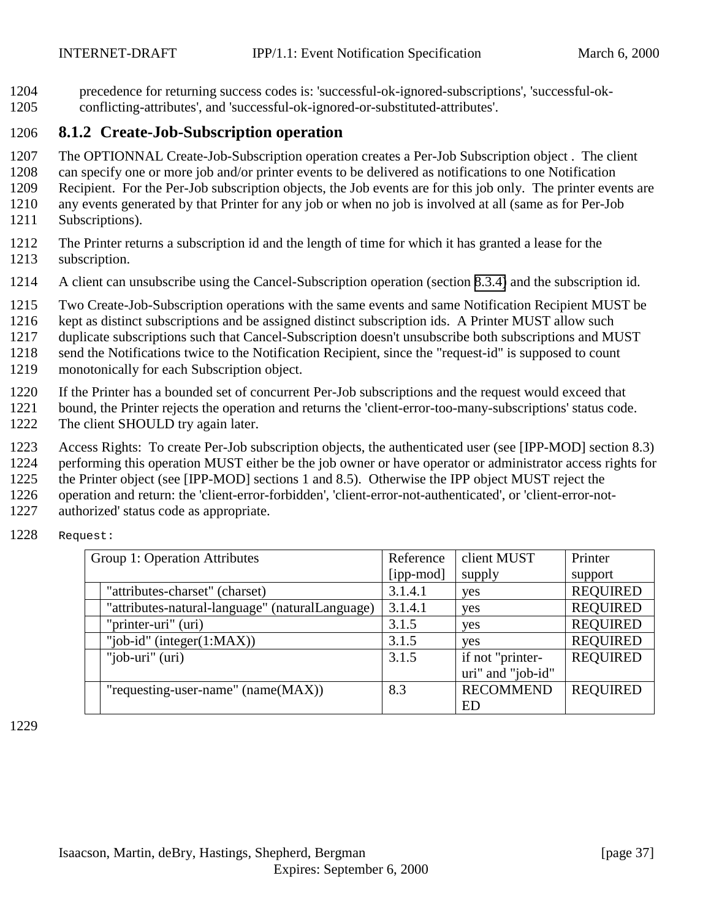<span id="page-36-0"></span>1204 precedence for returning success codes is: 'successful-ok-ignored-subscriptions', 'successful-ok-1205 conflicting-attributes', and 'successful-ok-ignored-or-substituted-attributes'.

# 1206 **8.1.2 Create-Job-Subscription operation**

1207 The OPTIONNAL Create-Job-Subscription operation creates a Per-Job Subscription object . The client

1208 can specify one or more job and/or printer events to be delivered as notifications to one Notification

1209 Recipient. For the Per-Job subscription objects, the Job events are for this job only. The printer events are

1210 any events generated by that Printer for any job or when no job is involved at all (same as for Per-Job 1211 Subscriptions).

- 1212 The Printer returns a subscription id and the length of time for which it has granted a lease for the 1213 subscription.
- 1214 A client can unsubscribe using the Cancel-Subscription operation (section [8.3.4\)](#page-45-0) and the subscription id.
- 1215 Two Create-Job-Subscription operations with the same events and same Notification Recipient MUST be
- 1216 kept as distinct subscriptions and be assigned distinct subscription ids. A Printer MUST allow such
- 1217 duplicate subscriptions such that Cancel-Subscription doesn't unsubscribe both subscriptions and MUST

1218 send the Notifications twice to the Notification Recipient, since the "request-id" is supposed to count

- 1219 monotonically for each Subscription object.
- 1220 If the Printer has a bounded set of concurrent Per-Job subscriptions and the request would exceed that
- 1221 bound, the Printer rejects the operation and returns the 'client-error-too-many-subscriptions' status code. 1222 The client SHOULD try again later.
- - 1223 Access Rights: To create Per-Job subscription objects, the authenticated user (see [IPP-MOD] section 8.3)
	- 1224 performing this operation MUST either be the job owner or have operator or administrator access rights for
- 1225 the Printer object (see [IPP-MOD] sections 1 and 8.5). Otherwise the IPP object MUST reject the
- 1226 operation and return: the 'client-error-forbidden', 'client-error-not-authenticated', or 'client-error-not-
- 1227 authorized' status code as appropriate.

| 1228 | Request: |
|------|----------|
|------|----------|

| Group 1: Operation Attributes                   | Reference | client MUST       | Printer         |
|-------------------------------------------------|-----------|-------------------|-----------------|
|                                                 | [ipp-mod] | supply            | support         |
| "attributes-charset" (charset)                  | 3.1.4.1   | yes               | <b>REQUIRED</b> |
| "attributes-natural-language" (naturalLanguage) | 3.1.4.1   | yes               | <b>REQUIRED</b> |
| "printer-uri" (uri)                             | 3.1.5     | yes               | <b>REQUIRED</b> |
| "job-id" (integer $(1:MAX)$ )                   | 3.1.5     | yes               | <b>REQUIRED</b> |
| "job-uri" (uri)                                 | 3.1.5     | if not "printer-  | <b>REQUIRED</b> |
|                                                 |           | uri" and "job-id" |                 |
| "requesting-user-name" $(name(MAX))$            | 8.3       | <b>RECOMMEND</b>  | <b>REQUIRED</b> |
|                                                 |           | ED                |                 |

1229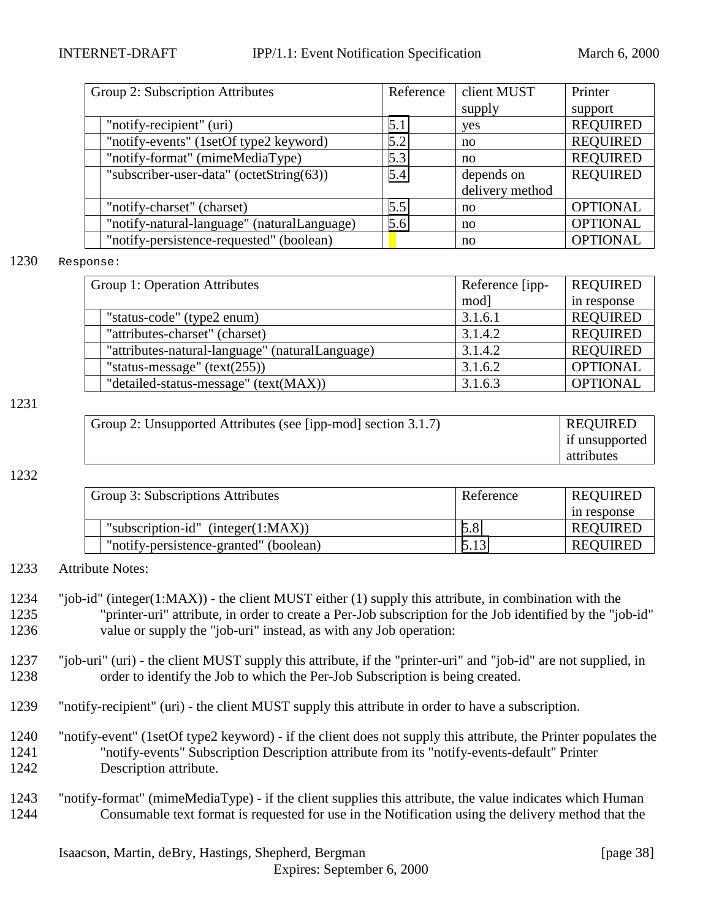| Group 2: Subscription Attributes            | Reference | client MUST     | Printer         |
|---------------------------------------------|-----------|-----------------|-----------------|
|                                             |           | supply          | support         |
| "notify-recipient" (uri)                    | 5.1       | yes             | <b>REQUIRED</b> |
| "notify-events" (1setOf type2 keyword)      | 5.2       | no              | <b>REQUIRED</b> |
| "notify-format" (mimeMediaType)             | 5.3       | no              | <b>REQUIRED</b> |
| "subscriber-user-data" (octetString(63))    | 5.4       | depends on      | <b>REQUIRED</b> |
|                                             |           | delivery method |                 |
| "notify-charset" (charset)                  | 5.5       | no              | <b>OPTIONAL</b> |
| "notify-natural-language" (naturalLanguage) | 5.6       | no              | <b>OPTIONAL</b> |
| "notify-persistence-requested" (boolean)    |           | no              | <b>OPTIONAL</b> |

#### 1230 Response:

| Group 1: Operation Attributes                   | Reference [ipp- | <b>REQUIRED</b> |
|-------------------------------------------------|-----------------|-----------------|
|                                                 | mod]            | in response     |
| "status-code" (type2 enum)                      | 3.1.6.1         | <b>REQUIRED</b> |
| "attributes-charset" (charset)                  | 3.1.4.2         | <b>REQUIRED</b> |
| "attributes-natural-language" (naturalLanguage) | 3.1.4.2         | <b>REQUIRED</b> |
| "status-message" $(text(255))$                  | 3.1.6.2         | <b>OPTIONAL</b> |
| "detailed-status-message" (text(MAX))           | 3.1.6.3         | <b>OPTIONAL</b> |

#### 1231

| Group 2: Unsupported Attributes (see [ipp-mod] section 3.1.7) | <b>REQUIRED</b> |
|---------------------------------------------------------------|-----------------|
|                                                               | if unsupported  |
|                                                               | attributes      |

#### 1232

| Group 3: Subscriptions Attributes      | Reference | <b>REQUIRED</b> |
|----------------------------------------|-----------|-----------------|
|                                        |           | in response     |
| "subscription-id" (integer $(1:MAX)$ ) | 5.8       | <b>REQUIRED</b> |
| "notify-persistence-granted" (boolean) | 5.13      | <b>REQUIRED</b> |

#### 1233 Attribute Notes:

- 1234 "job-id" (integer(1:MAX)) the client MUST either (1) supply this attribute, in combination with the 1235 "printer-uri" attribute, in order to create a Per-Job subscription for the Job identified by the "job-id" 1236 value or supply the "job-uri" instead, as with any Job operation:
- 1237 "job-uri" (uri) the client MUST supply this attribute, if the "printer-uri" and "job-id" are not supplied, in 1238 order to identify the Job to which the Per-Job Subscription is being created.
- 1239 "notify-recipient" (uri) the client MUST supply this attribute in order to have a subscription.
- 1240 "notify-event" (1setOf type2 keyword) if the client does not supply this attribute, the Printer populates the 1241 "notify-events" Subscription Description attribute from its "notify-events-default" Printer 1242 Description attribute.
- 1243 "notify-format" (mimeMediaType) if the client supplies this attribute, the value indicates which Human 1244 Consumable text format is requested for use in the Notification using the delivery method that the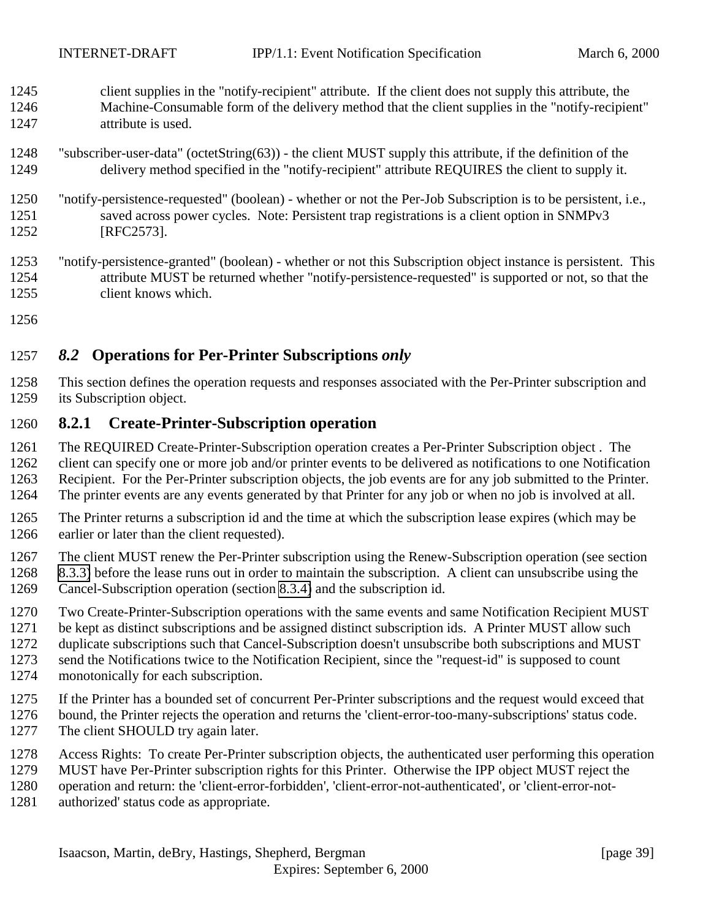- <span id="page-38-0"></span> client supplies in the "notify-recipient" attribute. If the client does not supply this attribute, the Machine-Consumable form of the delivery method that the client supplies in the "notify-recipient" attribute is used.
- "subscriber-user-data" (octetString(63)) the client MUST supply this attribute, if the definition of the delivery method specified in the "notify-recipient" attribute REQUIRES the client to supply it.
- "notify-persistence-requested" (boolean) whether or not the Per-Job Subscription is to be persistent, i.e., saved across power cycles. Note: Persistent trap registrations is a client option in SNMPv3 [RFC2573].
- "notify-persistence-granted" (boolean) whether or not this Subscription object instance is persistent. This attribute MUST be returned whether "notify-persistence-requested" is supported or not, so that the client knows which.
- 

# *8.2* **Operations for Per-Printer Subscriptions** *only*

 This section defines the operation requests and responses associated with the Per-Printer subscription and its Subscription object.

# **8.2.1 Create-Printer-Subscription operation**

- The REQUIRED Create-Printer-Subscription operation creates a Per-Printer Subscription object . The
- client can specify one or more job and/or printer events to be delivered as notifications to one Notification
- Recipient. For the Per-Printer subscription objects, the job events are for any job submitted to the Printer.
- The printer events are any events generated by that Printer for any job or when no job is involved at all.
- The Printer returns a subscription id and the time at which the subscription lease expires (which may be earlier or later than the client requested).
- The client MUST renew the Per-Printer subscription using the Renew-Subscription operation (see section
- [8.3.3\)](#page-43-0) before the lease runs out in order to maintain the subscription. A client can unsubscribe using the
- Cancel-Subscription operation (section [8.3.4\)](#page-45-0) and the subscription id.
- Two Create-Printer-Subscription operations with the same events and same Notification Recipient MUST
- 
- 1271 be kept as distinct subscriptions and be assigned distinct subscription ids. A Printer MUST allow such<br>1272 duplicate subscriptions such that Cancel-Subscription doesn't unsubscribe both subscriptions and MUS' duplicate subscriptions such that Cancel-Subscription doesn't unsubscribe both subscriptions and MUST
- send the Notifications twice to the Notification Recipient, since the "request-id" is supposed to count
- monotonically for each subscription.
- If the Printer has a bounded set of concurrent Per-Printer subscriptions and the request would exceed that
- bound, the Printer rejects the operation and returns the 'client-error-too-many-subscriptions' status code.
- 1277 The client SHOULD try again later.
- Access Rights: To create Per-Printer subscription objects, the authenticated user performing this operation
- MUST have Per-Printer subscription rights for this Printer. Otherwise the IPP object MUST reject the
- operation and return: the 'client-error-forbidden', 'client-error-not-authenticated', or 'client-error-not-
- authorized' status code as appropriate.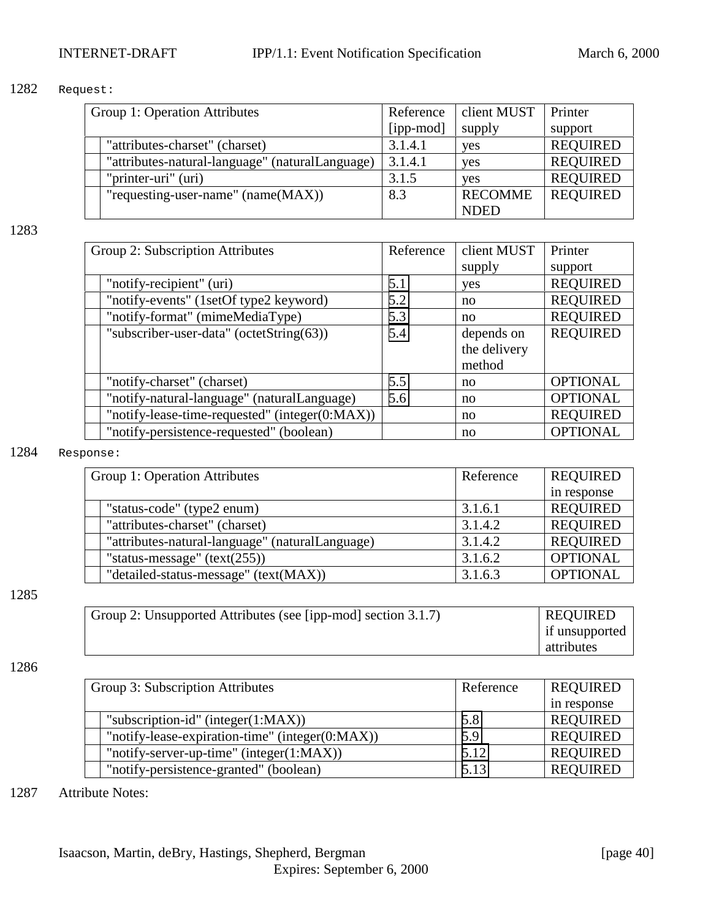#### 1282 Request:

| Group 1: Operation Attributes                   | Reference | client MUST    | Printer         |
|-------------------------------------------------|-----------|----------------|-----------------|
|                                                 | [ipp-mod] | supply         | support         |
| "attributes-charset" (charset)                  | 3.1.4.1   | yes            | <b>REQUIRED</b> |
| "attributes-natural-language" (naturalLanguage) | 3.1.4.1   | yes            | <b>REQUIRED</b> |
| "printer-uri" (uri)                             | 3.1.5     | <b>ves</b>     | <b>REQUIRED</b> |
| "requesting-user-name" $(name(MAX))$            | 8.3       | <b>RECOMME</b> | <b>REQUIRED</b> |
|                                                 |           | <b>NDED</b>    |                 |

#### 1283

| Group 2: Subscription Attributes               | Reference | client MUST  | Printer         |
|------------------------------------------------|-----------|--------------|-----------------|
|                                                |           | supply       | support         |
| "notify-recipient" (uri)                       | 5.1       | yes          | <b>REQUIRED</b> |
| "notify-events" (1setOf type2 keyword)         | 5.2       | no           | <b>REQUIRED</b> |
| "notify-format" (mimeMediaType)                | 5.3       | no           | <b>REQUIRED</b> |
| "subscriber-user-data" (octetString(63))       | 5.4       | depends on   | <b>REQUIRED</b> |
|                                                |           | the delivery |                 |
|                                                |           | method       |                 |
| "notify-charset" (charset)                     | 5.5       | no           | <b>OPTIONAL</b> |
| "notify-natural-language" (naturalLanguage)    | 5.6       | no           | <b>OPTIONAL</b> |
| "notify-lease-time-requested" (integer(0:MAX)) |           | no           | <b>REQUIRED</b> |
| "notify-persistence-requested" (boolean)       |           | no           | <b>OPTIONAL</b> |

#### 1284 Response:

| Group 1: Operation Attributes                   | Reference | <b>REQUIRED</b> |
|-------------------------------------------------|-----------|-----------------|
|                                                 |           | in response     |
| "status-code" (type2 enum)                      | 3.1.6.1   | <b>REQUIRED</b> |
| "attributes-charset" (charset)                  | 3.1.4.2   | <b>REQUIRED</b> |
| "attributes-natural-language" (naturalLanguage) | 3.1.4.2   | <b>REQUIRED</b> |
| "status-message" $(text(255))$                  | 3.1.6.2   | <b>OPTIONAL</b> |
| "detailed-status-message" (text(MAX))           | 3.1.6.3   | <b>OPTIONAL</b> |

#### 1285

| Group 2: Unsupported Attributes (see [ipp-mod] section 3.1.7) | <b>REQUIRED</b> |
|---------------------------------------------------------------|-----------------|
|                                                               | if unsupported  |
|                                                               | attributes      |

#### 1286

| Group 3: Subscription Attributes                | Reference | <b>REQUIRED</b> |
|-------------------------------------------------|-----------|-----------------|
|                                                 |           | in response     |
| "subscription-id" (integer $(1:MAX)$ )          | 5.8       | <b>REQUIRED</b> |
| "notify-lease-expiration-time" (integer(0:MAX)) | 5.9       | <b>REQUIRED</b> |
| "notify-server-up-time" (integer $(1:MAX)$ )    | 5.12      | <b>REQUIRED</b> |
| "notify-persistence-granted" (boolean)          | 5.13      | <b>REQUIRED</b> |

#### 1287 Attribute Notes: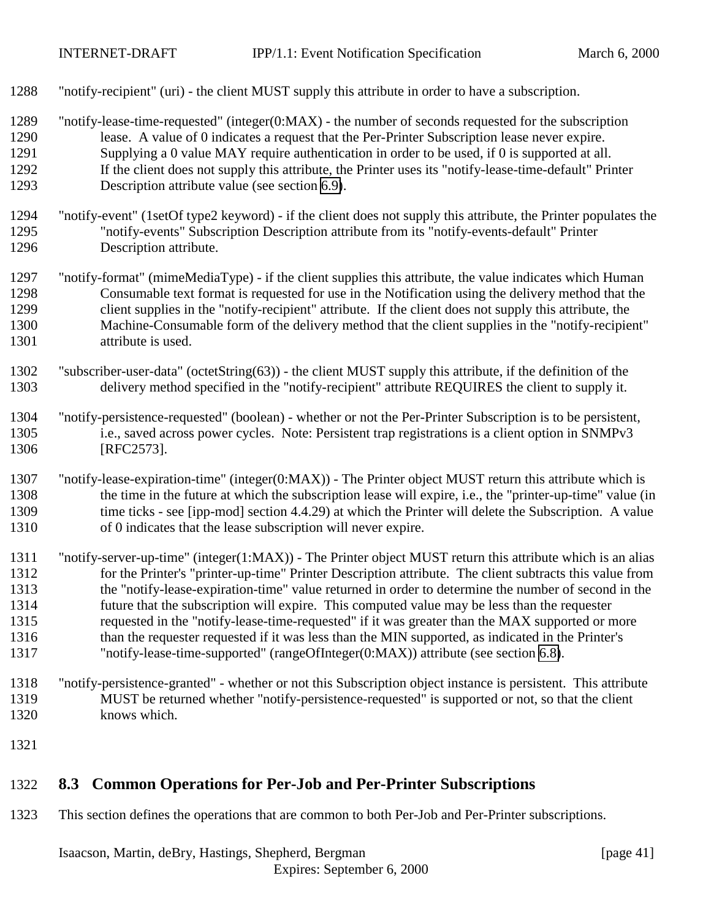- <span id="page-40-0"></span>"notify-recipient" (uri) - the client MUST supply this attribute in order to have a subscription.
- "notify-lease-time-requested" (integer(0:MAX) the number of seconds requested for the subscription lease. A value of 0 indicates a request that the Per-Printer Subscription lease never expire. Supplying a 0 value MAY require authentication in order to be used, if 0 is supported at all. If the client does not supply this attribute, the Printer uses its "notify-lease-time-default" Printer
- Description attribute value (see section [6.9\)](#page-27-0).
- "notify-event" (1setOf type2 keyword) if the client does not supply this attribute, the Printer populates the "notify-events" Subscription Description attribute from its "notify-events-default" Printer Description attribute.
- "notify-format" (mimeMediaType) if the client supplies this attribute, the value indicates which Human Consumable text format is requested for use in the Notification using the delivery method that the client supplies in the "notify-recipient" attribute. If the client does not supply this attribute, the Machine-Consumable form of the delivery method that the client supplies in the "notify-recipient" 1301 attribute is used.
- "subscriber-user-data" (octetString(63)) the client MUST supply this attribute, if the definition of the delivery method specified in the "notify-recipient" attribute REQUIRES the client to supply it.
- "notify-persistence-requested" (boolean) whether or not the Per-Printer Subscription is to be persistent, i.e., saved across power cycles. Note: Persistent trap registrations is a client option in SNMPv3 [RFC2573].
- "notify-lease-expiration-time" (integer(0:MAX)) The Printer object MUST return this attribute which is the time in the future at which the subscription lease will expire, i.e., the "printer-up-time" value (in 1309 time ticks - see [ipp-mod] section 4.4.29) at which the Printer will delete the Subscription. A value of 0 indicates that the lease subscription will never expire.
- "notify-server-up-time" (integer(1:MAX)) The Printer object MUST return this attribute which is an alias for the Printer's "printer-up-time" Printer Description attribute. The client subtracts this value from the "notify-lease-expiration-time" value returned in order to determine the number of second in the future that the subscription will expire. This computed value may be less than the requester requested in the "notify-lease-time-requested" if it was greater than the MAX supported or more than the requester requested if it was less than the MIN supported, as indicated in the Printer's "notify-lease-time-supported" (rangeOfInteger(0:MAX)) attribute (see section [6.8\)](#page-27-0).
- "notify-persistence-granted" whether or not this Subscription object instance is persistent. This attribute MUST be returned whether "notify-persistence-requested" is supported or not, so that the client knows which.
- 

# **8.3 Common Operations for Per-Job and Per-Printer Subscriptions**

This section defines the operations that are common to both Per-Job and Per-Printer subscriptions.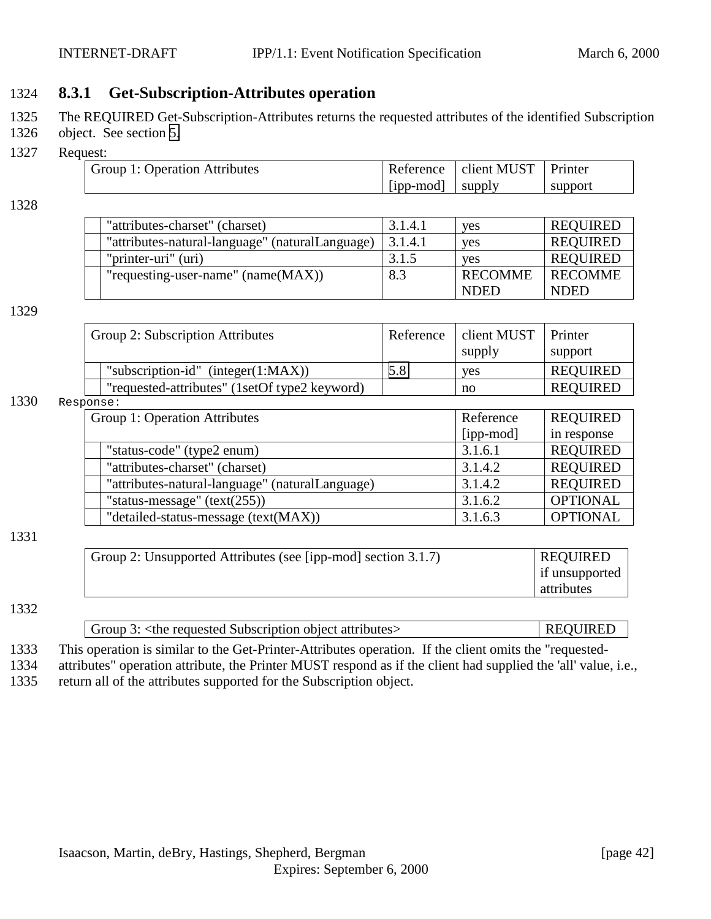# <span id="page-41-0"></span>1324 **8.3.1 Get-Subscription-Attributes operation**

- 1325 The REQUIRED Get-Subscription-Attributes returns the requested attributes of the identified Subscription
- 1326 object. See section [5.](#page-16-0)
- 1327 Request:

| .                             |                    |                                   |         |
|-------------------------------|--------------------|-----------------------------------|---------|
| Group 1: Operation Attributes |                    | Reference   client MUST   Printer |         |
|                               | $[ipp-mod]$ supply |                                   | support |

1328

| "attributes-charset" (charset)                  | 3.1.4.1 | <b>ves</b>     | <b>REQUIRED</b> |
|-------------------------------------------------|---------|----------------|-----------------|
| "attributes-natural-language" (naturalLanguage) | 3.1.4.1 | <b>ves</b>     | <b>REQUIRED</b> |
| "printer-uri" (uri)                             | 3.1.5   | <b>ves</b>     | <b>REQUIRED</b> |
| "requesting-user-name" $(name(MAX))$            | 8.3     | <b>RECOMME</b> | <b>RECOMME</b>  |
|                                                 |         | <b>NDED</b>    | <b>NDED</b>     |

#### 1329

| Group 2: Subscription Attributes              | Reference | client MUST | Printer         |
|-----------------------------------------------|-----------|-------------|-----------------|
|                                               |           | supply      | support         |
| "subscription-id" (integer $(1:MAX)$ )        | 5.8       | <b>ves</b>  | <b>REQUIRED</b> |
| "requested-attributes" (1setOf type2 keyword) |           | no          | <b>REQUIRED</b> |

#### 1330 Response:

| PUILD C.                                        |           |                 |
|-------------------------------------------------|-----------|-----------------|
| Group 1: Operation Attributes                   | Reference | <b>REQUIRED</b> |
|                                                 | [ipp-mod] | in response     |
| "status-code" (type2 enum)                      | 3.1.6.1   | <b>REQUIRED</b> |
| "attributes-charset" (charset)                  | 3.1.4.2   | <b>REQUIRED</b> |
| "attributes-natural-language" (naturalLanguage) | 3.1.4.2   | <b>REQUIRED</b> |
| "status-message" $(text(255))$                  | 3.1.6.2   | <b>OPTIONAL</b> |
| "detailed-status-message (text(MAX))            | 3.1.6.3   | <b>OPTIONAL</b> |

#### 1331

1332

| Group 2: Unsupported Attributes (see [ipp-mod] section 3.1.7) | <b>REQUIRED</b> |
|---------------------------------------------------------------|-----------------|
|                                                               | if unsupported  |
|                                                               | attributes      |

# Group 3: <the requested Subscription object attributes> REQUIRED

1333 This operation is similar to the Get-Printer-Attributes operation. If the client omits the "requested-

1334 attributes" operation attribute, the Printer MUST respond as if the client had supplied the 'all' value, i.e., 1335 return all of the attributes supported for the Subscription object.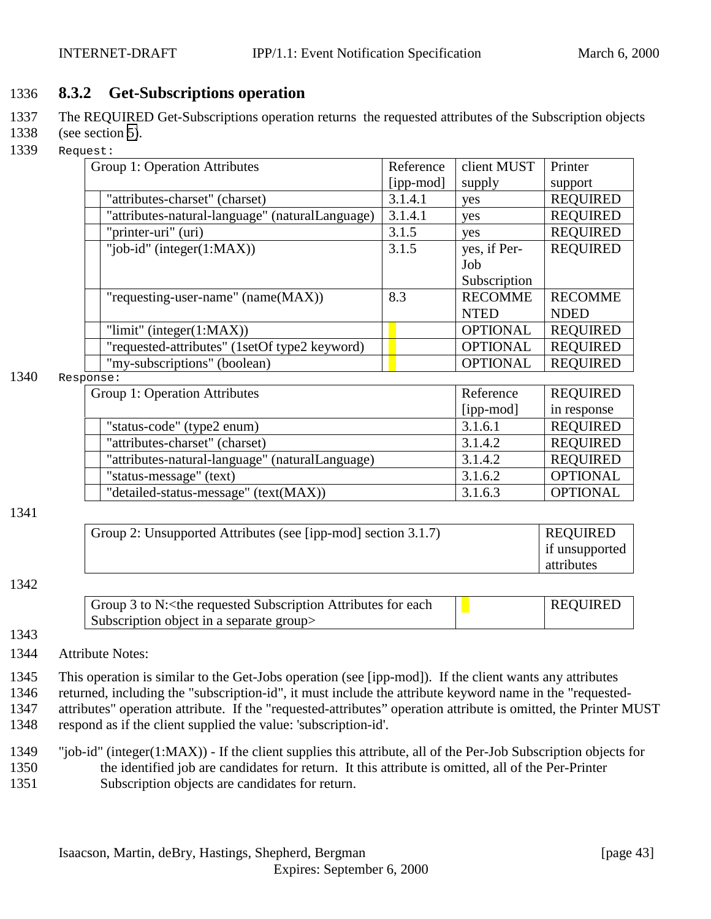# <span id="page-42-0"></span>1336 **8.3.2 Get-Subscriptions operation**

- 1337 The REQUIRED Get-Subscriptions operation returns the requested attributes of the Subscription objects
- 1338 (see section [5\)](#page-16-0).
- 1339 Request:

| Group 1: Operation Attributes                   | Reference | client MUST     | Printer         |
|-------------------------------------------------|-----------|-----------------|-----------------|
|                                                 | [ipp-mod] | supply          | support         |
| "attributes-charset" (charset)                  | 3.1.4.1   | yes             | <b>REQUIRED</b> |
| "attributes-natural-language" (naturalLanguage) | 3.1.4.1   | yes             | <b>REQUIRED</b> |
| "printer-uri" (uri)                             | 3.1.5     | yes             | <b>REQUIRED</b> |
| "job-id" (integer $(1:MAX)$ )                   | 3.1.5     | yes, if Per-    | <b>REQUIRED</b> |
|                                                 |           | Job             |                 |
|                                                 |           | Subscription    |                 |
| "requesting-user-name" (name(MAX))              | 8.3       | <b>RECOMME</b>  | <b>RECOMME</b>  |
|                                                 |           | <b>NTED</b>     | <b>NDED</b>     |
| "limit" (integer $(1:MAX)$ )                    |           | <b>OPTIONAL</b> | <b>REQUIRED</b> |
| "requested-attributes" (1setOf type2 keyword)   |           | <b>OPTIONAL</b> | <b>REQUIRED</b> |
| "my-subscriptions" (boolean)                    |           | <b>OPTIONAL</b> | <b>REQUIRED</b> |

#### 1340 Response:

| 115e.                                           |           |                 |
|-------------------------------------------------|-----------|-----------------|
| Group 1: Operation Attributes                   | Reference | <b>REQUIRED</b> |
|                                                 | [ipp-mod] | in response     |
| "status-code" (type2 enum)                      | 3.1.6.1   | <b>REQUIRED</b> |
| "attributes-charset" (charset)                  | 3.1.4.2   | <b>REQUIRED</b> |
| "attributes-natural-language" (naturalLanguage) | 3.1.4.2   | <b>REQUIRED</b> |
| "status-message" (text)                         | 3.1.6.2   | <b>OPTIONAL</b> |
| "detailed-status-message" (text(MAX))           | 3.1.6.3   | <b>OPTIONAL</b> |

#### 1341

| Group 2: Unsupported Attributes (see [ipp-mod] section 3.1.7) | <b>REQUIRED</b> |
|---------------------------------------------------------------|-----------------|
|                                                               | if unsupported  |
|                                                               | attributes      |

#### 1342

| Group 3 to N: < the requested Subscription Attributes for each | <b>REQUIRED</b> |
|----------------------------------------------------------------|-----------------|
| Subscription object in a separate group                        |                 |

#### 1343

1344 Attribute Notes:

1345 This operation is similar to the Get-Jobs operation (see [ipp-mod]). If the client wants any attributes

- 1346 returned, including the "subscription-id", it must include the attribute keyword name in the "requested-
- 1347 attributes" operation attribute. If the "requested-attributes" operation attribute is omitted, the Printer MUST
- 1348 respond as if the client supplied the value: 'subscription-id'.
- 1349 "job-id" (integer(1:MAX)) If the client supplies this attribute, all of the Per-Job Subscription objects for 1350 the identified job are candidates for return. It this attribute is omitted, all of the Per-Printer 1351 Subscription objects are candidates for return.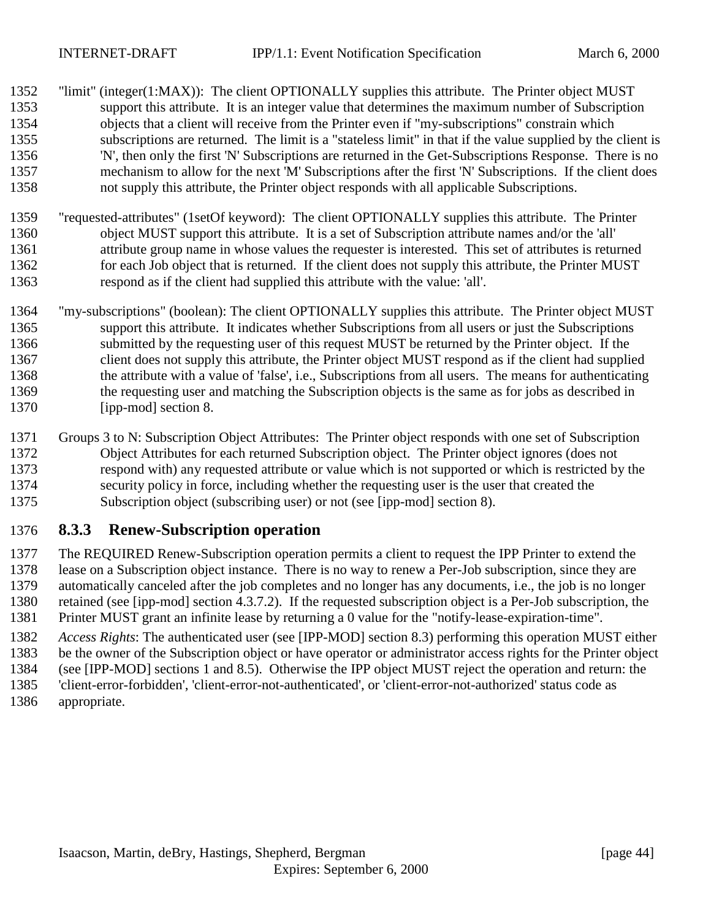- <span id="page-43-0"></span> "limit" (integer(1:MAX)): The client OPTIONALLY supplies this attribute. The Printer object MUST support this attribute. It is an integer value that determines the maximum number of Subscription objects that a client will receive from the Printer even if "my-subscriptions" constrain which subscriptions are returned. The limit is a "stateless limit" in that if the value supplied by the client is 'N', then only the first 'N' Subscriptions are returned in the Get-Subscriptions Response. There is no mechanism to allow for the next 'M' Subscriptions after the first 'N' Subscriptions. If the client does not supply this attribute, the Printer object responds with all applicable Subscriptions.
- "requested-attributes" (1setOf keyword): The client OPTIONALLY supplies this attribute. The Printer object MUST support this attribute. It is a set of Subscription attribute names and/or the 'all' attribute group name in whose values the requester is interested. This set of attributes is returned for each Job object that is returned. If the client does not supply this attribute, the Printer MUST respond as if the client had supplied this attribute with the value: 'all'.
- "my-subscriptions" (boolean): The client OPTIONALLY supplies this attribute. The Printer object MUST support this attribute. It indicates whether Subscriptions from all users or just the Subscriptions submitted by the requesting user of this request MUST be returned by the Printer object. If the client does not supply this attribute, the Printer object MUST respond as if the client had supplied the attribute with a value of 'false', i.e., Subscriptions from all users. The means for authenticating the requesting user and matching the Subscription objects is the same as for jobs as described in [ipp-mod] section 8.
- Groups 3 to N: Subscription Object Attributes: The Printer object responds with one set of Subscription Object Attributes for each returned Subscription object. The Printer object ignores (does not respond with) any requested attribute or value which is not supported or which is restricted by the security policy in force, including whether the requesting user is the user that created the Subscription object (subscribing user) or not (see [ipp-mod] section 8).

### **8.3.3 Renew-Subscription operation**

 The REQUIRED Renew-Subscription operation permits a client to request the IPP Printer to extend the lease on a Subscription object instance. There is no way to renew a Per-Job subscription, since they are automatically canceled after the job completes and no longer has any documents, i.e., the job is no longer retained (see [ipp-mod] section 4.3.7.2). If the requested subscription object is a Per-Job subscription, the Printer MUST grant an infinite lease by returning a 0 value for the "notify-lease-expiration-time".

 *Access Rights*: The authenticated user (see [IPP-MOD] section 8.3) performing this operation MUST either be the owner of the Subscription object or have operator or administrator access rights for the Printer object

(see [IPP-MOD] sections 1 and 8.5). Otherwise the IPP object MUST reject the operation and return: the

 'client-error-forbidden', 'client-error-not-authenticated', or 'client-error-not-authorized' status code as appropriate.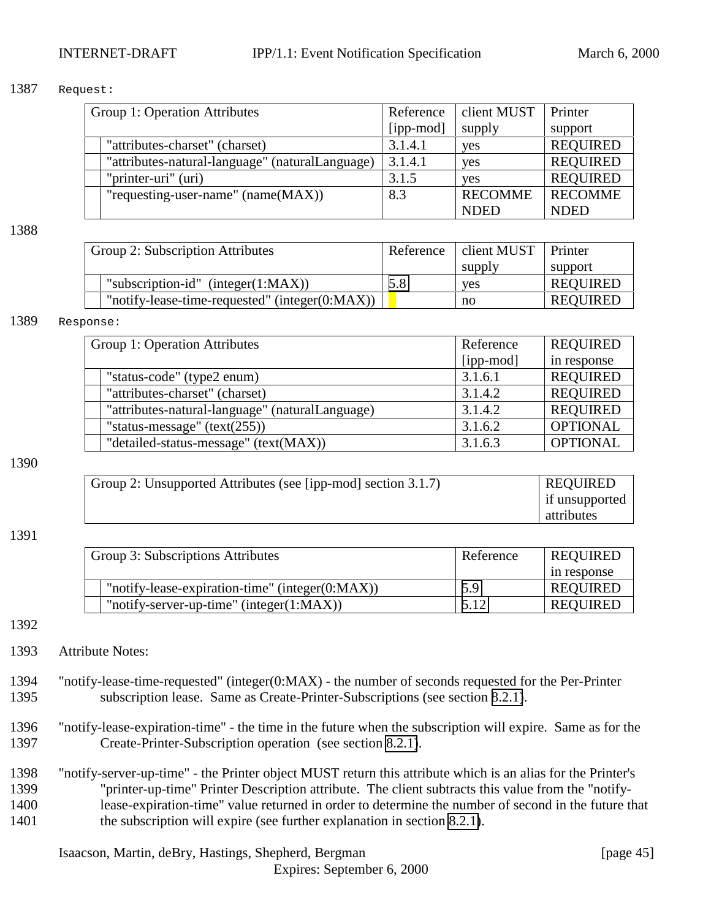#### 1387 Request:

| Group 1: Operation Attributes                   | Reference | client MUST    | Printer         |
|-------------------------------------------------|-----------|----------------|-----------------|
|                                                 | [ipp-mod] | supply         | support         |
| "attributes-charset" (charset)                  | 3.1.4.1   | yes            | <b>REQUIRED</b> |
| "attributes-natural-language" (naturalLanguage) | 3.1.4.1   | yes            | <b>REQUIRED</b> |
| "printer-uri" (uri)                             | 3.1.5     | <b>ves</b>     | <b>REQUIRED</b> |
| "requesting-user-name" $(name(MAX))$            | 8.3       | <b>RECOMME</b> | <b>RECOMME</b>  |
|                                                 |           | <b>NDED</b>    | <b>NDED</b>     |

1388

| Group 2: Subscription Attributes                   | Reference | client MUST | Printer         |
|----------------------------------------------------|-----------|-------------|-----------------|
|                                                    |           | supply      | support         |
| "subscription-id" (integer $(1:MAX)$ )             | 5.8       | <b>ves</b>  | <b>REQUIRED</b> |
| "notify-lease-time-requested" (integer $(0:MAX)$ ) |           | no          | <b>REQUIRED</b> |

#### 1389 Response:

| Group 1: Operation Attributes                   | Reference | <b>REQUIRED</b> |
|-------------------------------------------------|-----------|-----------------|
|                                                 | [ipp-mod] | in response     |
| "status-code" (type2 enum)                      | 3.1.6.1   | <b>REQUIRED</b> |
| "attributes-charset" (charset)                  | 3.1.4.2   | <b>REQUIRED</b> |
| "attributes-natural-language" (naturalLanguage) | 3.1.4.2   | <b>REQUIRED</b> |
| "status-message" $(text(255))$                  | 3.1.6.2   | <b>OPTIONAL</b> |
| "detailed-status-message" (text(MAX))           | 3.1.6.3   | <b>OPTIONAL</b> |

#### 1390

| Group 2: Unsupported Attributes (see [ipp-mod] section 3.1.7) | <b>REQUIRED</b> |
|---------------------------------------------------------------|-----------------|
|                                                               | if unsupported  |
|                                                               | attributes      |

#### 1391

| Group 3: Subscriptions Attributes                   | Reference | <b>REQUIRED</b> |  |  |
|-----------------------------------------------------|-----------|-----------------|--|--|
|                                                     |           | in response     |  |  |
| "notify-lease-expiration-time" (integer $(0:MAX)$ ) | 5.9       | <b>REQUIRED</b> |  |  |
| "notify-server-up-time" (integer $(1:MAX)$ )        | 5.12      | <b>REOUIRED</b> |  |  |

1392

- 1393 Attribute Notes:
- 1394 "notify-lease-time-requested" (integer(0:MAX) the number of seconds requested for the Per-Printer 1395 subscription lease. Same as Create-Printer-Subscriptions (see section [8.2.1\)](#page-38-0).
- 1396 "notify-lease-expiration-time" the time in the future when the subscription will expire. Same as for the 1397 Create-Printer-Subscription operation (see section [8.2.1\)](#page-38-0).
- 1398 "notify-server-up-time" the Printer object MUST return this attribute which is an alias for the Printer's 1399 "printer-up-time" Printer Description attribute. The client subtracts this value from the "notify-1400 lease-expiration-time" value returned in order to determine the number of second in the future that 1401 the subscription will expire (see further explanation in section [8.2.1\)](#page-38-0).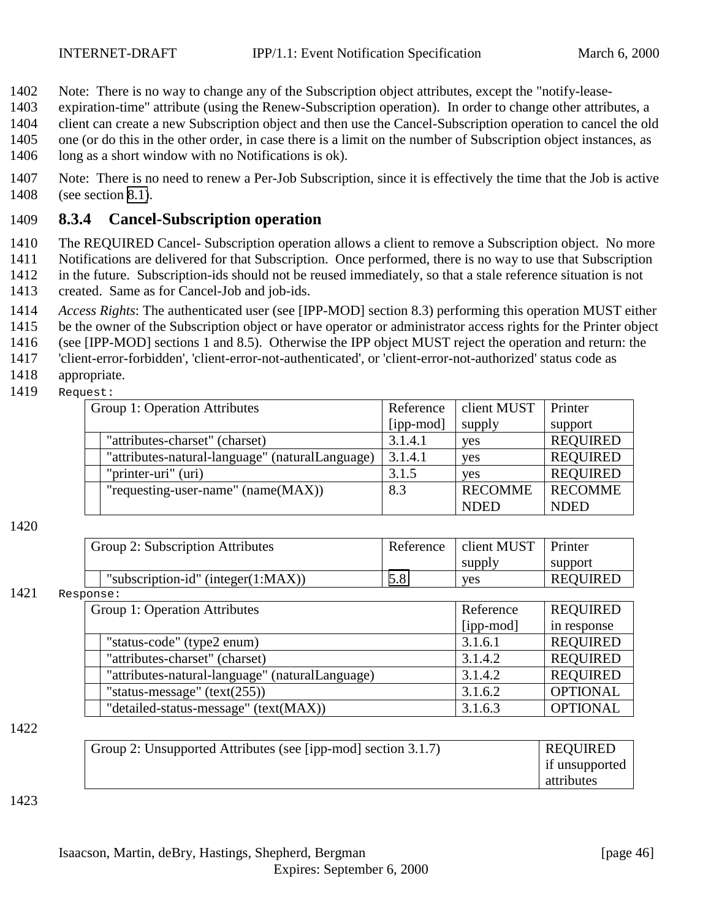- <span id="page-45-0"></span>1402 Note: There is no way to change any of the Subscription object attributes, except the "notify-lease-
- 1403 expiration-time" attribute (using the Renew-Subscription operation). In order to change other attributes, a
- 1404 client can create a new Subscription object and then use the Cancel-Subscription operation to cancel the old 1405 one (or do this in the other order, in case there is a limit on the number of Subscription object instances, as
- 1406 long as a short window with no Notifications is ok).
	- 1407 Note: There is no need to renew a Per-Job Subscription, since it is effectively the time that the Job is active 1408 (see section [8.1\)](#page-33-0).

# 1409 **8.3.4 Cancel-Subscription operation**

- 1410 The REQUIRED Cancel- Subscription operation allows a client to remove a Subscription object. No more
- 1411 Notifications are delivered for that Subscription. Once performed, there is no way to use that Subscription 1412 in the future. Subscription-ids should not be reused immediately, so that a stale reference situation is not
- 1413 created. Same as for Cancel-Job and job-ids.
- 1414 *Access Rights*: The authenticated user (see [IPP-MOD] section 8.3) performing this operation MUST either
- 1415 be the owner of the Subscription object or have operator or administrator access rights for the Printer object
- 1416 (see [IPP-MOD] sections 1 and 8.5). Otherwise the IPP object MUST reject the operation and return: the
- 1417 'client-error-forbidden', 'client-error-not-authenticated', or 'client-error-not-authorized' status code as
- 1418 appropriate.
- 1419 Request:

| Group 1: Operation Attributes                   | Reference | client MUST    | Printer         |
|-------------------------------------------------|-----------|----------------|-----------------|
|                                                 | [ipp-mod] | supply         | support         |
| "attributes-charset" (charset)                  | 3.1.4.1   | yes            | <b>REQUIRED</b> |
| "attributes-natural-language" (naturalLanguage) | 3.1.4.1   | yes            | <b>REQUIRED</b> |
| "printer-uri" (uri)                             | 3.1.5     | <b>ves</b>     | <b>REQUIRED</b> |
| "requesting-user-name" $(name(MAX))$            | 8.3       | <b>RECOMME</b> | <b>RECOMME</b>  |
|                                                 |           | <b>NDED</b>    | <b>NDED</b>     |

#### 1420

|      |           | Group 2: Subscription Attributes                | Reference | client MUST     | Printer         |
|------|-----------|-------------------------------------------------|-----------|-----------------|-----------------|
|      |           |                                                 |           | supply          | support         |
|      |           | "subscription-id" (integer $(1:MAX)$ )          | 5.8       | yes             | <b>REQUIRED</b> |
| 1421 | Response: |                                                 |           |                 |                 |
|      |           | Group 1: Operation Attributes                   | Reference | <b>REQUIRED</b> |                 |
|      |           |                                                 |           | [ipp-mod]       | in response     |
|      |           | "status-code" (type2 enum)                      |           | 3.1.6.1         | <b>REQUIRED</b> |
|      |           | "attributes-charset" (charset)                  |           | 3.1.4.2         | <b>REQUIRED</b> |
|      |           | "attributes-natural-language" (naturalLanguage) |           | 3.1.4.2         | <b>REQUIRED</b> |

"status-message" (text(255))  $3.1.6.2$  OPTIONAL "detailed-status-message" (text(MAX)) 3.1.6.3 OPTIONAL

#### 1422

| Group 2: Unsupported Attributes (see [ipp-mod] section $3.1.7$ ) | <b>REQUIRED</b> |
|------------------------------------------------------------------|-----------------|
|                                                                  | if unsupported  |
|                                                                  | attributes      |

#### 1423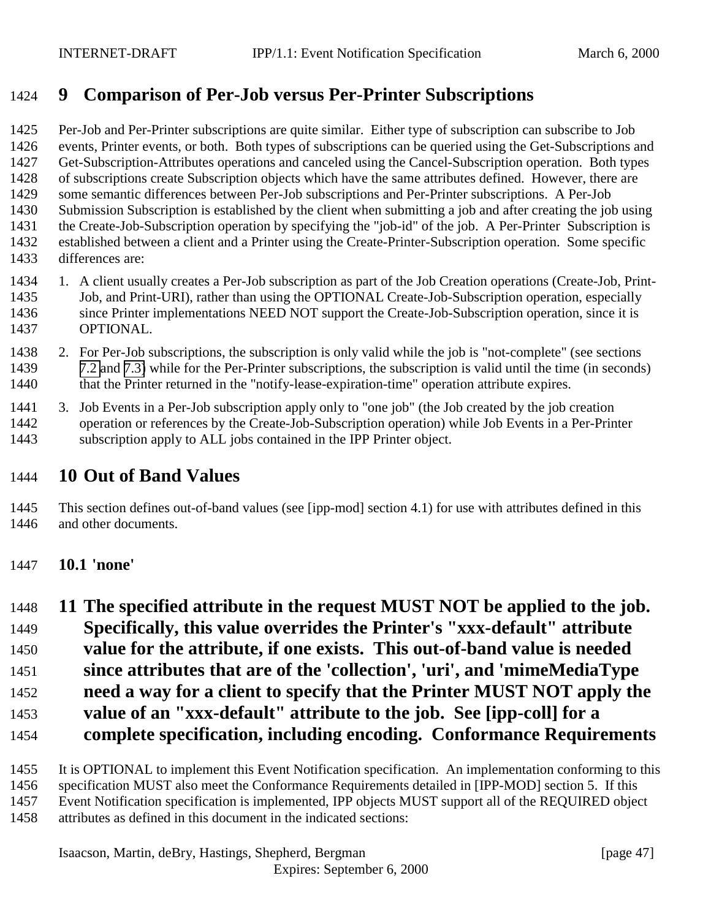# <span id="page-46-0"></span>**9 Comparison of Per-Job versus Per-Printer Subscriptions**

 Per-Job and Per-Printer subscriptions are quite similar. Either type of subscription can subscribe to Job events, Printer events, or both. Both types of subscriptions can be queried using the Get-Subscriptions and Get-Subscription-Attributes operations and canceled using the Cancel-Subscription operation. Both types of subscriptions create Subscription objects which have the same attributes defined. However, there are some semantic differences between Per-Job subscriptions and Per-Printer subscriptions. A Per-Job Submission Subscription is established by the client when submitting a job and after creating the job using the Create-Job-Subscription operation by specifying the "job-id" of the job. A Per-Printer Subscription is established between a client and a Printer using the Create-Printer-Subscription operation. Some specific differences are:

- 1. A client usually creates a Per-Job subscription as part of the Job Creation operations (Create-Job, Print- Job, and Print-URI), rather than using the OPTIONAL Create-Job-Subscription operation, especially since Printer implementations NEED NOT support the Create-Job-Subscription operation, since it is OPTIONAL.
- 2. For Per-Job subscriptions, the subscription is only valid while the job is "not-complete" (see sections [7.2](#page-30-0) and [7.3\)](#page-32-0) while for the Per-Printer subscriptions, the subscription is valid until the time (in seconds) 1440 that the Printer returned in the "notify-lease-expiration-time" operation attribute expires.
- 3. Job Events in a Per-Job subscription apply only to "one job" (the Job created by the job creation operation or references by the Create-Job-Subscription operation) while Job Events in a Per-Printer subscription apply to ALL jobs contained in the IPP Printer object.

# **10 Out of Band Values**

 This section defines out-of-band values (see [ipp-mod] section 4.1) for use with attributes defined in this 1446 and other documents.

### **10.1 'none'**

- **11 The specified attribute in the request MUST NOT be applied to the job.**
- **Specifically, this value overrides the Printer's "xxx-default" attribute value for the attribute, if one exists. This out-of-band value is needed**
- 
- **since attributes that are of the 'collection', 'uri', and 'mimeMediaType need a way for a client to specify that the Printer MUST NOT apply the**
- 
- **value of an "xxx-default" attribute to the job. See [ipp-coll] for a**
- **complete specification, including encoding. Conformance Requirements**
- It is OPTIONAL to implement this Event Notification specification. An implementation conforming to this
- specification MUST also meet the Conformance Requirements detailed in [IPP-MOD] section 5. If this
- Event Notification specification is implemented, IPP objects MUST support all of the REQUIRED object
- attributes as defined in this document in the indicated sections: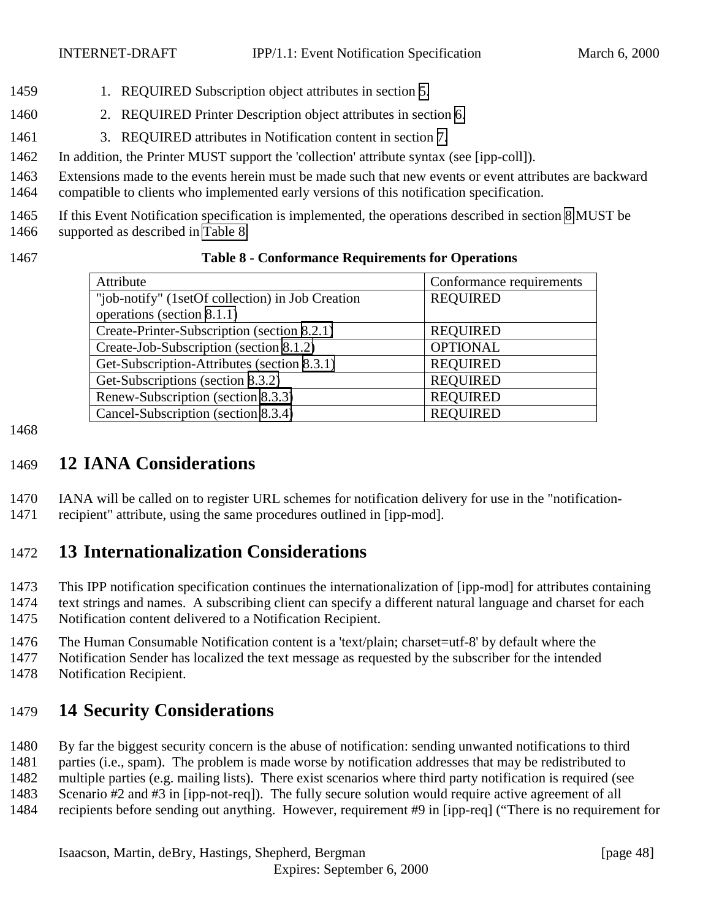- <span id="page-47-0"></span>1459 1. REQUIRED Subscription object attributes in section [5.](#page-16-0)
- 2. REQUIRED Printer Description object attributes in section [6.](#page-25-0)
- 3. REQUIRED attributes in Notification content in section [7.](#page-28-0)
- In addition, the Printer MUST support the 'collection' attribute syntax (see [ipp-coll]).

Extensions made to the events herein must be made such that new events or event attributes are backward

compatible to clients who implemented early versions of this notification specification.

 If this Event Notification specification is implemented, the operations described in section [8](#page-33-0) MUST be supported as described in Table 8:

**Table 8 - Conformance Requirements for Operations**

| Attribute                                        | Conformance requirements |
|--------------------------------------------------|--------------------------|
| "job-notify" (1setOf collection) in Job Creation | <b>REQUIRED</b>          |
| operations (section 8.1.1)                       |                          |
| Create-Printer-Subscription (section 8.2.1)      | <b>REQUIRED</b>          |
| Create-Job-Subscription (section 8.1.2)          | <b>OPTIONAL</b>          |
| Get-Subscription-Attributes (section 8.3.1)      | <b>REQUIRED</b>          |
| Get-Subscriptions (section 8.3.2)                | <b>REQUIRED</b>          |
| Renew-Subscription (section 8.3.3)               | <b>REQUIRED</b>          |
| Cancel-Subscription (section 8.3.4)              | <b>REQUIRED</b>          |

# **12 IANA Considerations**

 IANA will be called on to register URL schemes for notification delivery for use in the "notification-recipient" attribute, using the same procedures outlined in [ipp-mod].

# **13 Internationalization Considerations**

This IPP notification specification continues the internationalization of [ipp-mod] for attributes containing

 text strings and names. A subscribing client can specify a different natural language and charset for each Notification content delivered to a Notification Recipient.

The Human Consumable Notification content is a 'text/plain; charset=utf-8' by default where the

Notification Sender has localized the text message as requested by the subscriber for the intended

Notification Recipient.

# **14 Security Considerations**

By far the biggest security concern is the abuse of notification: sending unwanted notifications to third

parties (i.e., spam). The problem is made worse by notification addresses that may be redistributed to

multiple parties (e.g. mailing lists). There exist scenarios where third party notification is required (see

Scenario #2 and #3 in [ipp-not-req]). The fully secure solution would require active agreement of all

recipients before sending out anything. However, requirement #9 in [ipp-req] ("There is no requirement for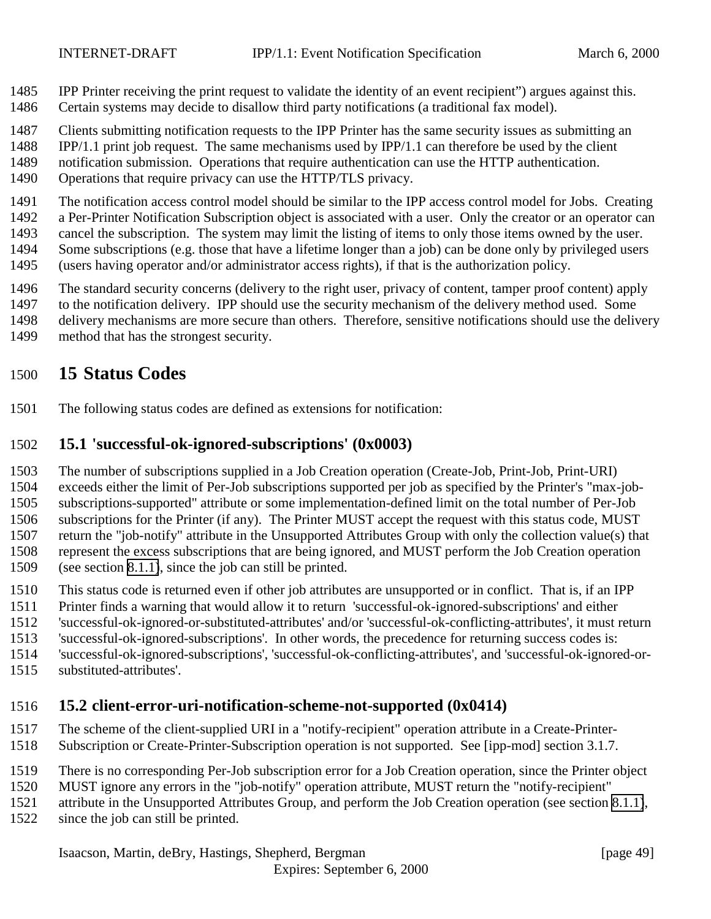- <span id="page-48-0"></span>IPP Printer receiving the print request to validate the identity of an event recipient") argues against this.
- Certain systems may decide to disallow third party notifications (a traditional fax model).
- Clients submitting notification requests to the IPP Printer has the same security issues as submitting an
- IPP/1.1 print job request. The same mechanisms used by IPP/1.1 can therefore be used by the client
- notification submission. Operations that require authentication can use the HTTP authentication.
- Operations that require privacy can use the HTTP/TLS privacy.
- The notification access control model should be similar to the IPP access control model for Jobs. Creating
- a Per-Printer Notification Subscription object is associated with a user. Only the creator or an operator can
- cancel the subscription. The system may limit the listing of items to only those items owned by the user. Some subscriptions (e.g. those that have a lifetime longer than a job) can be done only by privileged users
- (users having operator and/or administrator access rights), if that is the authorization policy.
- The standard security concerns (delivery to the right user, privacy of content, tamper proof content) apply
- to the notification delivery. IPP should use the security mechanism of the delivery method used. Some
- delivery mechanisms are more secure than others. Therefore, sensitive notifications should use the delivery
- method that has the strongest security.

# **15 Status Codes**

The following status codes are defined as extensions for notification:

# **15.1 'successful-ok-ignored-subscriptions' (0x0003)**

The number of subscriptions supplied in a Job Creation operation (Create-Job, Print-Job, Print-URI)

 exceeds either the limit of Per-Job subscriptions supported per job as specified by the Printer's "max-job- subscriptions-supported" attribute or some implementation-defined limit on the total number of Per-Job subscriptions for the Printer (if any). The Printer MUST accept the request with this status code, MUST

 return the "job-notify" attribute in the Unsupported Attributes Group with only the collection value(s) that represent the excess subscriptions that are being ignored, and MUST perform the Job Creation operation (see section [8.1.1\)](#page-34-0), since the job can still be printed.

- This status code is returned even if other job attributes are unsupported or in conflict. That is, if an IPP
- Printer finds a warning that would allow it to return 'successful-ok-ignored-subscriptions' and either
- 'successful-ok-ignored-or-substituted-attributes' and/or 'successful-ok-conflicting-attributes', it must return
- 'successful-ok-ignored-subscriptions'. In other words, the precedence for returning success codes is:
- 'successful-ok-ignored-subscriptions', 'successful-ok-conflicting-attributes', and 'successful-ok-ignored-or-
- substituted-attributes'.

# **15.2 client-error-uri-notification-scheme-not-supported (0x0414)**

- The scheme of the client-supplied URI in a "notify-recipient" operation attribute in a Create-Printer-
- Subscription or Create-Printer-Subscription operation is not supported. See [ipp-mod] section 3.1.7.
- There is no corresponding Per-Job subscription error for a Job Creation operation, since the Printer object
- MUST ignore any errors in the "job-notify" operation attribute, MUST return the "notify-recipient"
- attribute in the Unsupported Attributes Group, and perform the Job Creation operation (see section [8.1.1\)](#page-34-0),
- since the job can still be printed.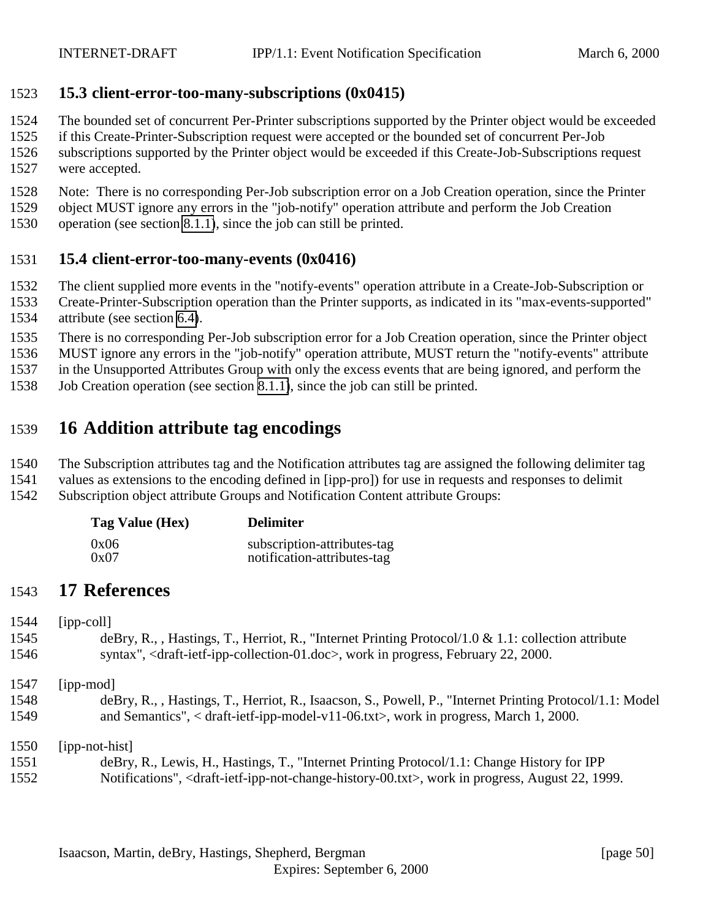### <span id="page-49-0"></span>**15.3 client-error-too-many-subscriptions (0x0415)**

- The bounded set of concurrent Per-Printer subscriptions supported by the Printer object would be exceeded
- if this Create-Printer-Subscription request were accepted or the bounded set of concurrent Per-Job
- subscriptions supported by the Printer object would be exceeded if this Create-Job-Subscriptions request were accepted.
- Note: There is no corresponding Per-Job subscription error on a Job Creation operation, since the Printer
- object MUST ignore any errors in the "job-notify" operation attribute and perform the Job Creation
- operation (see section [8.1.1\)](#page-34-0), since the job can still be printed.

### **15.4 client-error-too-many-events (0x0416)**

- The client supplied more events in the "notify-events" operation attribute in a Create-Job-Subscription or
- Create-Printer-Subscription operation than the Printer supports, as indicated in its "max-events-supported" attribute (see section [6.4\)](#page-26-0).
- There is no corresponding Per-Job subscription error for a Job Creation operation, since the Printer object
- MUST ignore any errors in the "job-notify" operation attribute, MUST return the "notify-events" attribute
- in the Unsupported Attributes Group with only the excess events that are being ignored, and perform the
- Job Creation operation (see section [8.1.1\)](#page-34-0), since the job can still be printed.

# **16 Addition attribute tag encodings**

- The Subscription attributes tag and the Notification attributes tag are assigned the following delimiter tag
- values as extensions to the encoding defined in [ipp-pro]) for use in requests and responses to delimit
- Subscription object attribute Groups and Notification Content attribute Groups:

| Tag Value (Hex) | <b>Delimiter</b>            |
|-----------------|-----------------------------|
| 0x06            | subscription-attributes-tag |
| 0x07            | notification-attributes-tag |

# **17 References**

[ipp-coll]

- deBry, R., , Hastings, T., Herriot, R., "Internet Printing Protocol/1.0 & 1.1: collection attribute syntax", <draft-ietf-ipp-collection-01.doc>, work in progress, February 22, 2000.
- [ipp-mod]
- deBry, R., , Hastings, T., Herriot, R., Isaacson, S., Powell, P., "Internet Printing Protocol/1.1: Model and Semantics", < draft-ietf-ipp-model-v11-06.txt>, work in progress, March 1, 2000.

[ipp-not-hist]

 deBry, R., Lewis, H., Hastings, T., "Internet Printing Protocol/1.1: Change History for IPP Notifications", <draft-ietf-ipp-not-change-history-00.txt>, work in progress, August 22, 1999.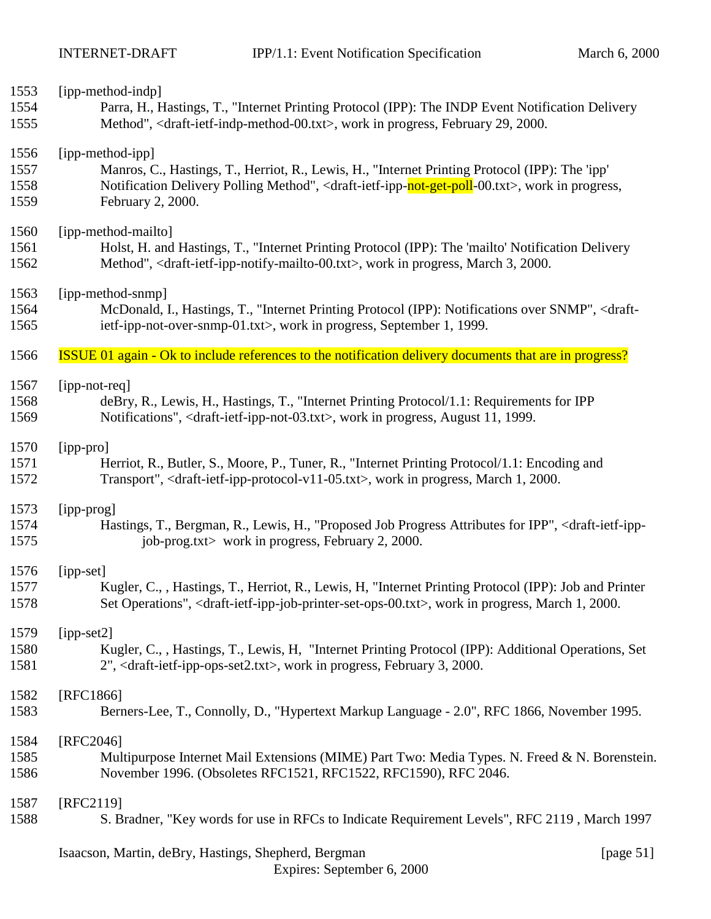| 1553 | [ipp-method-indp]                                                                                                                          |
|------|--------------------------------------------------------------------------------------------------------------------------------------------|
| 1554 | Parra, H., Hastings, T., "Internet Printing Protocol (IPP): The INDP Event Notification Delivery                                           |
| 1555 | Method", <draft-ietf-indp-method-00.txt>, work in progress, February 29, 2000.</draft-ietf-indp-method-00.txt>                             |
| 1556 | [ipp-method-ipp]                                                                                                                           |
| 1557 | Manros, C., Hastings, T., Herriot, R., Lewis, H., "Internet Printing Protocol (IPP): The 'ipp'                                             |
| 1558 | Notification Delivery Polling Method", <draft-ietf-ipp-not-get-poll-00.txt>, work in progress,</draft-ietf-ipp-not-get-poll-00.txt>        |
| 1559 | February 2, 2000.                                                                                                                          |
| 1560 | [ipp-method-mailto]                                                                                                                        |
| 1561 | Holst, H. and Hastings, T., "Internet Printing Protocol (IPP): The 'mailto' Notification Delivery                                          |
| 1562 | Method", <draft-ietf-ipp-notify-mailto-00.txt>, work in progress, March 3, 2000.</draft-ietf-ipp-notify-mailto-00.txt>                     |
| 1563 | [ipp-method-snmp]                                                                                                                          |
| 1564 | McDonald, I., Hastings, T., "Internet Printing Protocol (IPP): Notifications over SNMP", <draft-< td=""></draft-<>                         |
| 1565 | ietf-ipp-not-over-snmp-01.txt>, work in progress, September 1, 1999.                                                                       |
| 1566 | <b>ISSUE 01 again - Ok to include references to the notification delivery documents that are in progress?</b>                              |
| 1567 | [ipp-not-req]                                                                                                                              |
| 1568 | deBry, R., Lewis, H., Hastings, T., "Internet Printing Protocol/1.1: Requirements for IPP                                                  |
| 1569 | Notifications", <draft-ietf-ipp-not-03.txt>, work in progress, August 11, 1999.</draft-ietf-ipp-not-03.txt>                                |
| 1570 | [ipp-pro]                                                                                                                                  |
| 1571 | Herriot, R., Butler, S., Moore, P., Tuner, R., "Internet Printing Protocol/1.1: Encoding and                                               |
| 1572 | Transport", <draft-ietf-ipp-protocol-v11-05.txt>, work in progress, March 1, 2000.</draft-ietf-ipp-protocol-v11-05.txt>                    |
| 1573 | [ipp-prog]                                                                                                                                 |
| 1574 | Hastings, T., Bergman, R., Lewis, H., "Proposed Job Progress Attributes for IPP", <draft-ietf-ipp-< td=""></draft-ietf-ipp-<>              |
| 1575 | job-prog.txt> work in progress, February 2, 2000.                                                                                          |
| 1576 | [ipp-set]                                                                                                                                  |
| 1577 | Kugler, C., , Hastings, T., Herriot, R., Lewis, H. "Internet Printing Protocol (IPP): Job and Printer                                      |
| 1578 | Set Operations", <draft-ietf-ipp-job-printer-set-ops-00.txt>, work in progress, March 1, 2000.</draft-ietf-ipp-job-printer-set-ops-00.txt> |
| 1579 | $[ipp-set2]$                                                                                                                               |
| 1580 | Kugler, C., , Hastings, T., Lewis, H. "Internet Printing Protocol (IPP): Additional Operations, Set                                        |
| 1581 | 2", <draft-ietf-ipp-ops-set2.txt>, work in progress, February 3, 2000.</draft-ietf-ipp-ops-set2.txt>                                       |
| 1582 | [RFC1866]                                                                                                                                  |
| 1583 | Berners-Lee, T., Connolly, D., "Hypertext Markup Language - 2.0", RFC 1866, November 1995.                                                 |
| 1584 | [RFC2046]                                                                                                                                  |
| 1585 | Multipurpose Internet Mail Extensions (MIME) Part Two: Media Types. N. Freed & N. Borenstein.                                              |
| 1586 | November 1996. (Obsoletes RFC1521, RFC1522, RFC1590), RFC 2046.                                                                            |
| 1587 | [RFC2119]                                                                                                                                  |
| 1588 | S. Bradner, "Key words for use in RFCs to Indicate Requirement Levels", RFC 2119, March 1997                                               |
|      | Isaacson, Martin, deBry, Hastings, Shepherd, Bergman<br>[page $51$ ]                                                                       |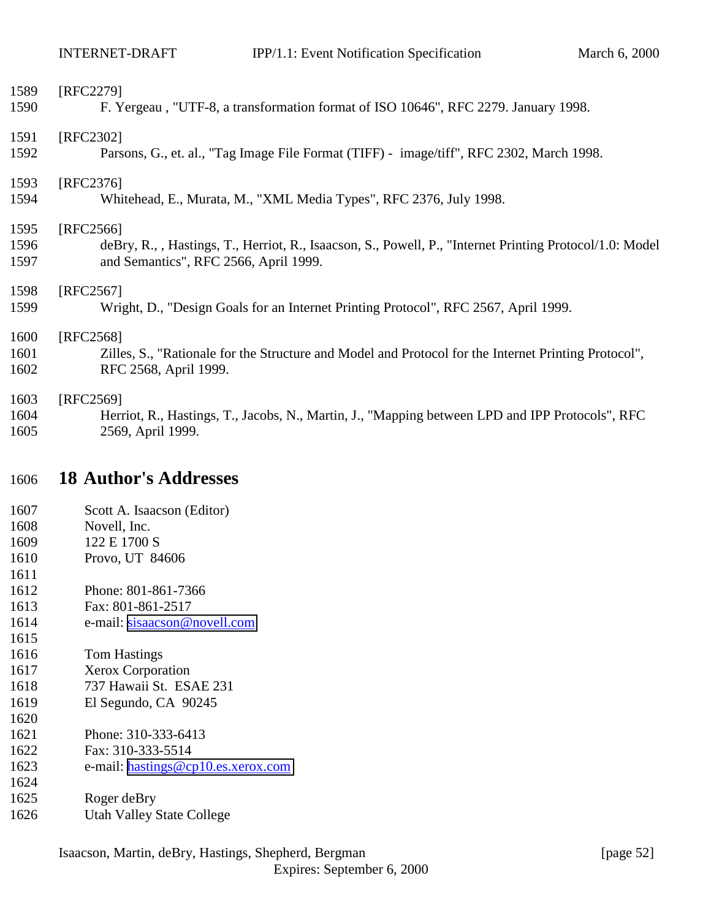<span id="page-51-0"></span>

| 1589<br>1590         | [RFC2279]<br>F. Yergeau, "UTF-8, a transformation format of ISO 10646", RFC 2279. January 1998.                                                                |
|----------------------|----------------------------------------------------------------------------------------------------------------------------------------------------------------|
| 1591<br>1592         | [RFC2302]<br>Parsons, G., et. al., "Tag Image File Format (TIFF) - image/tiff", RFC 2302, March 1998.                                                          |
| 1593<br>1594         | [RFC2376]<br>Whitehead, E., Murata, M., "XML Media Types", RFC 2376, July 1998.                                                                                |
| 1595<br>1596<br>1597 | [RFC2566]<br>deBry, R., , Hastings, T., Herriot, R., Isaacson, S., Powell, P., "Internet Printing Protocol/1.0: Model<br>and Semantics", RFC 2566, April 1999. |
| 1598<br>1599         | $[RFC2567]$<br>Wright, D., "Design Goals for an Internet Printing Protocol", RFC 2567, April 1999.                                                             |
| 1600<br>1601<br>1602 | [RFC2568]<br>Zilles, S., "Rationale for the Structure and Model and Protocol for the Internet Printing Protocol",<br>RFC 2568, April 1999.                     |
| 1603<br>1604<br>1605 | [RFC2569]<br>Herriot, R., Hastings, T., Jacobs, N., Martin, J., "Mapping between LPD and IPP Protocols", RFC<br>2569, April 1999.                              |
| 1606                 | <b>18 Author's Addresses</b>                                                                                                                                   |
| 1607                 | Scott A. Isaacson (Editor)                                                                                                                                     |
| 1608                 | Novell, Inc.                                                                                                                                                   |
| 1609                 | 122 E 1700 S                                                                                                                                                   |
| 1610                 |                                                                                                                                                                |
|                      | Provo, UT 84606                                                                                                                                                |
| 1611                 |                                                                                                                                                                |
| 1612                 | Phone: 801-861-7366                                                                                                                                            |
| 1613                 | Fax: 801-861-2517                                                                                                                                              |
| 1614                 | e-mail: sisaacson@novell.com                                                                                                                                   |
| 1615                 |                                                                                                                                                                |
| 1616                 | <b>Tom Hastings</b>                                                                                                                                            |
| 1617                 | <b>Xerox Corporation</b>                                                                                                                                       |
| 1618                 | 737 Hawaii St. ESAE 231                                                                                                                                        |
| 1619                 | El Segundo, CA 90245                                                                                                                                           |
| 1620                 |                                                                                                                                                                |
| 1621                 | Phone: 310-333-6413                                                                                                                                            |
| 1622<br>1623         | Fax: 310-333-5514<br>e-mail: hastings@cp10.es.xerox.com                                                                                                        |

- Roger deBry
- Utah Valley State College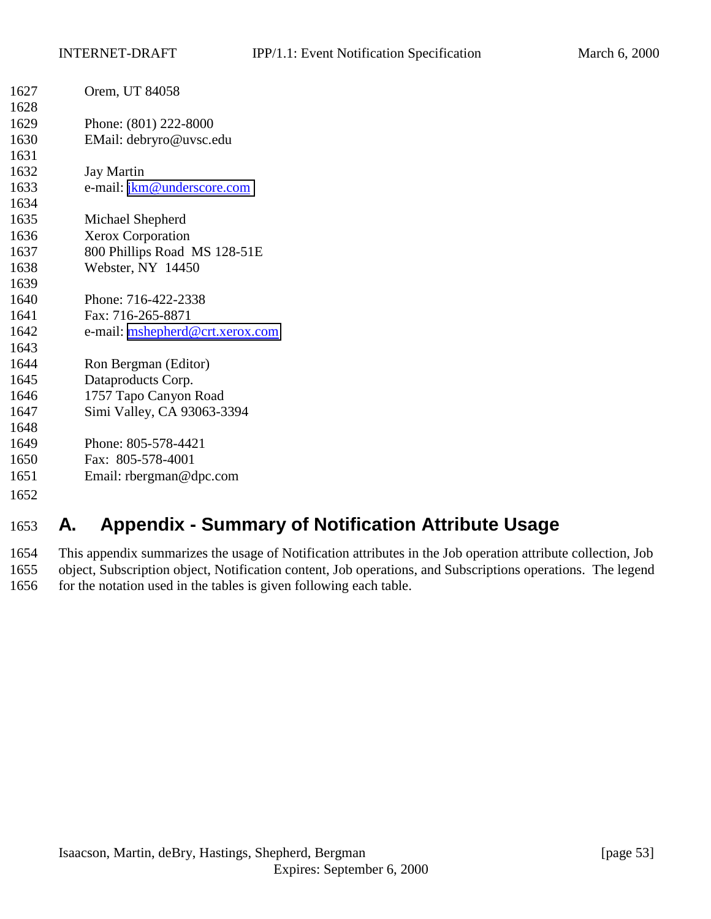<span id="page-52-0"></span>

| Orem, UT 84058                  |
|---------------------------------|
|                                 |
| Phone: (801) 222-8000           |
| EMail: debryro@uvsc.edu         |
|                                 |
| <b>Jay Martin</b>               |
| e-mail: jkm@underscore.com      |
|                                 |
| Michael Shepherd                |
| Xerox Corporation               |
| 800 Phillips Road MS 128-51E    |
| Webster, NY 14450               |
|                                 |
| Phone: 716-422-2338             |
| Fax: 716-265-8871               |
| e-mail: mshepherd@crt.xerox.com |
|                                 |
| Ron Bergman (Editor)            |
| Dataproducts Corp.              |
| 1757 Tapo Canyon Road           |
| Simi Valley, CA 93063-3394      |
|                                 |
| Phone: 805-578-4421             |
| Fax: 805-578-4001               |
| Email: rbergman@dpc.com         |
|                                 |
|                                 |

# **A. Appendix - Summary of Notification Attribute Usage**

 This appendix summarizes the usage of Notification attributes in the Job operation attribute collection, Job object, Subscription object, Notification content, Job operations, and Subscriptions operations. The legend 1656 for the notation used in the tables is given following each table.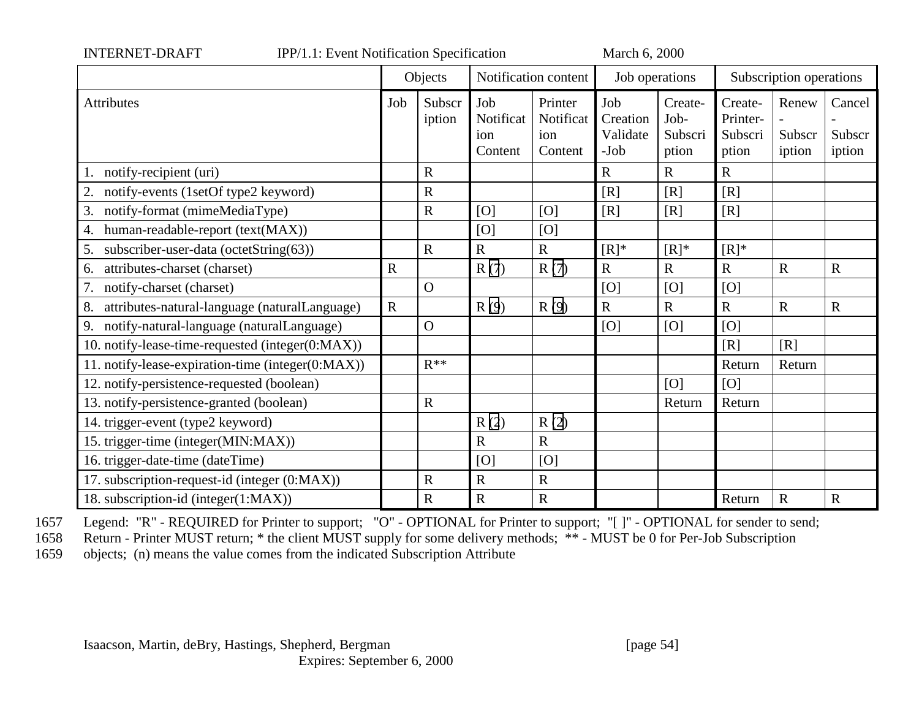| <b>INTERNET-DRAFT</b><br>IPP/1.1: Event Notification Specification |             |                  |                                    |                                        | March 6, 2000                       |                                     |                                         |                           |                            |
|--------------------------------------------------------------------|-------------|------------------|------------------------------------|----------------------------------------|-------------------------------------|-------------------------------------|-----------------------------------------|---------------------------|----------------------------|
|                                                                    |             | Objects          | Notification content               |                                        | Job operations                      |                                     | Subscription operations                 |                           |                            |
| <b>Attributes</b>                                                  | Job         | Subscr<br>iption | Job<br>Notificat<br>ion<br>Content | Printer<br>Notificat<br>ion<br>Content | Job<br>Creation<br>Validate<br>-Job | Create-<br>Job-<br>Subscri<br>ption | Create-<br>Printer-<br>Subscri<br>ption | Renew<br>Subscr<br>iption | Cancel<br>Subscr<br>iption |
| notify-recipient (uri)                                             |             | $\mathbf R$      |                                    |                                        | R                                   | $\mathbf R$                         | $\mathbf R$                             |                           |                            |
| 2.<br>notify-events (1setOf type2 keyword)                         |             | $\mathbf R$      |                                    |                                        | [R]                                 | [R]                                 | [R]                                     |                           |                            |
| 3.<br>notify-format (mimeMediaType)                                |             | $\mathbf R$      | [O]                                | [O]                                    | [R]                                 | [R]                                 | [R]                                     |                           |                            |
| human-readable-report (text(MAX))<br>4.                            |             |                  | [O]                                | [O]                                    |                                     |                                     |                                         |                           |                            |
| subscriber-user-data (octetString(63))<br>5.                       |             | $\mathbf R$      | $\mathbf R$                        | $\mathbf R$                            | $[R]^*$                             | $[R]^*$                             | $[R]^*$                                 |                           |                            |
| attributes-charset (charset)<br>6.                                 | $\mathbf R$ |                  | R(7)                               | R(7)                                   | $\mathbf R$                         | $\mathbf R$                         | $\mathbf R$                             | $\mathbf R$               | $\mathbf R$                |
| 7.<br>notify-charset (charset)                                     |             | $\overline{O}$   |                                    |                                        | [O]                                 | [O]                                 | [O]                                     |                           |                            |
| 8.<br>attributes-natural-language (naturalLanguage)                | $\mathbf R$ |                  | R(9)                               | R(9)                                   | $\overline{R}$                      | $\mathbf R$                         | $\mathbf R$                             | $\mathbf R$               | $\mathbf R$                |
| notify-natural-language (naturalLanguage)<br>9.                    |             | $\mathbf O$      |                                    |                                        | [O]                                 | [O]                                 | [O]                                     |                           |                            |
| 10. notify-lease-time-requested (integer(0:MAX))                   |             |                  |                                    |                                        |                                     |                                     | [R]                                     | [R]                       |                            |
| 11. notify-lease-expiration-time (integer(0:MAX))                  |             | $R^{**}$         |                                    |                                        |                                     |                                     | Return                                  | Return                    |                            |
| 12. notify-persistence-requested (boolean)                         |             |                  |                                    |                                        |                                     | [O]                                 | [O]                                     |                           |                            |
| 13. notify-persistence-granted (boolean)                           |             | $\mathbf R$      |                                    |                                        |                                     | Return                              | Return                                  |                           |                            |
| 14. trigger-event (type2 keyword)                                  |             |                  | R(2)                               | R(2)                                   |                                     |                                     |                                         |                           |                            |
| 15. trigger-time (integer(MIN:MAX))                                |             |                  | $\mathbf R$                        | $\mathbf R$                            |                                     |                                     |                                         |                           |                            |
| 16. trigger-date-time (dateTime)                                   |             |                  | [O]                                | [O]                                    |                                     |                                     |                                         |                           |                            |
| 17. subscription-request-id (integer (0:MAX))                      |             | ${\bf R}$        | $\mathbf R$                        | ${\bf R}$                              |                                     |                                     |                                         |                           |                            |
| 18. subscription-id (integer(1:MAX))                               |             | $\mathbf R$      | $\mathbf R$                        | ${\bf R}$                              |                                     |                                     | Return                                  | $\mathbf R$               | $\mathbf R$                |

1657 Legend: "R" - REQUIRED for Printer to support; "O" - OPTIONAL for Printer to support; "[ ]" - OPTIONAL for sender to send;<br>1658 Return - Printer MUST return; \* the client MUST supply for some delivery methods; \*\* - MU

Return - Printer MUST return; \* the client MUST supply for some delivery methods; \*\* - MUST be 0 for Per-Job Subscription

1659 objects; (n) means the value comes from the indicated Subscription Attribute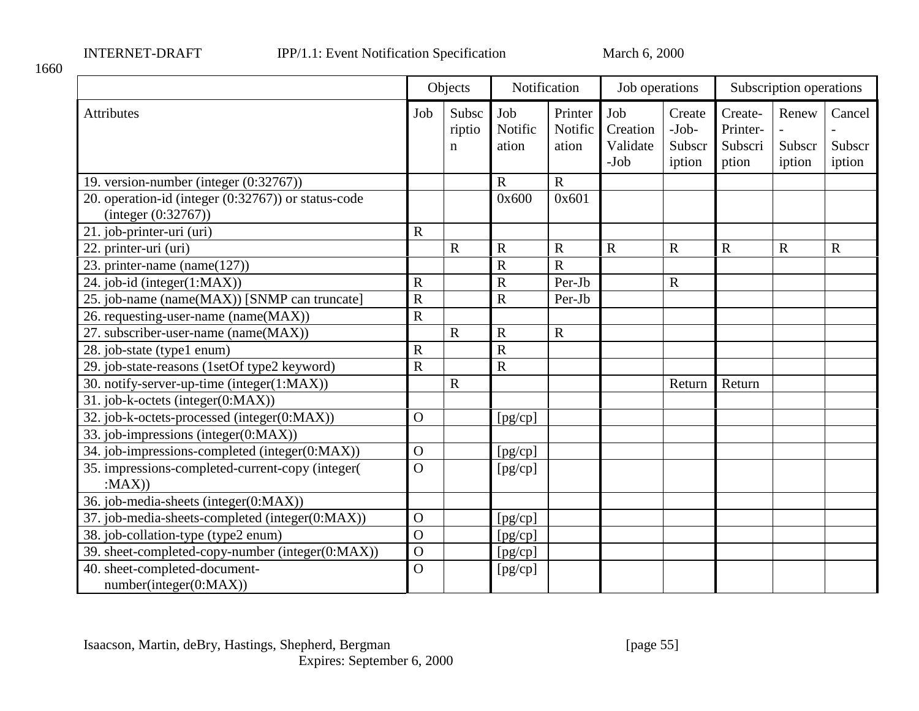1660

|                                                                            |                       | Objects              | Notification            |                             | Job operations                        |                                       | Subscription operations                 |                           |                            |
|----------------------------------------------------------------------------|-----------------------|----------------------|-------------------------|-----------------------------|---------------------------------------|---------------------------------------|-----------------------------------------|---------------------------|----------------------------|
| <b>Attributes</b>                                                          | Job                   | Subsc<br>riptio<br>n | Job<br>Notific<br>ation | Printer<br>Notific<br>ation | Job<br>Creation<br>Validate<br>$-Job$ | Create<br>$-Job-$<br>Subscr<br>iption | Create-<br>Printer-<br>Subscri<br>ption | Renew<br>Subscr<br>iption | Cancel<br>Subscr<br>iption |
| 19. version-number (integer (0:32767))                                     |                       |                      | $\mathbf R$             | $\mathbf R$                 |                                       |                                       |                                         |                           |                            |
| 20. operation-id (integer (0:32767)) or status-code<br>(integer (0:32767)) |                       |                      | 0x600                   | 0x601                       |                                       |                                       |                                         |                           |                            |
| $\overline{21}$ . job-printer-uri (uri)                                    | $\mathbf R$           |                      |                         |                             |                                       |                                       |                                         |                           |                            |
| 22. printer-uri (uri)                                                      |                       | $\mathbf R$          | $\mathbf R$             | $\overline{R}$              | $\mathbf R$                           | $\mathbf R$                           | $\mathbf R$                             | $\mathbf R$               | $\mathbf R$                |
| 23. printer-name (name $(127)$ )                                           |                       |                      | $\overline{R}$          | $\overline{R}$              |                                       |                                       |                                         |                           |                            |
| 24. job-id (integer(1:MAX))                                                | $\mathbf R$           |                      | $\mathbf R$             | Per-Jb                      |                                       | $\mathbf R$                           |                                         |                           |                            |
| 25. job-name (name(MAX)) [SNMP can truncate]                               | $\mathbf R$           |                      | $\mathbf R$             | Per-Jb                      |                                       |                                       |                                         |                           |                            |
| 26. requesting-user-name (name(MAX))                                       | $\overline{\text{R}}$ |                      |                         |                             |                                       |                                       |                                         |                           |                            |
| 27. subscriber-user-name (name(MAX))                                       |                       | $\mathbf R$          | $\mathbf R$             | $\mathbf R$                 |                                       |                                       |                                         |                           |                            |
| 28. job-state (type1 enum)                                                 | $\overline{R}$        |                      | $\overline{\text{R}}$   |                             |                                       |                                       |                                         |                           |                            |
| 29. job-state-reasons (1setOf type2 keyword)                               | $\mathbf R$           |                      | $\mathbf R$             |                             |                                       |                                       |                                         |                           |                            |
| 30. notify-server-up-time (integer(1:MAX))                                 |                       | $\mathbf R$          |                         |                             |                                       | Return                                | Return                                  |                           |                            |
| 31. job-k-octets (integer(0:MAX))                                          |                       |                      |                         |                             |                                       |                                       |                                         |                           |                            |
| 32. job-k-octets-processed (integer(0:MAX))                                | $\overline{O}$        |                      | [pg/cp]                 |                             |                                       |                                       |                                         |                           |                            |
| 33. job-impressions (integer(0:MAX))                                       |                       |                      |                         |                             |                                       |                                       |                                         |                           |                            |
| 34. job-impressions-completed (integer(0:MAX))                             | $\mathbf{O}$          |                      | [pg/cp]                 |                             |                                       |                                       |                                         |                           |                            |
| 35. impressions-completed-current-copy (integer(<br>:MAX)                  | $\overline{O}$        |                      | [pg/cp]                 |                             |                                       |                                       |                                         |                           |                            |
| 36. job-media-sheets (integer(0:MAX))                                      |                       |                      |                         |                             |                                       |                                       |                                         |                           |                            |
| 37. job-media-sheets-completed (integer(0:MAX))                            | $\overline{O}$        |                      | [pg/cp]                 |                             |                                       |                                       |                                         |                           |                            |
| 38. job-collation-type (type2 enum)                                        | $\overline{O}$        |                      | [pg/cp]                 |                             |                                       |                                       |                                         |                           |                            |
| 39. sheet-completed-copy-number (integer(0:MAX))                           | $\overline{O}$        |                      | [pg/cp]                 |                             |                                       |                                       |                                         |                           |                            |
| 40. sheet-completed-document-<br>number(integer(0:MAX))                    | $\overline{O}$        |                      | [pg/cp]                 |                             |                                       |                                       |                                         |                           |                            |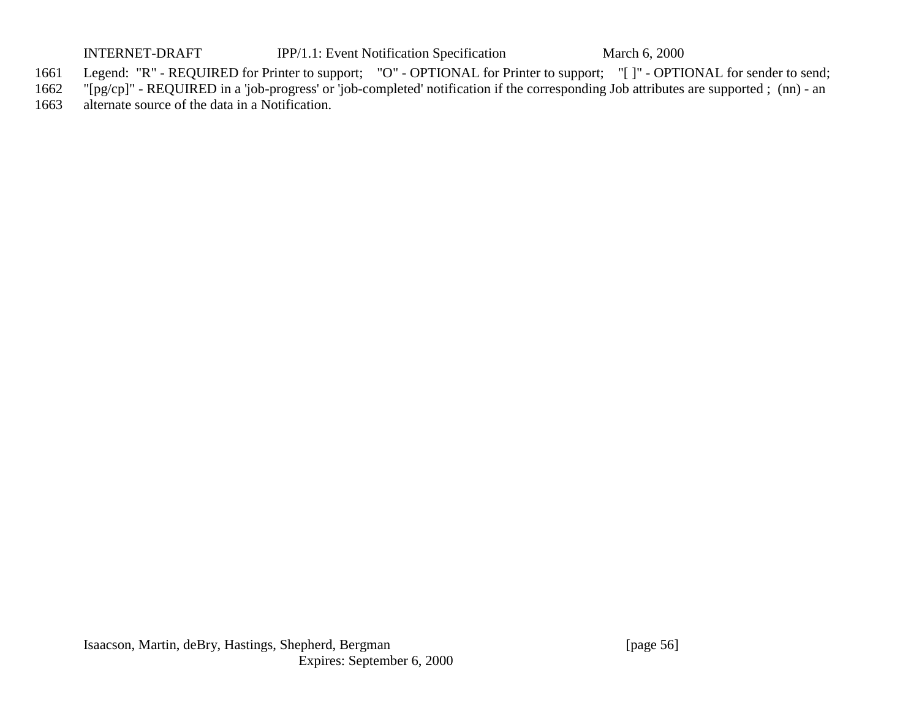INTERNET-DRAFT IPP/1.1: Event Notification Specification March 6, 2000

- 1661 Legend: "R" REQUIRED for Printer to support; "O" OPTIONAL for Printer to support; "[ ]" OPTIONAL for sender to send;
- 1662 "[pg/cp]" REQUIRED in a 'job-progress' or 'job-completed' notification if the corresponding Job attributes are supported ; (nn) an
- 1663 alternate source of the data in a Notification.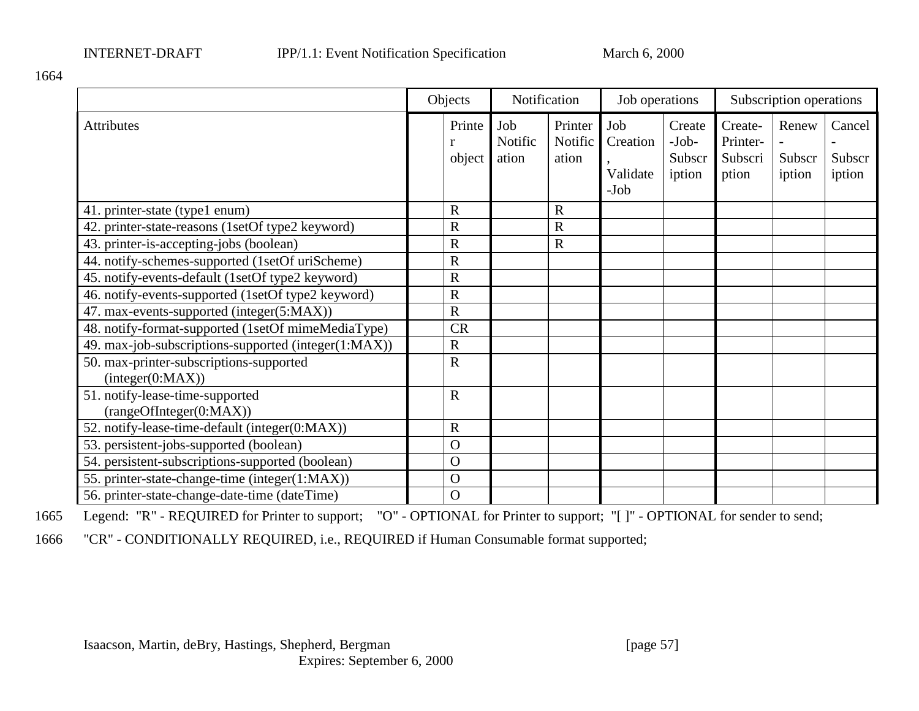1664

|                                                             | Objects          | Notification            |                             | Job operations                        |                                       | Subscription operations                 |                           |                            |
|-------------------------------------------------------------|------------------|-------------------------|-----------------------------|---------------------------------------|---------------------------------------|-----------------------------------------|---------------------------|----------------------------|
| Attributes                                                  | Printe<br>object | Job<br>Notific<br>ation | Printer<br>Notific<br>ation | Job<br>Creation<br>Validate<br>$-Job$ | Create<br>$-Job-$<br>Subscr<br>iption | Create-<br>Printer-<br>Subscri<br>ption | Renew<br>Subscr<br>iption | Cancel<br>Subscr<br>iption |
| 41. printer-state (type1 enum)                              | $\mathbf R$      |                         | R                           |                                       |                                       |                                         |                           |                            |
| 42. printer-state-reasons (1setOf type2 keyword)            | $\mathbf R$      |                         | R                           |                                       |                                       |                                         |                           |                            |
| 43. printer-is-accepting-jobs (boolean)                     | $\mathbf R$      |                         | $\overline{\text{R}}$       |                                       |                                       |                                         |                           |                            |
| 44. notify-schemes-supported (1setOf uriScheme)             | R                |                         |                             |                                       |                                       |                                         |                           |                            |
| 45. notify-events-default (1setOf type2 keyword)            | $\mathbf R$      |                         |                             |                                       |                                       |                                         |                           |                            |
| 46. notify-events-supported (1setOf type2 keyword)          | $\mathbf R$      |                         |                             |                                       |                                       |                                         |                           |                            |
| 47. max-events-supported (integer(5:MAX))                   | $\mathbf R$      |                         |                             |                                       |                                       |                                         |                           |                            |
| 48. notify-format-supported (1setOf mimeMediaType)          | <b>CR</b>        |                         |                             |                                       |                                       |                                         |                           |                            |
| 49. max-job-subscriptions-supported (integer(1:MAX))        | $\mathbf R$      |                         |                             |                                       |                                       |                                         |                           |                            |
| 50. max-printer-subscriptions-supported<br>interger(0:MAX)) | $\mathbf R$      |                         |                             |                                       |                                       |                                         |                           |                            |
| 51. notify-lease-time-supported<br>(rangeOfInteger(0:MAX))  | $\mathbf R$      |                         |                             |                                       |                                       |                                         |                           |                            |
| 52. notify-lease-time-default (integer(0:MAX))              | $\mathbf R$      |                         |                             |                                       |                                       |                                         |                           |                            |
| 53. persistent-jobs-supported (boolean)                     | $\overline{O}$   |                         |                             |                                       |                                       |                                         |                           |                            |
| 54. persistent-subscriptions-supported (boolean)            | $\overline{O}$   |                         |                             |                                       |                                       |                                         |                           |                            |
| 55. printer-state-change-time (integer(1:MAX))              | $\overline{O}$   |                         |                             |                                       |                                       |                                         |                           |                            |
| 56. printer-state-change-date-time (dateTime)               | $\overline{O}$   |                         |                             |                                       |                                       |                                         |                           |                            |

1665 Legend: "R" - REQUIRED for Printer to support; "O" - OPTIONAL for Printer to support; "[ ]" - OPTIONAL for sender to send;

1666 "CR" - CONDITIONALLY REQUIRED, i.e., REQUIRED if Human Consumable format supported;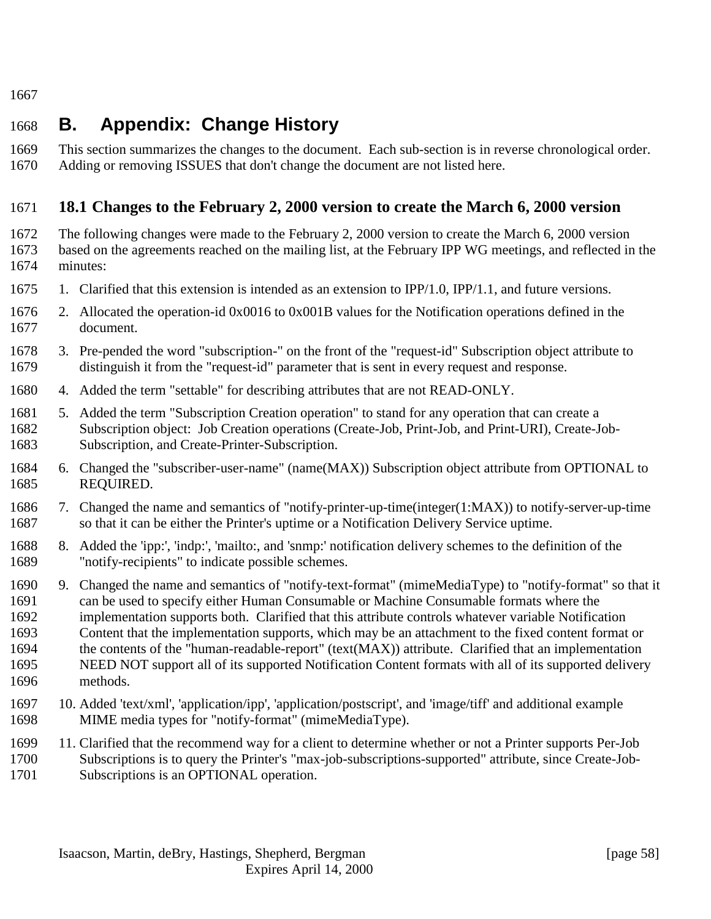<span id="page-57-0"></span>

# **B. Appendix: Change History**

 This section summarizes the changes to the document. Each sub-section is in reverse chronological order. Adding or removing ISSUES that don't change the document are not listed here.

# **18.1 Changes to the February 2, 2000 version to create the March 6, 2000 version**

 The following changes were made to the February 2, 2000 version to create the March 6, 2000 version based on the agreements reached on the mailing list, at the February IPP WG meetings, and reflected in the minutes:

- 1. Clarified that this extension is intended as an extension to IPP/1.0, IPP/1.1, and future versions.
- 2. Allocated the operation-id 0x0016 to 0x001B values for the Notification operations defined in the document.
- 3. Pre-pended the word "subscription-" on the front of the "request-id" Subscription object attribute to distinguish it from the "request-id" parameter that is sent in every request and response.
- 4. Added the term "settable" for describing attributes that are not READ-ONLY.
- 5. Added the term "Subscription Creation operation" to stand for any operation that can create a Subscription object: Job Creation operations (Create-Job, Print-Job, and Print-URI), Create-Job-Subscription, and Create-Printer-Subscription.
- 6. Changed the "subscriber-user-name" (name(MAX)) Subscription object attribute from OPTIONAL to REQUIRED.
- 7. Changed the name and semantics of "notify-printer-up-time(integer(1:MAX)) to notify-server-up-time 1687 so that it can be either the Printer's uptime or a Notification Delivery Service uptime.
- 8. Added the 'ipp:', 'indp:', 'mailto:, and 'snmp:' notification delivery schemes to the definition of the "notify-recipients" to indicate possible schemes.
- 9. Changed the name and semantics of "notify-text-format" (mimeMediaType) to "notify-format" so that it can be used to specify either Human Consumable or Machine Consumable formats where the implementation supports both. Clarified that this attribute controls whatever variable Notification Content that the implementation supports, which may be an attachment to the fixed content format or the contents of the "human-readable-report" (text(MAX)) attribute. Clarified that an implementation NEED NOT support all of its supported Notification Content formats with all of its supported delivery methods.
- 10. Added 'text/xml', 'application/ipp', 'application/postscript', and 'image/tiff' and additional example MIME media types for "notify-format" (mimeMediaType).
- 11. Clarified that the recommend way for a client to determine whether or not a Printer supports Per-Job Subscriptions is to query the Printer's "max-job-subscriptions-supported" attribute, since Create-Job-
- Subscriptions is an OPTIONAL operation.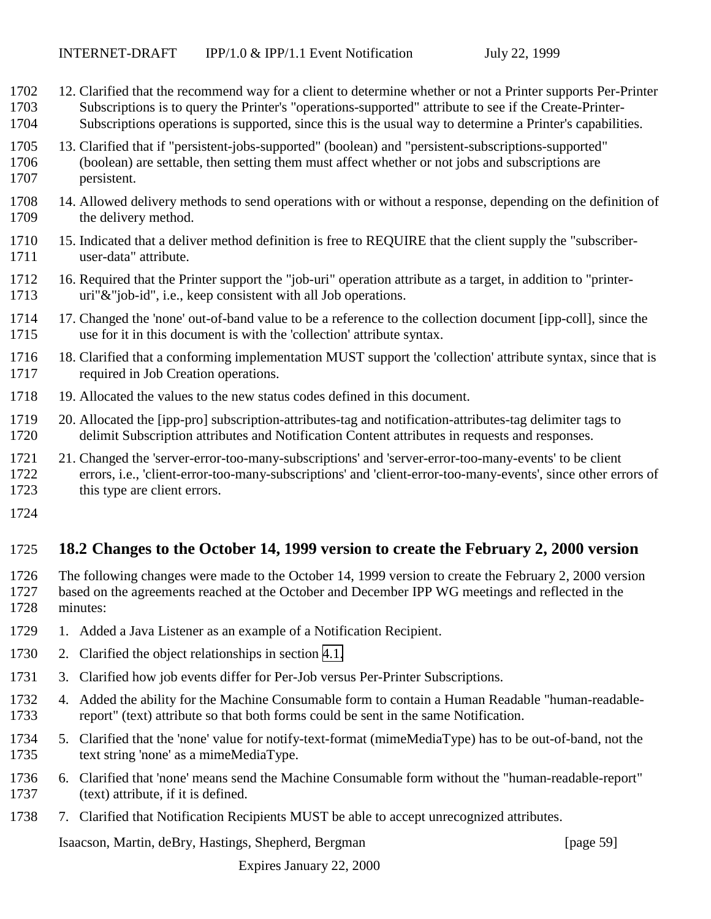- <span id="page-58-0"></span> 12. Clarified that the recommend way for a client to determine whether or not a Printer supports Per-Printer Subscriptions is to query the Printer's "operations-supported" attribute to see if the Create-Printer-Subscriptions operations is supported, since this is the usual way to determine a Printer's capabilities.
- 13. Clarified that if "persistent-jobs-supported" (boolean) and "persistent-subscriptions-supported" (boolean) are settable, then setting them must affect whether or not jobs and subscriptions are persistent.
- 14. Allowed delivery methods to send operations with or without a response, depending on the definition of 1709 the delivery method.
- 15. Indicated that a deliver method definition is free to REQUIRE that the client supply the "subscriber-user-data" attribute.
- 16. Required that the Printer support the "job-uri" operation attribute as a target, in addition to "printer-uri"&"job-id", i.e., keep consistent with all Job operations.
- 17. Changed the 'none' out-of-band value to be a reference to the collection document [ipp-coll], since the use for it in this document is with the 'collection' attribute syntax.
- 18. Clarified that a conforming implementation MUST support the 'collection' attribute syntax, since that is required in Job Creation operations.
- 19. Allocated the values to the new status codes defined in this document.
- 20. Allocated the [ipp-pro] subscription-attributes-tag and notification-attributes-tag delimiter tags to delimit Subscription attributes and Notification Content attributes in requests and responses.
- 21. Changed the 'server-error-too-many-subscriptions' and 'server-error-too-many-events' to be client errors, i.e., 'client-error-too-many-subscriptions' and 'client-error-too-many-events', since other errors of
- this type are client errors.
- 

# **18.2 Changes to the October 14, 1999 version to create the February 2, 2000 version**

- The following changes were made to the October 14, 1999 version to create the February 2, 2000 version based on the agreements reached at the October and December IPP WG meetings and reflected in the minutes:
- 1729 1. Added a Java Listener as an example of a Notification Recipient.
- 2. Clarified the object relationships in section [4.1.](#page-15-0)
- 3. Clarified how job events differ for Per-Job versus Per-Printer Subscriptions.
- 4. Added the ability for the Machine Consumable form to contain a Human Readable "human-readable-report" (text) attribute so that both forms could be sent in the same Notification.
- 5. Clarified that the 'none' value for notify-text-format (mimeMediaType) has to be out-of-band, not the text string 'none' as a mimeMediaType.
- 6. Clarified that 'none' means send the Machine Consumable form without the "human-readable-report" (text) attribute, if it is defined.
- 7. Clarified that Notification Recipients MUST be able to accept unrecognized attributes.

Isaacson, Martin, deBry, Hastings, Shepherd, Bergman [page 59]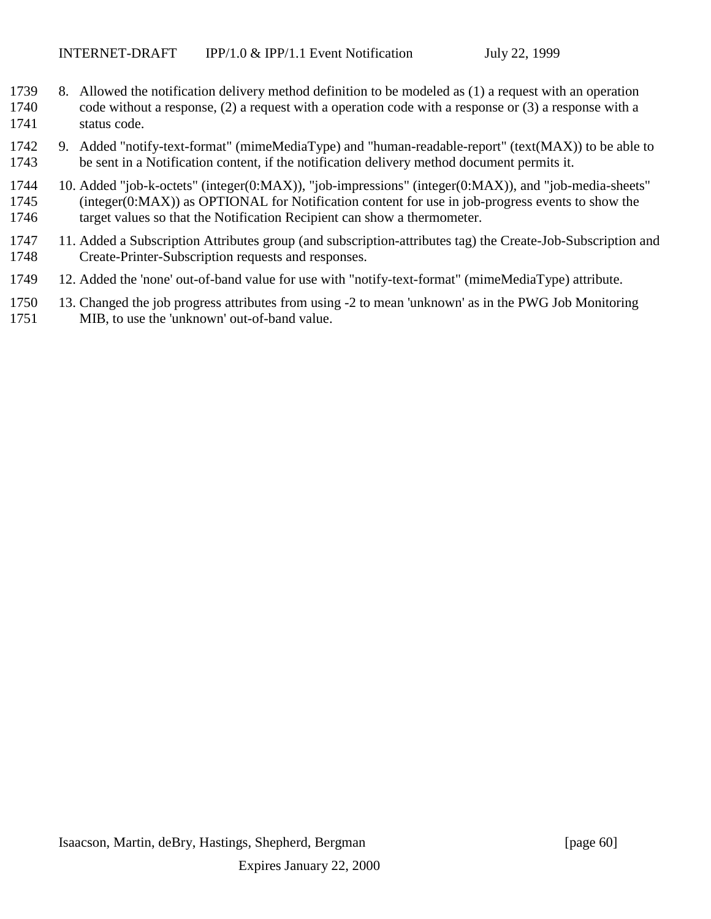- 8. Allowed the notification delivery method definition to be modeled as (1) a request with an operation code without a response, (2) a request with a operation code with a response or (3) a response with a status code.
- 9. Added "notify-text-format" (mimeMediaType) and "human-readable-report" (text(MAX)) to be able to be sent in a Notification content, if the notification delivery method document permits it.
- 10. Added "job-k-octets" (integer(0:MAX)), "job-impressions" (integer(0:MAX)), and "job-media-sheets" (integer(0:MAX)) as OPTIONAL for Notification content for use in job-progress events to show the 1746 target values so that the Notification Recipient can show a thermometer.
- 11. Added a Subscription Attributes group (and subscription-attributes tag) the Create-Job-Subscription and Create-Printer-Subscription requests and responses.
- 12. Added the 'none' out-of-band value for use with "notify-text-format" (mimeMediaType) attribute.
- 13. Changed the job progress attributes from using -2 to mean 'unknown' as in the PWG Job Monitoring MIB, to use the 'unknown' out-of-band value.